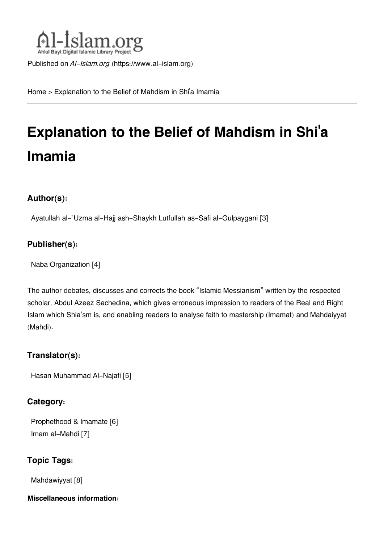

Published on *Al-Islam.org* ([https://www.al-islam.org\)](https://www.al-islam.org)

[Home](https://www.al-islam.org/) > Explanation to the Belief of Mahdism in Shi'a Imamia

# **Explanation to the Belief of Mahdism in Shi'a Imamia**

#### **Author(s):**

[Ayatullah al-`Uzma al-Hajj ash-Shaykh Lutfullah as-Safi al-Gulpaygani](https://www.al-islam.org/person/ayatullah-al-uzma-al-hajj-ash-shaykh-lutfullah-safi-al-gulpaygani) [3]

#### **Publisher(s):**

[Naba Organization](https://www.al-islam.org/organization/naba-organization) [4]

The author debates, discusses and corrects the book "Islamic Messianism" written by the respected scholar, Abdul Azeez Sachedina, which gives erroneous impression to readers of the Real and Right Islam which Shia'sm is, and enabling readers to analyse faith to mastership (Imamat) and Mahdaiyyat (Mahdi).

#### **Translator(s):**

[Hasan Muhammad Al-Najafi](https://www.al-islam.org/person/hasan-muhammad-al-najafi) [5]

#### **Category:**

[Prophethood & Imamate](https://www.al-islam.org/library/prophethood-imamate) [6] [Imam al-Mahdi](https://www.al-islam.org/library/imam-al-mahdi) [7]

### **Topic Tags:**

[Mahdawiyyat](https://www.al-islam.org/tags/mahdawiyyat) [8]

#### **Miscellaneous information:**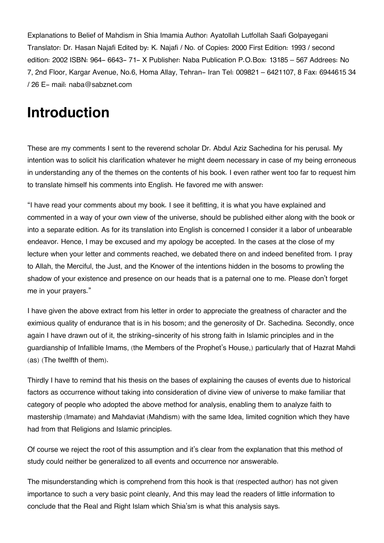Explanations to Belief of Mahdism in Shia Imamia Author: Ayatollah Lutfollah Saafi Golpayegani Translator: Dr. Hasan Najafi Edited by: K. Najafi / No. of Copies: 2000 First Edition: 1993 / second edition: 2002 ISBN: 964- 6643- 71- X Publisher: Naba Publication P.O.Box: 13185 – 567 Addrees: No 7, 2nd Floor, Kargar Avenue, No.6, Homa Allay, Tehran- Iran Tel: 009821 – 6421107, 8 Fax: 6944615 34 / 26 E- mail: naba@sabznet.com

## **Introduction**

These are my comments I sent to the reverend scholar Dr. Abdul Aziz Sachedina for his perusal. My intention was to solicit his clarification whatever he might deem necessary in case of my being erroneous in understanding any of the themes on the contents of his book. I even rather went too far to request him to translate himself his comments into English. He favored me with answer:

"I have read your comments about my book. I see it befitting, it is what you have explained and commented in a way of your own view of the universe, should be published either along with the book or into a separate edition. As for its translation into English is concerned I consider it a labor of unbearable endeavor. Hence, I may be excused and my apology be accepted. In the cases at the close of my lecture when your letter and comments reached, we debated there on and indeed benefited from. I pray to Allah, the Merciful, the Just, and the Knower of the intentions hidden in the bosoms to prowling the shadow of your existence and presence on our heads that is a paternal one to me. Please don't forget me in your prayers."

I have given the above extract from his letter in order to appreciate the greatness of character and the eximious quality of endurance that is in his bosom; and the generosity of Dr. Sachedina. Secondly, once again I have drawn out of it, the striking-sincerity of his strong faith in Islamic principles and in the guardianship of Infallible Imams, (the Members of the Prophet's House,) particularly that of Hazrat Mahdi (as) (The twelfth of them).

Thirdly I have to remind that his thesis on the bases of explaining the causes of events due to historical factors as occurrence without taking into consideration of divine view of universe to make familiar that category of people who adopted the above method for analysis, enabling them to analyze faith to mastership (Imamate) and Mahdaviat (Mahdism) with the same Idea, limited cognition which they have had from that Religions and Islamic principles.

Of course we reject the root of this assumption and it's clear from the explanation that this method of study could neither be generalized to all events and occurrence nor answerable.

The misunderstanding which is comprehend from this hook is that (respected author) has not given importance to such a very basic point cleanly, And this may lead the readers of little information to conclude that the Real and Right Islam which Shia'sm is what this analysis says.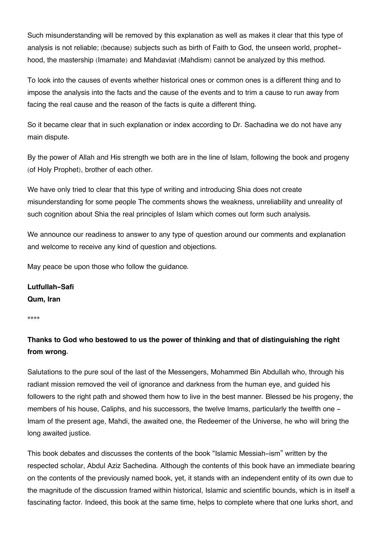Such misunderstanding will be removed by this explanation as well as makes it clear that this type of analysis is not reliable; (because) subjects such as birth of Faith to God, the unseen world, prophethood, the mastership (Imamate) and Mahdaviat (Mahdism) cannot be analyzed by this method.

To look into the causes of events whether historical ones or common ones is a different thing and to impose the analysis into the facts and the cause of the events and to trim a cause to run away from facing the real cause and the reason of the facts is quite a different thing.

So it became clear that in such explanation or index according to Dr. Sachadina we do not have any main dispute.

By the power of Allah and His strength we both are in the line of Islam, following the book and progeny (of Holy Prophet), brother of each other.

We have only tried to clear that this type of writing and introducing Shia does not create misunderstanding for some people The comments shows the weakness, unreliability and unreality of such cognition about Shia the real principles of Islam which comes out form such analysis.

We announce our readiness to answer to any type of question around our comments and explanation and welcome to receive any kind of question and objections.

May peace be upon those who follow the guidance.

**Lutfullah-Safi Qum, Iran**

\*\*\*\*

### **Thanks to God who bestowed to us the power of thinking and that of distinguishing the right from wrong.**

Salutations to the pure soul of the last of the Messengers, Mohammed Bin Abdullah who, through his radiant mission removed the veil of ignorance and darkness from the human eye, and guided his followers to the right path and showed them how to live in the best manner. Blessed be his progeny, the members of his house, Caliphs, and his successors, the twelve Imams, particularly the twelfth one - Imam of the present age, Mahdi, the awaited one, the Redeemer of the Universe, he who will bring the long awaited justice.

This book debates and discusses the contents of the book "Islamic Messiah-ism" written by the respected scholar, Abdul Aziz Sachedina. Although the contents of this book have an immediate bearing on the contents of the previously named book, yet, it stands with an independent entity of its own due to the magnitude of the discussion framed within historical, Islamic and scientific bounds, which is in itself a fascinating factor. Indeed, this book at the same time, helps to complete where that one lurks short, and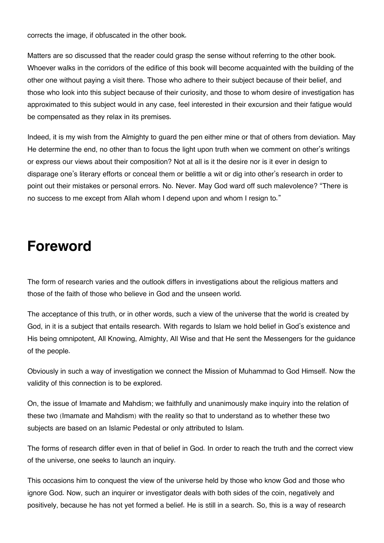corrects the image, if obfuscated in the other book.

Matters are so discussed that the reader could grasp the sense without referring to the other book. Whoever walks in the corridors of the edifice of this book will become acquainted with the building of the other one without paying a visit there. Those who adhere to their subject because of their belief, and those who look into this subject because of their curiosity, and those to whom desire of investigation has approximated to this subject would in any case, feel interested in their excursion and their fatigue would be compensated as they relax in its premises.

Indeed, it is my wish from the Almighty to guard the pen either mine or that of others from deviation. May He determine the end, no other than to focus the light upon truth when we comment on other's writings or express our views about their composition? Not at all is it the desire nor is it ever in design to disparage one's literary efforts or conceal them or belittle a wit or dig into other's research in order to point out their mistakes or personal errors. No. Never. May God ward off such malevolence? "There is no success to me except from Allah whom I depend upon and whom I resign to."

### **Foreword**

The form of research varies and the outlook differs in investigations about the religious matters and those of the faith of those who believe in God and the unseen world.

The acceptance of this truth, or in other words, such a view of the universe that the world is created by God, in it is a subject that entails research. With regards to Islam we hold belief in God's existence and His being omnipotent, All Knowing, Almighty, All Wise and that He sent the Messengers for the guidance of the people.

Obviously in such a way of investigation we connect the Mission of Muhammad to God Himself. Now the validity of this connection is to be explored.

On, the issue of Imamate and Mahdism; we faithfully and unanimously make inquiry into the relation of these two (Imamate and Mahdism) with the reality so that to understand as to whether these two subjects are based on an Islamic Pedestal or only attributed to Islam.

The forms of research differ even in that of belief in God. In order to reach the truth and the correct view of the universe, one seeks to launch an inquiry.

This occasions him to conquest the view of the universe held by those who know God and those who ignore God. Now, such an inquirer or investigator deals with both sides of the coin, negatively and positively, because he has not yet formed a belief. He is still in a search. So, this is a way of research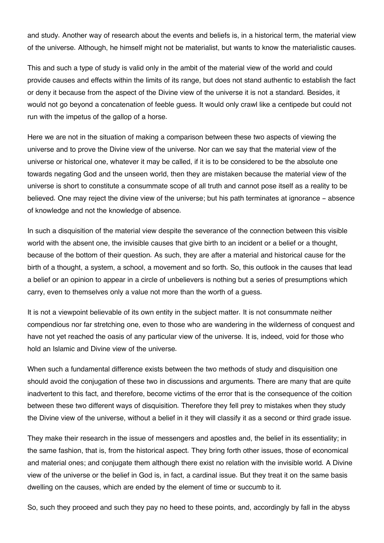and study. Another way of research about the events and beliefs is, in a historical term, the material view of the universe. Although, he himself might not be materialist, but wants to know the materialistic causes.

This and such a type of study is valid only in the ambit of the material view of the world and could provide causes and effects within the limits of its range, but does not stand authentic to establish the fact or deny it because from the aspect of the Divine view of the universe it is not a standard. Besides, it would not go beyond a concatenation of feeble guess. It would only crawl like a centipede but could not run with the impetus of the gallop of a horse.

Here we are not in the situation of making a comparison between these two aspects of viewing the universe and to prove the Divine view of the universe. Nor can we say that the material view of the universe or historical one, whatever it may be called, if it is to be considered to be the absolute one towards negating God and the unseen world, then they are mistaken because the material view of the universe is short to constitute a consummate scope of all truth and cannot pose itself as a reality to be believed. One may reject the divine view of the universe; but his path terminates at ignorance - absence of knowledge and not the knowledge of absence.

In such a disquisition of the material view despite the severance of the connection between this visible world with the absent one, the invisible causes that give birth to an incident or a belief or a thought, because of the bottom of their question. As such, they are after a material and historical cause for the birth of a thought, a system, a school, a movement and so forth. So, this outlook in the causes that lead a belief or an opinion to appear in a circle of unbelievers is nothing but a series of presumptions which carry, even to themselves only a value not more than the worth of a guess.

It is not a viewpoint believable of its own entity in the subject matter. It is not consummate neither compendious nor far stretching one, even to those who are wandering in the wilderness of conquest and have not yet reached the oasis of any particular view of the universe. It is, indeed, void for those who hold an Islamic and Divine view of the universe.

When such a fundamental difference exists between the two methods of study and disquisition one should avoid the conjugation of these two in discussions and arguments. There are many that are quite inadvertent to this fact, and therefore, become victims of the error that is the consequence of the coition between these two different ways of disquisition. Therefore they fell prey to mistakes when they study the Divine view of the universe, without a belief in it they will classify it as a second or third grade issue.

They make their research in the issue of messengers and apostles and, the belief in its essentiality; in the same fashion, that is, from the historical aspect. They bring forth other issues, those of economical and material ones; and conjugate them although there exist no relation with the invisible world. A Divine view of the universe or the belief in God is, in fact, a cardinal issue. But they treat it on the same basis dwelling on the causes, which are ended by the element of time or succumb to it.

So, such they proceed and such they pay no heed to these points, and, accordingly by fall in the abyss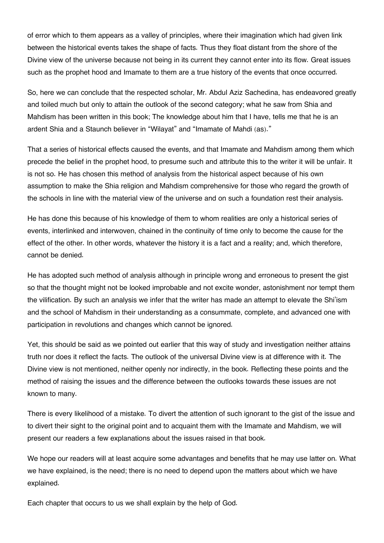of error which to them appears as a valley of principles, where their imagination which had given link between the historical events takes the shape of facts. Thus they float distant from the shore of the Divine view of the universe because not being in its current they cannot enter into its flow. Great issues such as the prophet hood and Imamate to them are a true history of the events that once occurred.

So, here we can conclude that the respected scholar, Mr. Abdul Aziz Sachedina, has endeavored greatly and toiled much but only to attain the outlook of the second category; what he saw from Shia and Mahdism has been written in this book; The knowledge about him that I have, tells me that he is an ardent Shia and a Staunch believer in "Wilayat" and "Imamate of Mahdi (as)."

That a series of historical effects caused the events, and that Imamate and Mahdism among them which precede the belief in the prophet hood, to presume such and attribute this to the writer it will be unfair. It is not so. He has chosen this method of analysis from the historical aspect because of his own assumption to make the Shia religion and Mahdism comprehensive for those who regard the growth of the schools in line with the material view of the universe and on such a foundation rest their analysis.

He has done this because of his knowledge of them to whom realities are only a historical series of events, interlinked and interwoven, chained in the continuity of time only to become the cause for the effect of the other. In other words, whatever the history it is a fact and a reality; and, which therefore, cannot be denied.

He has adopted such method of analysis although in principle wrong and erroneous to present the gist so that the thought might not be looked improbable and not excite wonder, astonishment nor tempt them the vilification. By such an analysis we infer that the writer has made an attempt to elevate the Shi'ism and the school of Mahdism in their understanding as a consummate, complete, and advanced one with participation in revolutions and changes which cannot be ignored.

Yet, this should be said as we pointed out earlier that this way of study and investigation neither attains truth nor does it reflect the facts. The outlook of the universal Divine view is at difference with it. The Divine view is not mentioned, neither openly nor indirectly, in the book. Reflecting these points and the method of raising the issues and the difference between the outlooks towards these issues are not known to many.

There is every likelihood of a mistake. To divert the attention of such ignorant to the gist of the issue and to divert their sight to the original point and to acquaint them with the Imamate and Mahdism, we will present our readers a few explanations about the issues raised in that book.

We hope our readers will at least acquire some advantages and benefits that he may use latter on. What we have explained, is the need; there is no need to depend upon the matters about which we have explained.

Each chapter that occurs to us we shall explain by the help of God.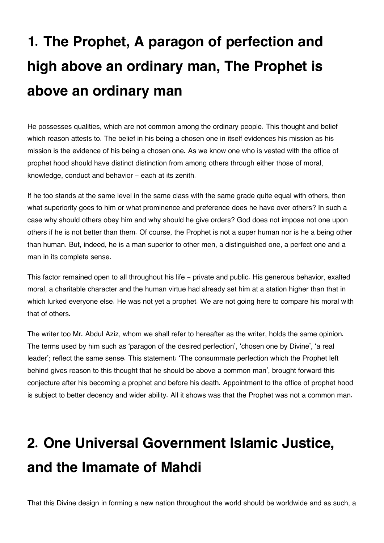# **1. The Prophet, A paragon of perfection and high above an ordinary man, The Prophet is above an ordinary man**

He possesses qualities, which are not common among the ordinary people. This thought and belief which reason attests to. The belief in his being a chosen one in itself evidences his mission as his mission is the evidence of his being a chosen one. As we know one who is vested with the office of prophet hood should have distinct distinction from among others through either those of moral, knowledge, conduct and behavior - each at its zenith.

If he too stands at the same level in the same class with the same grade quite equal with others, then what superiority goes to him or what prominence and preference does he have over others? In such a case why should others obey him and why should he give orders? God does not impose not one upon others if he is not better than them. Of course, the Prophet is not a super human nor is he a being other than human. But, indeed, he is a man superior to other men, a distinguished one, a perfect one and a man in its complete sense.

This factor remained open to all throughout his life - private and public. His generous behavior, exalted moral, a charitable character and the human virtue had already set him at a station higher than that in which lurked everyone else. He was not yet a prophet. We are not going here to compare his moral with that of others.

The writer too Mr. Abdul Aziz, whom we shall refer to hereafter as the writer, holds the same opinion. The terms used by him such as 'paragon of the desired perfection', 'chosen one by Divine', 'a real leader'; reflect the same sense. This statement: 'The consummate perfection which the Prophet left behind gives reason to this thought that he should be above a common man', brought forward this conjecture after his becoming a prophet and before his death. Appointment to the office of prophet hood is subject to better decency and wider ability. All it shows was that the Prophet was not a common man.

# **2. One Universal Government Islamic Justice, and the Imamate of Mahdi**

That this Divine design in forming a new nation throughout the world should be worldwide and as such, a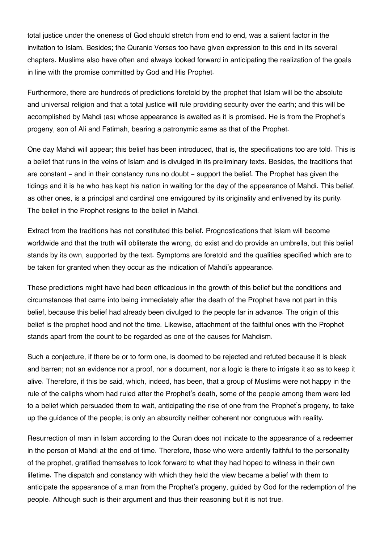total justice under the oneness of God should stretch from end to end, was a salient factor in the invitation to Islam. Besides; the Quranic Verses too have given expression to this end in its several chapters. Muslims also have often and always looked forward in anticipating the realization of the goals in line with the promise committed by God and His Prophet.

Furthermore, there are hundreds of predictions foretold by the prophet that Islam will be the absolute and universal religion and that a total justice will rule providing security over the earth; and this will be accomplished by Mahdi (as) whose appearance is awaited as it is promised. He is from the Prophet's progeny, son of Ali and Fatimah, bearing a patronymic same as that of the Prophet.

One day Mahdi will appear; this belief has been introduced, that is, the specifications too are told. This is a belief that runs in the veins of Islam and is divulged in its preliminary texts. Besides, the traditions that are constant - and in their constancy runs no doubt - support the belief. The Prophet has given the tidings and it is he who has kept his nation in waiting for the day of the appearance of Mahdi. This belief, as other ones, is a principal and cardinal one envigoured by its originality and enlivened by its purity. The belief in the Prophet resigns to the belief in Mahdi.

Extract from the traditions has not constituted this belief. Prognostications that Islam will become worldwide and that the truth will obliterate the wrong, do exist and do provide an umbrella, but this belief stands by its own, supported by the text. Symptoms are foretold and the qualities specified which are to be taken for granted when they occur as the indication of Mahdi's appearance.

These predictions might have had been efficacious in the growth of this belief but the conditions and circumstances that came into being immediately after the death of the Prophet have not part in this belief, because this belief had already been divulged to the people far in advance. The origin of this belief is the prophet hood and not the time. Likewise, attachment of the faithful ones with the Prophet stands apart from the count to be regarded as one of the causes for Mahdism.

Such a conjecture, if there be or to form one, is doomed to be rejected and refuted because it is bleak and barren; not an evidence nor a proof, nor a document, nor a logic is there to irrigate it so as to keep it alive. Therefore, if this be said, which, indeed, has been, that a group of Muslims were not happy in the rule of the caliphs whom had ruled after the Prophet's death, some of the people among them were led to a belief which persuaded them to wait, anticipating the rise of one from the Prophet's progeny, to take up the guidance of the people; is only an absurdity neither coherent nor congruous with reality.

Resurrection of man in Islam according to the Quran does not indicate to the appearance of a redeemer in the person of Mahdi at the end of time. Therefore, those who were ardently faithful to the personality of the prophet, gratified themselves to look forward to what they had hoped to witness in their own lifetime. The dispatch and constancy with which they held the view became a belief with them to anticipate the appearance of a man from the Prophet's progeny, guided by God for the redemption of the people. Although such is their argument and thus their reasoning but it is not true.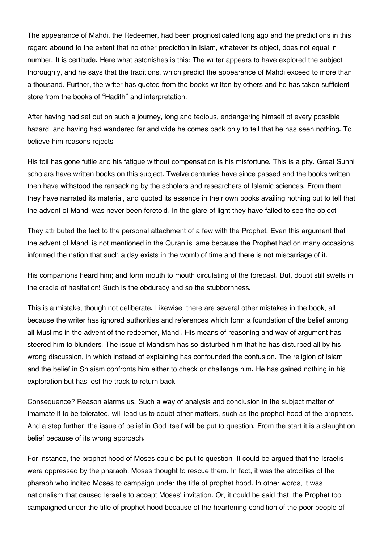The appearance of Mahdi, the Redeemer, had been prognosticated long ago and the predictions in this regard abound to the extent that no other prediction in Islam, whatever its object, does not equal in number. It is certitude. Here what astonishes is this: The writer appears to have explored the subject thoroughly, and he says that the traditions, which predict the appearance of Mahdi exceed to more than a thousand. Further, the writer has quoted from the books written by others and he has taken sufficient store from the books of "Hadith" and interpretation.

After having had set out on such a journey, long and tedious, endangering himself of every possible hazard, and having had wandered far and wide he comes back only to tell that he has seen nothing. To believe him reasons rejects.

His toil has gone futile and his fatigue without compensation is his misfortune. This is a pity. Great Sunni scholars have written books on this subject. Twelve centuries have since passed and the books written then have withstood the ransacking by the scholars and researchers of Islamic sciences. From them they have narrated its material, and quoted its essence in their own books availing nothing but to tell that the advent of Mahdi was never been foretold. In the glare of light they have failed to see the object.

They attributed the fact to the personal attachment of a few with the Prophet. Even this argument that the advent of Mahdi is not mentioned in the Quran is lame because the Prophet had on many occasions informed the nation that such a day exists in the womb of time and there is not miscarriage of it.

His companions heard him; and form mouth to mouth circulating of the forecast. But, doubt still swells in the cradle of hesitation! Such is the obduracy and so the stubbornness.

This is a mistake, though not deliberate. Likewise, there are several other mistakes in the book, all because the writer has ignored authorities and references which form a foundation of the belief among all Muslims in the advent of the redeemer, Mahdi. His means of reasoning and way of argument has steered him to blunders. The issue of Mahdism has so disturbed him that he has disturbed all by his wrong discussion, in which instead of explaining has confounded the confusion. The religion of Islam and the belief in Shiaism confronts him either to check or challenge him. He has gained nothing in his exploration but has lost the track to return back.

Consequence? Reason alarms us. Such a way of analysis and conclusion in the subject matter of Imamate if to be tolerated, will lead us to doubt other matters, such as the prophet hood of the prophets. And a step further, the issue of belief in God itself will be put to question. From the start it is a slaught on belief because of its wrong approach.

For instance, the prophet hood of Moses could be put to question. It could be argued that the Israelis were oppressed by the pharaoh, Moses thought to rescue them. In fact, it was the atrocities of the pharaoh who incited Moses to campaign under the title of prophet hood. In other words, it was nationalism that caused Israelis to accept Moses' invitation. Or, it could be said that, the Prophet too campaigned under the title of prophet hood because of the heartening condition of the poor people of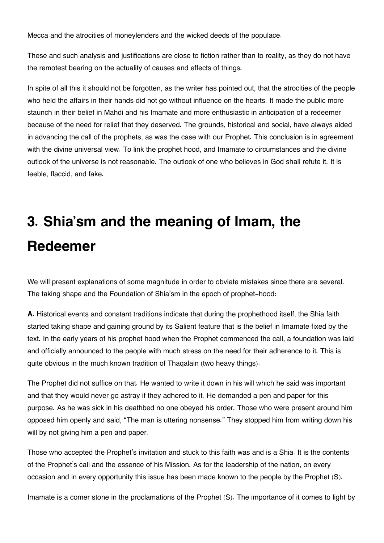Mecca and the atrocities of moneylenders and the wicked deeds of the populace.

These and such analysis and justifications are close to fiction rather than to reality, as they do not have the remotest bearing on the actuality of causes and effects of things.

In spite of all this it should not be forgotten, as the writer has pointed out, that the atrocities of the people who held the affairs in their hands did not go without influence on the hearts. It made the public more staunch in their belief in Mahdi and his Imamate and more enthusiastic in anticipation of a redeemer because of the need for relief that they deserved. The grounds, historical and social, have always aided in advancing the call of the prophets, as was the case with our Prophet. This conclusion is in agreement with the divine universal view. To link the prophet hood, and Imamate to circumstances and the divine outlook of the universe is not reasonable. The outlook of one who believes in God shall refute it. It is feeble, flaccid, and fake.

# **3. Shia'sm and the meaning of Imam, the Redeemer**

We will present explanations of some magnitude in order to obviate mistakes since there are several. The taking shape and the Foundation of Shia'sm in the epoch of prophet-hood:

**A.** Historical events and constant traditions indicate that during the prophethood itself, the Shia faith started taking shape and gaining ground by its Salient feature that is the belief in Imamate fixed by the text. In the early years of his prophet hood when the Prophet commenced the call, a foundation was laid and officially announced to the people with much stress on the need for their adherence to it. This is quite obvious in the much known tradition of Thaqalain (two heavy things).

The Prophet did not suffice on that. He wanted to write it down in his will which he said was important and that they would never go astray if they adhered to it. He demanded a pen and paper for this purpose. As he was sick in his deathbed no one obeyed his order. Those who were present around him opposed him openly and said, "The man is uttering nonsense." They stopped him from writing down his will by not giving him a pen and paper.

Those who accepted the Prophet's invitation and stuck to this faith was and is a Shia. It is the contents of the Prophet's call and the essence of his Mission. As for the leadership of the nation, on every occasion and in every opportunity this issue has been made known to the people by the Prophet (S).

Imamate is a comer stone in the proclamations of the Prophet (S). The importance of it comes to light by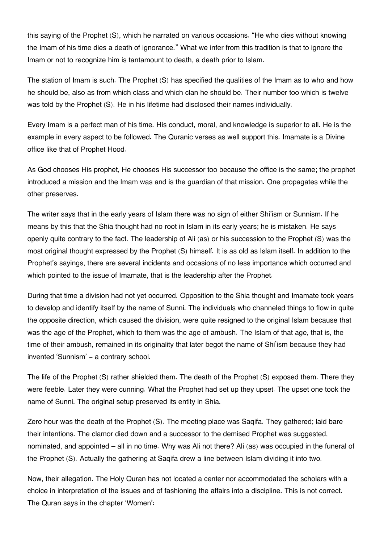this saying of the Prophet (S), which he narrated on various occasions. "He who dies without knowing the Imam of his time dies a death of ignorance." What we infer from this tradition is that to ignore the Imam or not to recognize him is tantamount to death, a death prior to Islam.

The station of Imam is such. The Prophet (S) has specified the qualities of the Imam as to who and how he should be, also as from which class and which clan he should be. Their number too which is twelve was told by the Prophet (S). He in his lifetime had disclosed their names individually.

Every Imam is a perfect man of his time. His conduct, moral, and knowledge is superior to all. He is the example in every aspect to be followed. The Quranic verses as well support this. Imamate is a Divine office like that of Prophet Hood.

As God chooses His prophet, He chooses His successor too because the office is the same; the prophet introduced a mission and the Imam was and is the guardian of that mission. One propagates while the other preserves.

The writer says that in the early years of Islam there was no sign of either Shi'ism or Sunnism. If he means by this that the Shia thought had no root in Islam in its early years; he is mistaken. He says openly quite contrary to the fact. The leadership of Ali (as) or his succession to the Prophet (S) was the most original thought expressed by the Prophet (S) himself. It is as old as Islam itself. In addition to the Prophet's sayings, there are several incidents and occasions of no less importance which occurred and which pointed to the issue of Imamate, that is the leadership after the Prophet.

During that time a division had not yet occurred. Opposition to the Shia thought and Imamate took years to develop and identify itself by the name of Sunni. The individuals who channeled things to flow in quite the opposite direction, which caused the division, were quite resigned to the original Islam because that was the age of the Prophet, which to them was the age of ambush. The Islam of that age, that is, the time of their ambush, remained in its originality that later begot the name of Shi'ism because they had invented 'Sunnism' - a contrary school.

The life of the Prophet (S) rather shielded them. The death of the Prophet (S) exposed them. There they were feeble. Later they were cunning. What the Prophet had set up they upset. The upset one took the name of Sunni. The original setup preserved its entity in Shia.

Zero hour was the death of the Prophet (S). The meeting place was Saqifa. They gathered; laid bare their intentions. The clamor died down and a successor to the demised Prophet was suggested, nominated, and appointed – all in no time. Why was Ali not there? Ali (as) was occupied in the funeral of the Prophet (S). Actually the gathering at Saqifa drew a line between Islam dividing it into two.

Now, their allegation. The Holy Quran has not located a center nor accommodated the scholars with a choice in interpretation of the issues and of fashioning the affairs into a discipline. This is not correct. The Quran says in the chapter 'Women':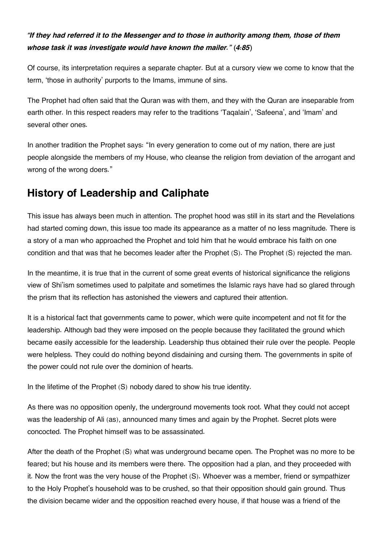### *"If they had referred it to the Messenger and to those in authority among them, those of them whose task it was investigate would have known the mailer." (4:85)*

Of course, its interpretation requires a separate chapter. But at a cursory view we come to know that the term, 'those in authority' purports to the Imams, immune of sins.

The Prophet had often said that the Quran was with them, and they with the Quran are inseparable from earth other. In this respect readers may refer to the traditions 'Taqalain', 'Safeena', and 'Imam' and several other ones.

In another tradition the Prophet says: "In every generation to come out of my nation, there are just people alongside the members of my House, who cleanse the religion from deviation of the arrogant and wrong of the wrong doers."

### <span id="page-11-0"></span>**[History of Leadership and Caliphate](#page-11-0)**

This issue has always been much in attention. The prophet hood was still in its start and the Revelations had started coming down, this issue too made its appearance as a matter of no less magnitude. There is a story of a man who approached the Prophet and told him that he would embrace his faith on one condition and that was that he becomes leader after the Prophet (S). The Prophet (S) rejected the man.

In the meantime, it is true that in the current of some great events of historical significance the religions view of Shi'ism sometimes used to palpitate and sometimes the Islamic rays have had so glared through the prism that its reflection has astonished the viewers and captured their attention.

It is a historical fact that governments came to power, which were quite incompetent and not fit for the leadership. Although bad they were imposed on the people because they facilitated the ground which became easily accessible for the leadership. Leadership thus obtained their rule over the people. People were helpless. They could do nothing beyond disdaining and cursing them. The governments in spite of the power could not rule over the dominion of hearts.

In the lifetime of the Prophet (S) nobody dared to show his true identity.

As there was no opposition openly, the underground movements took root. What they could not accept was the leadership of Ali (as), announced many times and again by the Prophet. Secret plots were concocted. The Prophet himself was to be assassinated.

After the death of the Prophet (S) what was underground became open. The Prophet was no more to be feared; but his house and its members were there. The opposition had a plan, and they proceeded with it. Now the front was the very house of the Prophet (S). Whoever was a member, friend or sympathizer to the Holy Prophet's household was to be crushed, so that their opposition should gain ground. Thus the division became wider and the opposition reached every house, if that house was a friend of the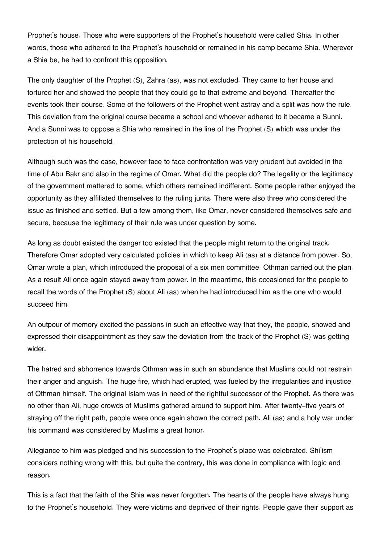Prophet's house. Those who were supporters of the Prophet's household were called Shia. In other words, those who adhered to the Prophet's household or remained in his camp became Shia. Wherever a Shia be, he had to confront this opposition.

The only daughter of the Prophet (S), Zahra (as), was not excluded. They came to her house and tortured her and showed the people that they could go to that extreme and beyond. Thereafter the events took their course. Some of the followers of the Prophet went astray and a split was now the rule. This deviation from the original course became a school and whoever adhered to it became a Sunni. And a Sunni was to oppose a Shia who remained in the line of the Prophet (S) which was under the protection of his household.

Although such was the case, however face to face confrontation was very prudent but avoided in the time of Abu Bakr and also in the regime of Omar. What did the people do? The legality or the legitimacy of the government mattered to some, which others remained indifferent. Some people rather enjoyed the opportunity as they affiliated themselves to the ruling junta. There were also three who considered the issue as finished and settled. But a few among them, like Omar, never considered themselves safe and secure, because the legitimacy of their rule was under question by some.

As long as doubt existed the danger too existed that the people might return to the original track. Therefore Omar adopted very calculated policies in which to keep Ali (as) at a distance from power. So, Omar wrote a plan, which introduced the proposal of a six men committee. Othman carried out the plan. As a result Ali once again stayed away from power. In the meantime, this occasioned for the people to recall the words of the Prophet (S) about Ali (as) when he had introduced him as the one who would succeed him.

An outpour of memory excited the passions in such an effective way that they, the people, showed and expressed their disappointment as they saw the deviation from the track of the Prophet (S) was getting wider.

The hatred and abhorrence towards Othman was in such an abundance that Muslims could not restrain their anger and anguish. The huge fire, which had erupted, was fueled by the irregularities and injustice of Othman himself. The original Islam was in need of the rightful successor of the Prophet. As there was no other than Ali, huge crowds of Muslims gathered around to support him. After twenty-five years of straying off the right path, people were once again shown the correct path. Ali (as) and a holy war under his command was considered by Muslims a great honor.

Allegiance to him was pledged and his succession to the Prophet's place was celebrated. Shi'ism considers nothing wrong with this, but quite the contrary, this was done in compliance with logic and reason.

This is a fact that the faith of the Shia was never forgotten. The hearts of the people have always hung to the Prophet's household. They were victims and deprived of their rights. People gave their support as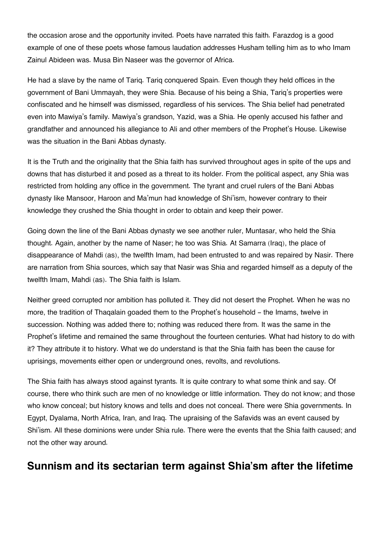the occasion arose and the opportunity invited. Poets have narrated this faith. Farazdog is a good example of one of these poets whose famous laudation addresses Husham telling him as to who Imam Zainul Abideen was. Musa Bin Naseer was the governor of Africa.

He had a slave by the name of Tariq. Tariq conquered Spain. Even though they held offices in the government of Bani Ummayah, they were Shia. Because of his being a Shia, Tariq's properties were confiscated and he himself was dismissed, regardless of his services. The Shia belief had penetrated even into Mawiya's family. Mawiya's grandson, Yazid, was a Shia. He openly accused his father and grandfather and announced his allegiance to Ali and other members of the Prophet's House. Likewise was the situation in the Bani Abbas dynasty.

It is the Truth and the originality that the Shia faith has survived throughout ages in spite of the ups and downs that has disturbed it and posed as a threat to its holder. From the political aspect, any Shia was restricted from holding any office in the government. The tyrant and cruel rulers of the Bani Abbas dynasty like Mansoor, Haroon and Ma'mun had knowledge of Shi'ism, however contrary to their knowledge they crushed the Shia thought in order to obtain and keep their power.

Going down the line of the Bani Abbas dynasty we see another ruler, Muntasar, who held the Shia thought. Again, another by the name of Naser; he too was Shia. At Samarra (Iraq), the place of disappearance of Mahdi (as), the twelfth Imam, had been entrusted to and was repaired by Nasir. There are narration from Shia sources, which say that Nasir was Shia and regarded himself as a deputy of the twelfth Imam, Mahdi (as). The Shia faith is Islam.

Neither greed corrupted nor ambition has polluted it. They did not desert the Prophet. When he was no more, the tradition of Thaqalain goaded them to the Prophet's household - the Imams, twelve in succession. Nothing was added there to; nothing was reduced there from. It was the same in the Prophet's lifetime and remained the same throughout the fourteen centuries. What had history to do with it? They attribute it to history. What we do understand is that the Shia faith has been the cause for uprisings, movements either open or underground ones, revolts, and revolutions.

The Shia faith has always stood against tyrants. It is quite contrary to what some think and say. Of course, there who think such are men of no knowledge or little information. They do not know; and those who know conceal; but history knows and tells and does not conceal. There were Shia governments. In Egypt, Dyalama, North Africa, Iran, and Iraq. The upraising of the Safavids was an event caused by Shi'ism. All these dominions were under Shia rule. There were the events that the Shia faith caused; and not the other way around.

### <span id="page-13-0"></span>**[Sunnism and its sectarian term against Shia'sm after the lifetime](#page-13-0)**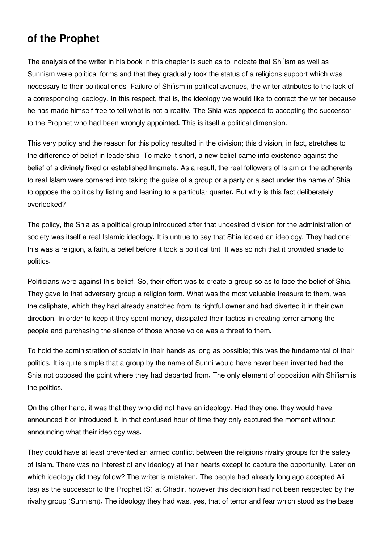### **[of the Prophet](#page-13-0)**

The analysis of the writer in his book in this chapter is such as to indicate that Shi'ism as well as Sunnism were political forms and that they gradually took the status of a religions support which was necessary to their political ends. Failure of Shi'ism in political avenues, the writer attributes to the lack of a corresponding ideology. In this respect, that is, the ideology we would like to correct the writer because he has made himself free to tell what is not a reality. The Shia was opposed to accepting the successor to the Prophet who had been wrongly appointed. This is itself a political dimension.

This very policy and the reason for this policy resulted in the division; this division, in fact, stretches to the difference of belief in leadership. To make it short, a new belief came into existence against the belief of a divinely fixed or established Imamate. As a result, the real followers of Islam or the adherents to real Islam were cornered into taking the guise of a group or a party or a sect under the name of Shia to oppose the politics by listing and leaning to a particular quarter. But why is this fact deliberately overlooked?

The policy, the Shia as a political group introduced after that undesired division for the administration of society was itself a real Islamic ideology. It is untrue to say that Shia lacked an ideology. They had one; this was a religion, a faith, a belief before it took a political tint. It was so rich that it provided shade to politics.

Politicians were against this belief. So, their effort was to create a group so as to face the belief of Shia. They gave to that adversary group a religion form. What was the most valuable treasure to them, was the caliphate, which they had already snatched from its rightful owner and had diverted it in their own direction. In order to keep it they spent money, dissipated their tactics in creating terror among the people and purchasing the silence of those whose voice was a threat to them.

To hold the administration of society in their hands as long as possible; this was the fundamental of their politics. It is quite simple that a group by the name of Sunni would have never been invented had the Shia not opposed the point where they had departed from. The only element of opposition with Shi'ism is the politics.

On the other hand, it was that they who did not have an ideology. Had they one, they would have announced it or introduced it. In that confused hour of time they only captured the moment without announcing what their ideology was.

They could have at least prevented an armed conflict between the religions rivalry groups for the safety of Islam. There was no interest of any ideology at their hearts except to capture the opportunity. Later on which ideology did they follow? The writer is mistaken. The people had already long ago accepted Ali (as) as the successor to the Prophet (S) at Ghadir, however this decision had not been respected by the rivalry group (Sunnism). The ideology they had was, yes, that of terror and fear which stood as the base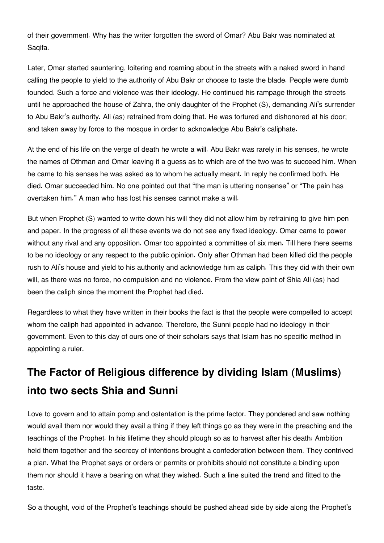of their government. Why has the writer forgotten the sword of Omar? Abu Bakr was nominated at Saqifa.

Later, Omar started sauntering, loitering and roaming about in the streets with a naked sword in hand calling the people to yield to the authority of Abu Bakr or choose to taste the blade. People were dumb founded. Such a force and violence was their ideology. He continued his rampage through the streets until he approached the house of Zahra, the only daughter of the Prophet (S), demanding Ali's surrender to Abu Bakr's authority. Ali (as) retrained from doing that. He was tortured and dishonored at his door; and taken away by force to the mosque in order to acknowledge Abu Bakr's caliphate.

At the end of his life on the verge of death he wrote a will. Abu Bakr was rarely in his senses, he wrote the names of Othman and Omar leaving it a guess as to which are of the two was to succeed him. When he came to his senses he was asked as to whom he actually meant. In reply he confirmed both. He died. Omar succeeded him. No one pointed out that "the man is uttering nonsense" or "The pain has overtaken him." A man who has lost his senses cannot make a will.

But when Prophet (S) wanted to write down his will they did not allow him by refraining to give him pen and paper. In the progress of all these events we do not see any fixed ideology. Omar came to power without any rival and any opposition. Omar too appointed a committee of six men. Till here there seems to be no ideology or any respect to the public opinion. Only after Othman had been killed did the people rush to Ali's house and yield to his authority and acknowledge him as caliph. This they did with their own will, as there was no force, no compulsion and no violence. From the view point of Shia Ali (as) had been the caliph since the moment the Prophet had died.

Regardless to what they have written in their books the fact is that the people were compelled to accept whom the caliph had appointed in advance. Therefore, the Sunni people had no ideology in their government. Even to this day of ours one of their scholars says that Islam has no specific method in appointing a ruler.

### <span id="page-15-0"></span>**[The Factor of Religious difference by dividing Islam \(Muslims\)](#page-15-0) [into two sects Shia and Sunni](#page-15-0)**

Love to govern and to attain pomp and ostentation is the prime factor. They pondered and saw nothing would avail them nor would they avail a thing if they left things go as they were in the preaching and the teachings of the Prophet. In his lifetime they should plough so as to harvest after his death: Ambition held them together and the secrecy of intentions brought a confederation between them. They contrived a plan. What the Prophet says or orders or permits or prohibits should not constitute a binding upon them nor should it have a bearing on what they wished. Such a line suited the trend and fitted to the taste.

So a thought, void of the Prophet's teachings should be pushed ahead side by side along the Prophet's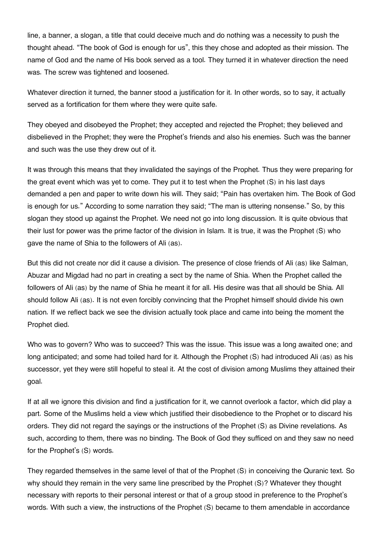line, a banner, a slogan, a title that could deceive much and do nothing was a necessity to push the thought ahead. "The book of God is enough for us", this they chose and adopted as their mission. The name of God and the name of His book served as a tool. They turned it in whatever direction the need was. The screw was tightened and loosened.

Whatever direction it turned, the banner stood a justification for it. In other words, so to say, it actually served as a fortification for them where they were quite safe.

They obeyed and disobeyed the Prophet; they accepted and rejected the Prophet; they believed and disbelieved in the Prophet; they were the Prophet's friends and also his enemies. Such was the banner and such was the use they drew out of it.

It was through this means that they invalidated the sayings of the Prophet. Thus they were preparing for the great event which was yet to come. They put it to test when the Prophet (S) in his last days demanded a pen and paper to write down his will. They said; "Pain has overtaken him. The Book of God is enough for us." According to some narration they said; "The man is uttering nonsense." So, by this slogan they stood up against the Prophet. We need not go into long discussion. It is quite obvious that their lust for power was the prime factor of the division in Islam. It is true, it was the Prophet (S) who gave the name of Shia to the followers of Ali (as).

But this did not create nor did it cause a division. The presence of close friends of Ali (as) like Salman, Abuzar and Migdad had no part in creating a sect by the name of Shia. When the Prophet called the followers of Ali (as) by the name of Shia he meant it for all. His desire was that all should be Shia. All should follow Ali (as). It is not even forcibly convincing that the Prophet himself should divide his own nation. If we reflect back we see the division actually took place and came into being the moment the Prophet died.

Who was to govern? Who was to succeed? This was the issue. This issue was a long awaited one; and long anticipated; and some had toiled hard for it. Although the Prophet (S) had introduced Ali (as) as his successor, yet they were still hopeful to steal it. At the cost of division among Muslims they attained their goal.

If at all we ignore this division and find a justification for it, we cannot overlook a factor, which did play a part. Some of the Muslims held a view which justified their disobedience to the Prophet or to discard his orders. They did not regard the sayings or the instructions of the Prophet (S) as Divine revelations. As such, according to them, there was no binding. The Book of God they sufficed on and they saw no need for the Prophet's (S) words.

They regarded themselves in the same level of that of the Prophet (S) in conceiving the Quranic text. So why should they remain in the very same line prescribed by the Prophet (S)? Whatever they thought necessary with reports to their personal interest or that of a group stood in preference to the Prophet's words. With such a view, the instructions of the Prophet (S) became to them amendable in accordance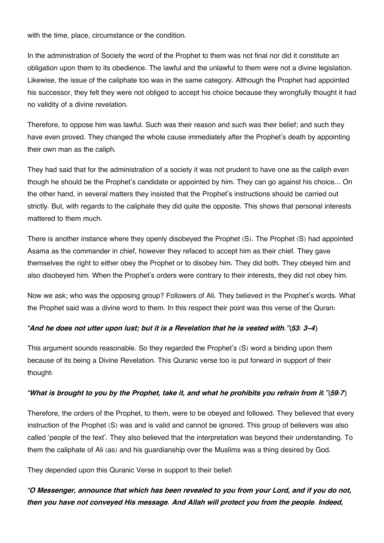with the time, place, circumstance or the condition.

In the administration of Society the word of the Prophet to them was not final nor did it constitute an obligation upon them to its obedience. The lawful and the unlawful to them were not a divine legislation. Likewise, the issue of the caliphate too was in the same category. Although the Prophet had appointed his successor, they felt they were not obliged to accept his choice because they wrongfully thought it had no validity of a divine revelation.

Therefore, to oppose him was lawful. Such was their reason and such was their belief; and such they have even proved. They changed the whole cause immediately after the Prophet's death by appointing their own man as the caliph.

They had said that for the administration of a society it was not prudent to have one as the caliph even though he should be the Prophet's candidate or appointed by him. They can go against his choice... On the other hand, in several matters they insisted that the Prophet's instructions should be carried out strictly. But, with regards to the caliphate they did quite the opposite. This shows that personal interests mattered to them much.

There is another instance where they openly disobeyed the Prophet (S). The Prophet (S) had appointed Asama as the commander in chief, however they refaced to accept him as their chief. They gave themselves the right to either obey the Prophet or to disobey him. They did both. They obeyed him and also disobeyed him. When the Prophet's orders were contrary to their interests, they did not obey him.

Now we ask; who was the opposing group? Followers of Ali. They believed in the Prophet's words. What the Prophet said was a divine word to them. In this respect their point was this verse of the Quran:

#### *"And he does not utter upon lust; but it is a Revelation that he is vested with."(53: 3-4)*

This argument sounds reasonable. So they regarded the Prophet's (S) word a binding upon them because of its being a Divine Revelation. This Quranic verse too is put forward in support of their thought:

#### *"What is brought to you by the Prophet, take it, and what he prohibits you refrain from it."(59:7)*

Therefore, the orders of the Prophet, to them, were to be obeyed and followed. They believed that every instruction of the Prophet (S) was and is valid and cannot be ignored. This group of believers was also called 'people of the text'. They also believed that the interpretation was beyond their understanding. To them the caliphate of Ali (as) and his guardianship over the Muslims was a thing desired by God.

They depended upon this Quranic Verse in support to their belief:

### *"O Messenger, announce that which has been revealed to you from your Lord, and if you do not, then you have not conveyed His message. And Allah will protect you from the people. Indeed,*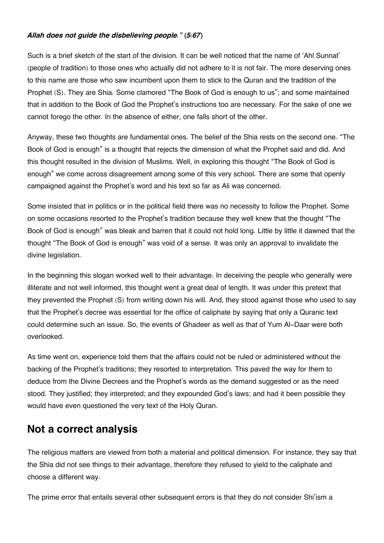#### *Allah does not guide the disbelieving people." (5:67)*

Such is a brief sketch of the start of the division. It can be well noticed that the name of 'Ahl Sunnat' (people of tradition) to those ones who actually did not adhere to it is not fair. The more deserving ones to this name are those who saw incumbent upon them to stick to the Quran and the tradition of the Prophet (S). They are Shia. Some clamored "The Book of God is enough to us"; and some maintained that in addition to the Book of God the Prophet's instructions too are necessary. For the sake of one we cannot forego the other. In the absence of either, one falls short of the other.

Anyway, these two thoughts are fundamental ones. The belief of the Shia rests on the second one. "The Book of God is enough" is a thought that rejects the dimension of what the Prophet said and did. And this thought resulted in the division of Muslims. Well, in exploring this thought "The Book of God is enough" we come across disagreement among some of this very school. There are some that openly campaigned against the Prophet's word and his text so far as Ali was concerned.

Some insisted that in politics or in the political field there was no necessity to follow the Prophet. Some on some occasions resorted to the Prophet's tradition because they well knew that the thought "The Book of God is enough" was bleak and barren that it could not hold long. Little by little it dawned that the thought "The Book of God is enough" was void of a sense. It was only an approval to invalidate the divine legislation.

In the beginning this slogan worked well to their advantage. In deceiving the people who generally were illiterate and not well informed, this thought went a great deal of length. It was under this pretext that they prevented the Prophet (S) from writing down his will. And, they stood against those who used to say that the Prophet's decree was essential for the office of caliphate by saying that only a Quranic text could determine such an issue. So, the events of Ghadeer as well as that of Yum Al-Daar were both overlooked.

As time went on, experience told them that the affairs could not be ruled or administered without the backing of the Prophet's traditions; they resorted to interpretation. This paved the way for them to deduce from the Divine Decrees and the Prophet's words as the demand suggested or as the need stood. They justified; they interpreted; and they expounded God's laws; and had it been possible they would have even questioned the very text of the Holy Quran.

### <span id="page-18-0"></span>**[Not a correct analysis](#page-18-0)**

The religious matters are viewed from both a material and political dimension. For instance, they say that the Shia did not see things to their advantage, therefore they refused to yield to the caliphate and choose a different way.

The prime error that entails several other subsequent errors is that they do not consider Shi'ism a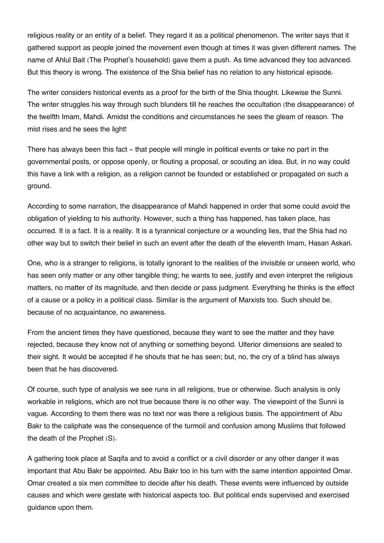religious reality or an entity of a belief. They regard it as a political phenomenon. The writer says that it gathered support as people joined the movement even though at times it was given different names. The name of Ahlul Bait (The Prophet's household) gave them a push. As time advanced they too advanced. But this theory is wrong. The existence of the Shia belief has no relation to any historical episode.

The writer considers historical events as a proof for the birth of the Shia thought. Likewise the Sunni. The writer struggles his way through such blunders till he reaches the occultation (the disappearance) of the twelfth Imam, Mahdi. Amidst the conditions and circumstances he sees the gleam of reason. The mist rises and he sees the light!

There has always been this fact - that people will mingle in political events or take no part in the governmental posts, or oppose openly, or flouting a proposal, or scouting an idea. But, in no way could this have a link with a religion, as a religion cannot be founded or established or propagated on such a ground.

According to some narration, the disappearance of Mahdi happened in order that some could avoid the obligation of yielding to his authority. However, such a thing has happened, has taken place, has occurred. It is a fact. It is a reality. It is a tyrannical conjecture or a wounding lies, that the Shia had no other way but to switch their belief in such an event after the death of the eleventh Imam, Hasan Askari.

One, who is a stranger to religions, is totally ignorant to the realities of the invisible or unseen world, who has seen only matter or any other tangible thing; he wants to see, justify and even interpret the religious matters, no matter of its magnitude, and then decide or pass judgment. Everything he thinks is the effect of a cause or a policy in a political class. Similar is the argument of Marxists too. Such should be, because of no acquaintance, no awareness.

From the ancient times they have questioned, because they want to see the matter and they have rejected, because they know not of anything or something beyond. Ulterior dimensions are sealed to their sight. It would be accepted if he shouts that he has seen; but, no, the cry of a blind has always been that he has discovered.

Of course, such type of analysis we see runs in all religions, true or otherwise. Such analysis is only workable in religions, which are not true because there is no other way. The viewpoint of the Sunni is vague. According to them there was no text nor was there a religious basis. The appointment of Abu Bakr to the caliphate was the consequence of the turmoil and confusion among Muslims that followed the death of the Prophet (S).

A gathering took place at Saqifa and to avoid a conflict or a civil disorder or any other danger it was important that Abu Bakr be appointed. Abu Bakr too in his turn with the same intention appointed Omar. Omar created a six men committee to decide after his death. These events were influenced by outside causes and which were gestate with historical aspects too. But political ends supervised and exercised guidance upon them.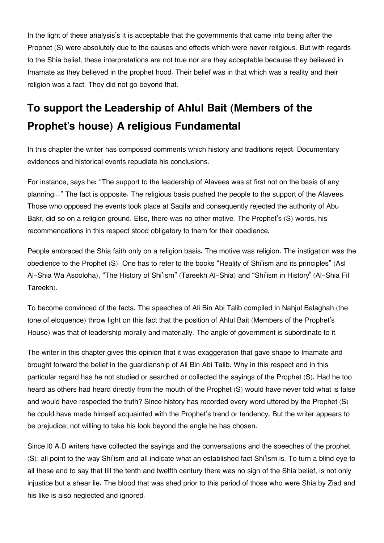In the light of these analysis's it is acceptable that the governments that came into being after the Prophet (S) were absolutely due to the causes and effects which were never religious. But with regards to the Shia belief, these interpretations are not true nor are they acceptable because they believed in Imamate as they believed in the prophet hood. Their belief was in that which was a reality and their religion was a fact. They did not go beyond that.

## <span id="page-20-0"></span>**[To support the Leadership of Ahlul Bait \(Members of the](#page-20-0) [Prophet's house\) A religious Fundamental](#page-20-0)**

In this chapter the writer has composed comments which history and traditions reject. Documentary evidences and historical events repudiate his conclusions.

For instance, says he: "The support to the leadership of Alavees was at first not on the basis of any planning..." The fact is opposite. The religious basis pushed the people to the support of the Alavees. Those who opposed the events took place at Saqifa and consequently rejected the authority of Abu Bakr, did so on a religion ground. Else, there was no other motive. The Prophet's (S) words, his recommendations in this respect stood obligatory to them for their obedience.

People embraced the Shia faith only on a religion basis. The motive was religion. The instigation was the obedience to the Prophet (S). One has to refer to the books "Reality of Shi'ism and its principles" (Asl Al-Shia Wa Asooloha), "The History of Shi'ism" (Tareekh Al-Shia) and "Shi'ism in History" (Al-Shia Fil Tareekh).

To become convinced of the facts. The speeches of Ali Bin Abi Talib compiled in Nahjul Balaghah (the tone of eloquence) throw light on this fact that the position of Ahlul Bait (Members of the Prophet's House) was that of leadership morally and materially. The angle of government is subordinate to it.

The writer in this chapter gives this opinion that it was exaggeration that gave shape to Imamate and brought forward the belief in the guardianship of Ali Bin Abi Talib. Why in this respect and in this particular regard has he not studied or searched or collected the sayings of the Prophet (S). Had he too heard as others had heard directly from the mouth of the Prophet (S) would have never told what is false and would have respected the truth? Since history has recorded every word uttered by the Prophet (S) he could have made himself acquainted with the Prophet's trend or tendency. But the writer appears to be prejudice; not willing to take his look beyond the angle he has chosen.

Since l0 A.D writers have collected the sayings and the conversations and the speeches of the prophet (S); all point to the way Shi'ism and all indicate what an established fact Shi'ism is. To turn a blind eye to all these and to say that till the tenth and twelfth century there was no sign of the Shia belief, is not only injustice but a shear lie. The blood that was shed prior to this period of those who were Shia by Ziad and his like is also neglected and ignored.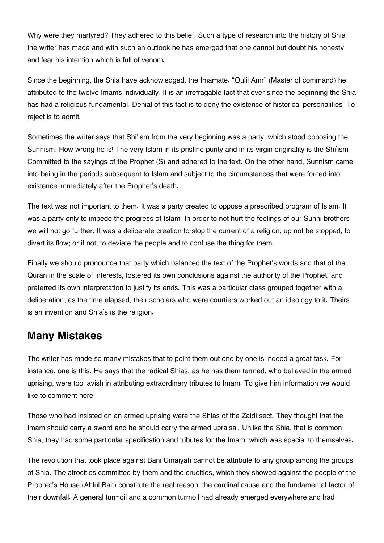Why were they martyred? They adhered to this belief. Such a type of research into the history of Shia the writer has made and with such an outlook he has emerged that one cannot but doubt his honesty and fear his intention which is full of venom.

Since the beginning, the Shia have acknowledged, the Imamate. "Oulil Amr" (Master of command) he attributed to the twelve Imams individually. It is an irrefragable fact that ever since the beginning the Shia has had a religious fundamental. Denial of this fact is to deny the existence of historical personalities. To reject is to admit.

Sometimes the writer says that Shi'ism from the very beginning was a party, which stood opposing the Sunnism. How wrong he is! The very Islam in its pristine purity and in its virgin originality is the Shi'ism -Committed to the sayings of the Prophet (S) and adhered to the text. On the other hand, Sunnism came into being in the periods subsequent to Islam and subject to the circumstances that were forced into existence immediately after the Prophet's death.

The text was not important to them. It was a party created to oppose a prescribed program of Islam. It was a party only to impede the progress of Islam. In order to not hurt the feelings of our Sunni brothers we will not go further. It was a deliberate creation to stop the current of a religion; up not be stopped, to divert its flow; or if not, to deviate the people and to confuse the thing for them.

Finally we should pronounce that party which balanced the text of the Prophet's words and that of the Quran in the scale of interests, fostered its own conclusions against the authority of the Prophet, and preferred its own interpretation to justify its ends. This was a particular class grouped together with a deliberation; as the time elapsed, their scholars who were courtiers worked out an ideology to it. Theirs is an invention and Shia's is the religion.

### <span id="page-21-0"></span>**[Many Mistakes](#page-21-0)**

The writer has made so many mistakes that to point them out one by one is indeed a great task. For instance, one is this. He says that the radical Shias, as he has them termed, who believed in the armed uprising, were too lavish in attributing extraordinary tributes to Imam. To give him information we would like to comment here:

Those who had insisted on an armed uprising were the Shias of the Zaidi sect. They thought that the Imam should carry a sword and he should carry the armed upraisal. Unlike the Shia, that is common Shia, they had some particular specification and tributes for the Imam, which was special to themselves.

The revolution that took place against Bani Umaiyah cannot be attribute to any group among the groups of Shia. The atrocities committed by them and the cruelties, which they showed against the people of the Prophet's House (Ahlul Bait) constitute the real reason, the cardinal cause and the fundamental factor of their downfall. A general turmoil and a common turmoil had already emerged everywhere and had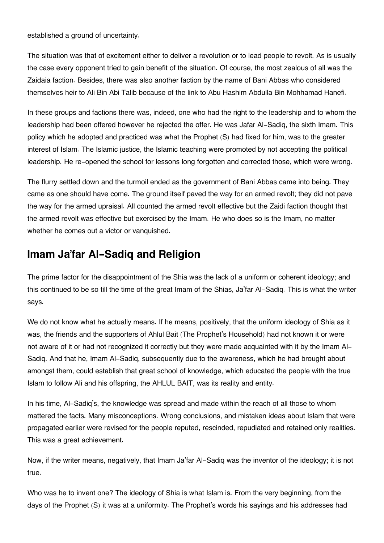established a ground of uncertainty.

The situation was that of excitement either to deliver a revolution or to lead people to revolt. As is usually the case every opponent tried to gain benefit of the situation. Of course, the most zealous of all was the Zaidaia faction. Besides, there was also another faction by the name of Bani Abbas who considered themselves heir to Ali Bin Abi Talib because of the link to Abu Hashim Abdulla Bin Mohhamad Hanefi.

In these groups and factions there was, indeed, one who had the right to the leadership and to whom the leadership had been offered however he rejected the offer. He was Jafar Al-Sadiq, the sixth Imam. This policy which he adopted and practiced was what the Prophet (S) had fixed for him, was to the greater interest of Islam. The Islamic justice, the Islamic teaching were promoted by not accepting the political leadership. He re-opened the school for lessons long forgotten and corrected those, which were wrong.

The flurry settled down and the turmoil ended as the government of Bani Abbas came into being. They came as one should have come. The ground itself paved the way for an armed revolt; they did not pave the way for the armed upraisal. All counted the armed revolt effective but the Zaidi faction thought that the armed revolt was effective but exercised by the Imam. He who does so is the Imam, no matter whether he comes out a victor or vanquished.

### <span id="page-22-0"></span>**[Imam Ja'far Al-Sadiq and Religion](#page-22-0)**

The prime factor for the disappointment of the Shia was the lack of a uniform or coherent ideology; and this continued to be so till the time of the great Imam of the Shias, Ja'far Al-Sadiq. This is what the writer says.

We do not know what he actually means. If he means, positively, that the uniform ideology of Shia as it was, the friends and the supporters of Ahlul Bait (The Prophet's Household) had not known it or were not aware of it or had not recognized it correctly but they were made acquainted with it by the Imam Al-Sadiq. And that he, Imam Al-Sadiq, subsequently due to the awareness, which he had brought about amongst them, could establish that great school of knowledge, which educated the people with the true Islam to follow Ali and his offspring, the AHLUL BAIT, was its reality and entity.

In his time, Al-Sadiq's, the knowledge was spread and made within the reach of all those to whom mattered the facts. Many misconceptions. Wrong conclusions, and mistaken ideas about Islam that were propagated earlier were revised for the people reputed, rescinded, repudiated and retained only realities. This was a great achievement.

Now, if the writer means, negatively, that Imam Ja'far Al-Sadiq was the inventor of the ideology; it is not true.

Who was he to invent one? The ideology of Shia is what Islam is. From the very beginning, from the days of the Prophet (S) it was at a uniformity. The Prophet's words his sayings and his addresses had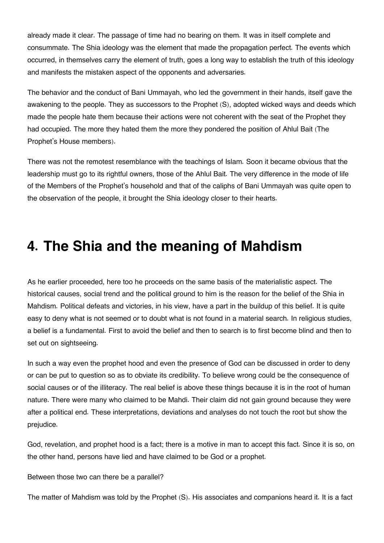already made it clear. The passage of time had no bearing on them. It was in itself complete and consummate. The Shia ideology was the element that made the propagation perfect. The events which occurred, in themselves carry the element of truth, goes a long way to establish the truth of this ideology and manifests the mistaken aspect of the opponents and adversaries.

The behavior and the conduct of Bani Ummayah, who led the government in their hands, itself gave the awakening to the people. They as successors to the Prophet (S), adopted wicked ways and deeds which made the people hate them because their actions were not coherent with the seat of the Prophet they had occupied. The more they hated them the more they pondered the position of Ahlul Bait (The Prophet's House members).

There was not the remotest resemblance with the teachings of Islam. Soon it became obvious that the leadership must go to its rightful owners, those of the Ahlul Bait. The very difference in the mode of life of the Members of the Prophet's household and that of the caliphs of Bani Ummayah was quite open to the observation of the people, it brought the Shia ideology closer to their hearts.

## **4. The Shia and the meaning of Mahdism**

As he earlier proceeded, here too he proceeds on the same basis of the materialistic aspect. The historical causes, social trend and the political ground to him is the reason for the belief of the Shia in Mahdism. Political defeats and victories, in his view, have a part in the buildup of this belief. It is quite easy to deny what is not seemed or to doubt what is not found in a material search. In religious studies, a belief is a fundamental. First to avoid the belief and then to search is to first become blind and then to set out on sightseeing.

In such a way even the prophet hood and even the presence of God can be discussed in order to deny or can be put to question so as to obviate its credibility. To believe wrong could be the consequence of social causes or of the illiteracy. The real belief is above these things because it is in the root of human nature. There were many who claimed to be Mahdi. Their claim did not gain ground because they were after a political end. These interpretations, deviations and analyses do not touch the root but show the prejudice.

God, revelation, and prophet hood is a fact; there is a motive in man to accept this fact. Since it is so, on the other hand, persons have lied and have claimed to be God or a prophet.

Between those two can there be a parallel?

The matter of Mahdism was told by the Prophet (S). His associates and companions heard it. It is a fact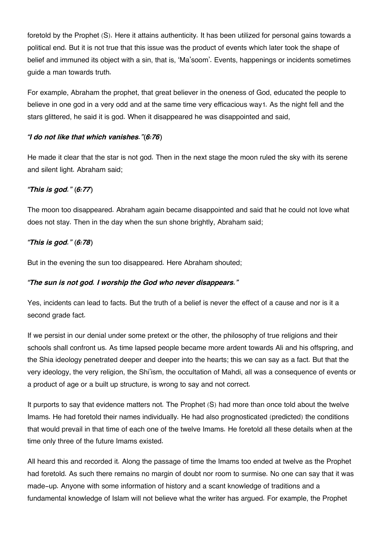foretold by the Prophet (S). Here it attains authenticity. It has been utilized for personal gains towards a political end. But it is not true that this issue was the product of events which later took the shape of belief and immuned its object with a sin, that is, 'Ma'soom'. Events, happenings or incidents sometimes guide a man towards truth.

<span id="page-24-0"></span>For example, Abraham the prophet, that great believer in the oneness of God, educated the people to believe in one god in a very odd and at the same time very efficacious way[1](#page-25-0). As the night fell and the stars glittered, he said it is god. When it disappeared he was disappointed and said,

#### *"I do not like that which vanishes."(6:76)*

He made it clear that the star is not god. Then in the next stage the moon ruled the sky with its serene and silent light. Abraham said;

#### *"This is god." (6:77)*

The moon too disappeared. Abraham again became disappointed and said that he could not love what does not stay. Then in the day when the sun shone brightly, Abraham said;

#### *"This is god." (6:78)*

But in the evening the sun too disappeared. Here Abraham shouted;

#### *"The sun is not god. I worship the God who never disappears."*

Yes, incidents can lead to facts. But the truth of a belief is never the effect of a cause and nor is it a second grade fact.

If we persist in our denial under some pretext or the other, the philosophy of true religions and their schools shall confront us. As time lapsed people became more ardent towards Ali and his offspring, and the Shia ideology penetrated deeper and deeper into the hearts; this we can say as a fact. But that the very ideology, the very religion, the Shi'ism, the occultation of Mahdi, all was a consequence of events or a product of age or a built up structure, is wrong to say and not correct.

It purports to say that evidence matters not. The Prophet (S) had more than once told about the twelve Imams. He had foretold their names individually. He had also prognosticated (predicted) the conditions that would prevail in that time of each one of the twelve Imams. He foretold all these details when at the time only three of the future Imams existed.

All heard this and recorded it. Along the passage of time the Imams too ended at twelve as the Prophet had foretold. As such there remains no margin of doubt nor room to surmise. No one can say that it was made-up. Anyone with some information of history and a scant knowledge of traditions and a fundamental knowledge of Islam will not believe what the writer has argued. For example, the Prophet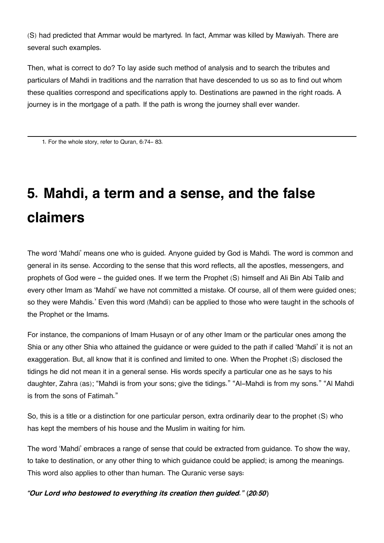(S) had predicted that Ammar would be martyred. In fact, Ammar was killed by Mawiyah. There are several such examples.

Then, what is correct to do? To lay aside such method of analysis and to search the tributes and particulars of Mahdi in traditions and the narration that have descended to us so as to find out whom these qualities correspond and specifications apply to. Destinations are pawned in the right roads. A journey is in the mortgage of a path. If the path is wrong the journey shall ever wander.

<span id="page-25-0"></span>[1.](#page-24-0) For the whole story, refer to Quran, 6:74- 83.

# **5. Mahdi, a term and a sense, and the false claimers**

The word 'Mahdi' means one who is guided. Anyone guided by God is Mahdi. The word is common and general in its sense. According to the sense that this word reflects, all the apostles, messengers, and prophets of God were - the guided ones. If we term the Prophet (S) himself and Ali Bin Abi Talib and every other Imam as 'Mahdi' we have not committed a mistake. Of course, all of them were guided ones; so they were Mahdis.' Even this word (Mahdi) can be applied to those who were taught in the schools of the Prophet or the Imams.

For instance, the companions of Imam Husayn or of any other Imam or the particular ones among the Shia or any other Shia who attained the guidance or were guided to the path if called 'Mahdi' it is not an exaggeration. But, all know that it is confined and limited to one. When the Prophet (S) disclosed the tidings he did not mean it in a general sense. His words specify a particular one as he says to his daughter, Zahra (as); "Mahdi is from your sons; give the tidings." "Al-Mahdi is from my sons." "Al Mahdi is from the sons of Fatimah."

So, this is a title or a distinction for one particular person, extra ordinarily dear to the prophet (S) who has kept the members of his house and the Muslim in waiting for him.

The word 'Mahdi' embraces a range of sense that could be extracted from guidance. To show the way, to take to destination, or any other thing to which guidance could be applied; is among the meanings. This word also applies to other than human. The Quranic verse says:

*"Our Lord who bestowed to everything its creation then guided." (20:50)*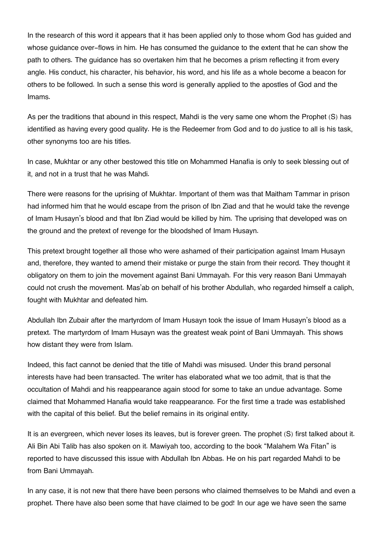In the research of this word it appears that it has been applied only to those whom God has guided and whose guidance over-flows in him. He has consumed the guidance to the extent that he can show the path to others. The guidance has so overtaken him that he becomes a prism reflecting it from every angle. His conduct, his character, his behavior, his word, and his life as a whole become a beacon for others to be followed. In such a sense this word is generally applied to the apostles of God and the Imams.

As per the traditions that abound in this respect, Mahdi is the very same one whom the Prophet (S) has identified as having every good quality. He is the Redeemer from God and to do justice to all is his task, other synonyms too are his titles.

In case, Mukhtar or any other bestowed this title on Mohammed Hanafia is only to seek blessing out of it, and not in a trust that he was Mahdi.

There were reasons for the uprising of Mukhtar. Important of them was that Maitham Tammar in prison had informed him that he would escape from the prison of Ibn Ziad and that he would take the revenge of Imam Husayn's blood and that Ibn Ziad would be killed by him. The uprising that developed was on the ground and the pretext of revenge for the bloodshed of Imam Husayn.

This pretext brought together all those who were ashamed of their participation against Imam Husayn and, therefore, they wanted to amend their mistake or purge the stain from their record. They thought it obligatory on them to join the movement against Bani Ummayah. For this very reason Bani Ummayah could not crush the movement. Mas'ab on behalf of his brother Abdullah, who regarded himself a caliph, fought with Mukhtar and defeated him.

Abdullah Ibn Zubair after the martyrdom of Imam Husayn took the issue of Imam Husayn's blood as a pretext. The martyrdom of Imam Husayn was the greatest weak point of Bani Ummayah. This shows how distant they were from Islam.

Indeed, this fact cannot be denied that the title of Mahdi was misused. Under this brand personal interests have had been transacted. The writer has elaborated what we too admit, that is that the occultation of Mahdi and his reappearance again stood for some to take an undue advantage. Some claimed that Mohammed Hanafia would take reappearance. For the first time a trade was established with the capital of this belief. But the belief remains in its original entity.

It is an evergreen, which never loses its leaves, but is forever green. The prophet (S) first talked about it. Ali Bin Abi Talib has also spoken on it. Mawiyah too, according to the book "Malahem Wa Fitan" is reported to have discussed this issue with Abdullah Ibn Abbas. He on his part regarded Mahdi to be from Bani Ummayah.

In any case, it is not new that there have been persons who claimed themselves to be Mahdi and even a prophet. There have also been some that have claimed to be god! In our age we have seen the same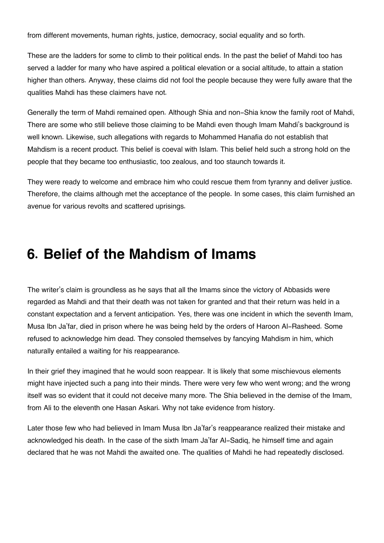from different movements, human rights, justice, democracy, social equality and so forth.

These are the ladders for some to climb to their political ends. In the past the belief of Mahdi too has served a ladder for many who have aspired a political elevation or a social altitude, to attain a station higher than others. Anyway, these claims did not fool the people because they were fully aware that the qualities Mahdi has these claimers have not.

Generally the term of Mahdi remained open. Although Shia and non-Shia know the family root of Mahdi, There are some who still believe those claiming to be Mahdi even though Imam Mahdi's background is well known. Likewise, such allegations with regards to Mohammed Hanafia do not establish that Mahdism is a recent product. This belief is coeval with Islam. This belief held such a strong hold on the people that they became too enthusiastic, too zealous, and too staunch towards it.

They were ready to welcome and embrace him who could rescue them from tyranny and deliver justice. Therefore, the claims although met the acceptance of the people. In some cases, this claim furnished an avenue for various revolts and scattered uprisings.

### **6. Belief of the Mahdism of Imams**

The writer's claim is groundless as he says that all the Imams since the victory of Abbasids were regarded as Mahdi and that their death was not taken for granted and that their return was held in a constant expectation and a fervent anticipation. Yes, there was one incident in which the seventh Imam, Musa Ibn Ja'far, died in prison where he was being held by the orders of Haroon Al-Rasheed. Some refused to acknowledge him dead. They consoled themselves by fancying Mahdism in him, which naturally entailed a waiting for his reappearance.

In their grief they imagined that he would soon reappear. It is likely that some mischievous elements might have injected such a pang into their minds. There were very few who went wrong; and the wrong itself was so evident that it could not deceive many more. The Shia believed in the demise of the Imam, from Ali to the eleventh one Hasan Askari. Why not take evidence from history.

Later those few who had believed in Imam Musa Ibn Ja'far's reappearance realized their mistake and acknowledged his death. In the case of the sixth Imam Ja'far Al-Sadiq, he himself time and again declared that he was not Mahdi the awaited one. The qualities of Mahdi he had repeatedly disclosed.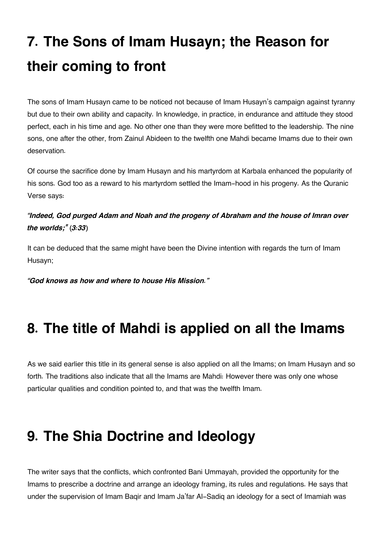# **7. The Sons of Imam Husayn; the Reason for their coming to front**

The sons of Imam Husayn came to be noticed not because of Imam Husayn's campaign against tyranny but due to their own ability and capacity. In knowledge, in practice, in endurance and attitude they stood perfect, each in his time and age. No other one than they were more befitted to the leadership. The nine sons, one after the other, from Zainul Abideen to the twelfth one Mahdi became Imams due to their own deservation.

Of course the sacrifice done by Imam Husayn and his martyrdom at Karbala enhanced the popularity of his sons. God too as a reward to his martyrdom settled the Imam-hood in his progeny. As the Quranic Verse says:

### *"Indeed, God purged Adam and Noah and the progeny of Abraham and the house of Imran over the worlds;" (3:33)*

It can be deduced that the same might have been the Divine intention with regards the turn of Imam Husayn;

*"God knows as how and where to house His Mission."*

# **8. The title of Mahdi is applied on all the Imams**

As we said earlier this title in its general sense is also applied on all the Imams; on Imam Husayn and so forth. The traditions also indicate that all the Imams are Mahdi: However there was only one whose particular qualities and condition pointed to, and that was the twelfth Imam.

# **9. The Shia Doctrine and Ideology**

The writer says that the conflicts, which confronted Bani Ummayah, provided the opportunity for the Imams to prescribe a doctrine and arrange an ideology framing, its rules and regulations. He says that under the supervision of Imam Baqir and Imam Ja'far Al-Sadiq an ideology for a sect of Imamiah was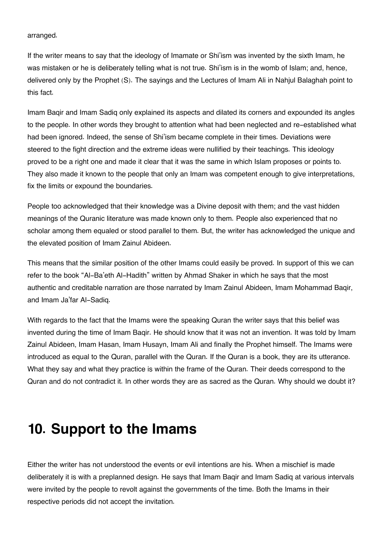arranged.

If the writer means to say that the ideology of Imamate or Shi'ism was invented by the sixth Imam, he was mistaken or he is deliberately telling what is not true. Shi'ism is in the womb of Islam; and, hence, delivered only by the Prophet (S). The sayings and the Lectures of Imam Ali in Nahjul Balaghah point to this fact.

Imam Baqir and Imam Sadiq only explained its aspects and dilated its corners and expounded its angles to the people. In other words they brought to attention what had been neglected and re-established what had been ignored. Indeed, the sense of Shi'ism became complete in their times. Deviations were steered to the fight direction and the extreme ideas were nullified by their teachings. This ideology proved to be a right one and made it clear that it was the same in which Islam proposes or points to. They also made it known to the people that only an Imam was competent enough to give interpretations, fix the limits or expound the boundaries.

People too acknowledged that their knowledge was a Divine deposit with them; and the vast hidden meanings of the Quranic literature was made known only to them. People also experienced that no scholar among them equaled or stood parallel to them. But, the writer has acknowledged the unique and the elevated position of Imam Zainul Abideen.

This means that the similar position of the other Imams could easily be proved. In support of this we can refer to the book "Al-Ba'eth Al-Hadith" written by Ahmad Shaker in which he says that the most authentic and creditable narration are those narrated by Imam Zainul Abideen, Imam Mohammad Baqir, and Imam Ja'far Al-Sadiq.

With regards to the fact that the Imams were the speaking Quran the writer says that this belief was invented during the time of Imam Baqir. He should know that it was not an invention. It was told by Imam Zainul Abideen, Imam Hasan, Imam Husayn, Imam Ali and finally the Prophet himself. The Imams were introduced as equal to the Quran, parallel with the Quran. If the Quran is a book, they are its utterance. What they say and what they practice is within the frame of the Quran. Their deeds correspond to the Quran and do not contradict it. In other words they are as sacred as the Quran. Why should we doubt it?

### **10. Support to the Imams**

Either the writer has not understood the events or evil intentions are his. When a mischief is made deliberately it is with a preplanned design. He says that Imam Baqir and Imam Sadiq at various intervals were invited by the people to revolt against the governments of the time. Both the Imams in their respective periods did not accept the invitation.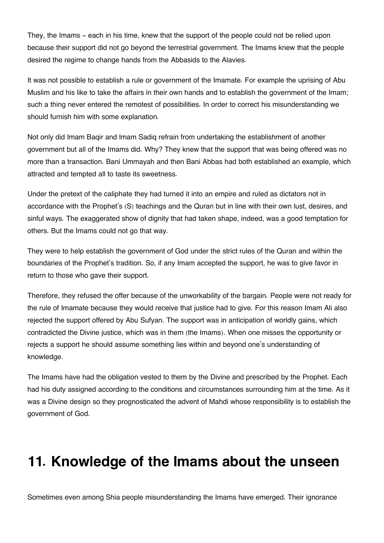They, the Imams - each in his time, knew that the support of the people could not be relied upon because their support did not go beyond the terrestrial government. The Imams knew that the people desired the regime to change hands from the Abbasids to the Alavies.

It was not possible to establish a rule or government of the Imamate. For example the uprising of Abu Muslim and his like to take the affairs in their own hands and to establish the government of the Imam; such a thing never entered the remotest of possibilities. In order to correct his misunderstanding we should furnish him with some explanation.

Not only did Imam Baqir and lmam Sadiq refrain from undertaking the establishment of another government but all of the Imams did. Why? They knew that the support that was being offered was no more than a transaction. Bani Ummayah and then Bani Abbas had both established an example, which attracted and tempted all to taste its sweetness.

Under the pretext of the caliphate they had turned it into an empire and ruled as dictators not in accordance with the Prophet's (S) teachings and the Quran but in line with their own lust, desires, and sinful ways. The exaggerated show of dignity that had taken shape, indeed, was a good temptation for others. But the Imams could not go that way.

They were to help establish the government of God under the strict rules of the Quran and within the boundaries of the Prophet's tradition. So, if any Imam accepted the support, he was to give favor in return to those who gave their support.

Therefore, they refused the offer because of the unworkability of the bargain. People were not ready for the rule of Imamate because they would receive that justice had to give. For this reason Imam Ali also rejected the support offered by Abu Sufyan. The support was in anticipation of worldly gains, which contradicted the Divine justice, which was in them (the Imams). When one misses the opportunity or rejects a support he should assume something lies within and beyond one's understanding of knowledge.

The Imams have had the obligation vested to them by the Divine and prescribed by the Prophet. Each had his duty assigned according to the conditions and circumstances surrounding him at the time. As it was a Divine design so they prognosticated the advent of Mahdi whose responsibility is to establish the government of God.

# **11. Knowledge of the Imams about the unseen**

Sometimes even among Shia people misunderstanding the Imams have emerged. Their ignorance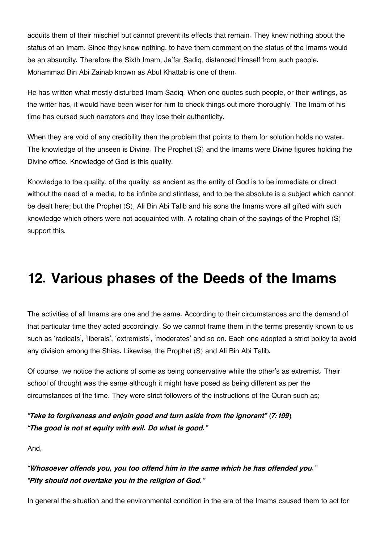acquits them of their mischief but cannot prevent its effects that remain. They knew nothing about the status of an Imam. Since they knew nothing, to have them comment on the status of the Imams would be an absurdity. Therefore the Sixth Imam, Ja'far Sadiq, distanced himself from such people. Mohammad Bin Abi Zainab known as Abul Khattab is one of them.

He has written what mostly disturbed Imam Sadiq. When one quotes such people, or their writings, as the writer has, it would have been wiser for him to check things out more thoroughly. The Imam of his time has cursed such narrators and they lose their authenticity.

When they are void of any credibility then the problem that points to them for solution holds no water. The knowledge of the unseen is Divine. The Prophet (S) and the Imams were Divine figures holding the Divine office. Knowledge of God is this quality.

Knowledge to the quality, of the quality, as ancient as the entity of God is to be immediate or direct without the need of a media, to be infinite and stintless, and to be the absolute is a subject which cannot be dealt here; but the Prophet (S), Ali Bin Abi Talib and his sons the Imams wore all gifted with such knowledge which others were not acquainted with. A rotating chain of the sayings of the Prophet (S) support this.

# **12. Various phases of the Deeds of the Imams**

The activities of all Imams are one and the same. According to their circumstances and the demand of that particular time they acted accordingly. So we cannot frame them in the terms presently known to us such as 'radicals', 'liberals', 'extremists', 'moderates' and so on. Each one adopted a strict policy to avoid any division among the Shias. Likewise, the Prophet (S) and Ali Bin Abi Talib.

Of course, we notice the actions of some as being conservative while the other's as extremist. Their school of thought was the same although it might have posed as being different as per the circumstances of the time. They were strict followers of the instructions of the Quran such as;

*"Take to forgiveness and enjoin good and turn aside from the ignorant" (7:199) "The good is not at equity with evil. Do what is good."*

And,

*"Whosoever offends you, you too offend him in the same which he has offended you." "Pity should not overtake you in the religion of God."*

In general the situation and the environmental condition in the era of the Imams caused them to act for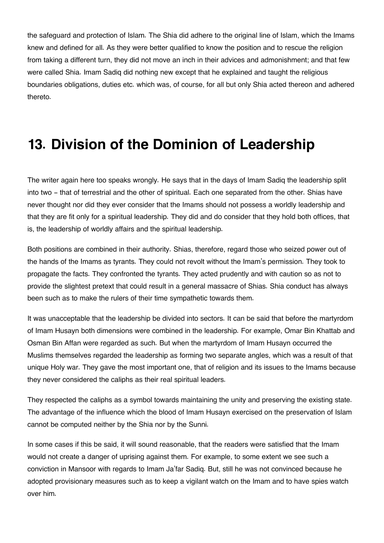the safeguard and protection of Islam. The Shia did adhere to the original line of Islam, which the Imams knew and defined for all. As they were better qualified to know the position and to rescue the religion from taking a different turn, they did not move an inch in their advices and admonishment; and that few were called Shia. Imam Sadiq did nothing new except that he explained and taught the religious boundaries obligations, duties etc. which was, of course, for all but only Shia acted thereon and adhered thereto.

## **13. Division of the Dominion of Leadership**

The writer again here too speaks wrongly. He says that in the days of Imam Sadiq the leadership split into two - that of terrestrial and the other of spiritual. Each one separated from the other. Shias have never thought nor did they ever consider that the Imams should not possess a worldly leadership and that they are fit only for a spiritual leadership. They did and do consider that they hold both offices, that is, the leadership of worldly affairs and the spiritual leadership.

Both positions are combined in their authority. Shias, therefore, regard those who seized power out of the hands of the Imams as tyrants. They could not revolt without the Imam's permission. They took to propagate the facts. They confronted the tyrants. They acted prudently and with caution so as not to provide the slightest pretext that could result in a general massacre of Shias. Shia conduct has always been such as to make the rulers of their time sympathetic towards them.

It was unacceptable that the leadership be divided into sectors. It can be said that before the martyrdom of Imam Husayn both dimensions were combined in the leadership. For example, Omar Bin Khattab and Osman Bin Affan were regarded as such. But when the martyrdom of Imam Husayn occurred the Muslims themselves regarded the leadership as forming two separate angles, which was a result of that unique Holy war. They gave the most important one, that of religion and its issues to the Imams because they never considered the caliphs as their real spiritual leaders.

They respected the caliphs as a symbol towards maintaining the unity and preserving the existing state. The advantage of the influence which the blood of Imam Husayn exercised on the preservation of Islam cannot be computed neither by the Shia nor by the Sunni.

In some cases if this be said, it will sound reasonable, that the readers were satisfied that the Imam would not create a danger of uprising against them. For example, to some extent we see such a conviction in Mansoor with regards to Imam Ja'far Sadiq. But, still he was not convinced because he adopted provisionary measures such as to keep a vigilant watch on the Imam and to have spies watch over him.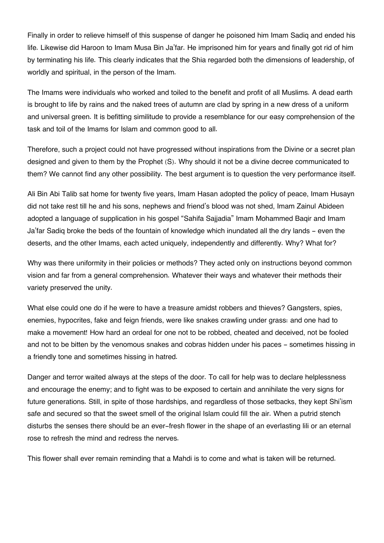Finally in order to relieve himself of this suspense of danger he poisoned him Imam Sadiq and ended his life. Likewise did Haroon to Imam Musa Bin Ja'far. He imprisoned him for years and finally got rid of him by terminating his life. This clearly indicates that the Shia regarded both the dimensions of leadership, of worldly and spiritual, in the person of the Imam.

The Imams were individuals who worked and toiled to the benefit and profit of all Muslims. A dead earth is brought to life by rains and the naked trees of autumn are clad by spring in a new dress of a uniform and universal green. It is befitting similitude to provide a resemblance for our easy comprehension of the task and toil of the Imams for Islam and common good to all.

Therefore, such a project could not have progressed without inspirations from the Divine or a secret plan designed and given to them by the Prophet (S). Why should it not be a divine decree communicated to them? We cannot find any other possibility. The best argument is to question the very performance itself.

Ali Bin Abi Talib sat home for twenty five years, Imam Hasan adopted the policy of peace, Imam Husayn did not take rest till he and his sons, nephews and friend's blood was not shed, Imam Zainul Abideen adopted a language of supplication in his gospel "Sahifa Sajjadia" Imam Mohammed Baqir and Imam Ja'far Sadiq broke the beds of the fountain of knowledge which inundated all the dry lands - even the deserts, and the other Imams, each acted uniquely, independently and differently. Why? What for?

Why was there uniformity in their policies or methods? They acted only on instructions beyond common vision and far from a general comprehension. Whatever their ways and whatever their methods their variety preserved the unity.

What else could one do if he were to have a treasure amidst robbers and thieves? Gangsters, spies, enemies, hypocrites, fake and feign friends, were like snakes crawling under grass: and one had to make a movement! How hard an ordeal for one not to be robbed, cheated and deceived, not be fooled and not to be bitten by the venomous snakes and cobras hidden under his paces - sometimes hissing in a friendly tone and sometimes hissing in hatred.

Danger and terror waited always at the steps of the door. To call for help was to declare helplessness and encourage the enemy; and to fight was to be exposed to certain and annihilate the very signs for future generations. Still, in spite of those hardships, and regardless of those setbacks, they kept Shi'ism safe and secured so that the sweet smell of the original Islam could fill the air. When a putrid stench disturbs the senses there should be an ever-fresh flower in the shape of an everlasting lili or an eternal rose to refresh the mind and redress the nerves.

This flower shall ever remain reminding that a Mahdi is to come and what is taken will be returned.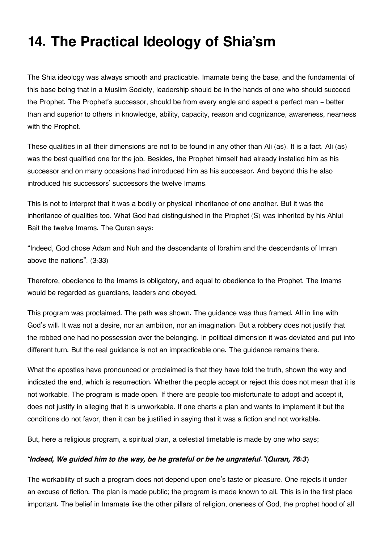# **14. The Practical Ideology of Shia'sm**

The Shia ideology was always smooth and practicable. Imamate being the base, and the fundamental of this base being that in a Muslim Society, leadership should be in the hands of one who should succeed the Prophet. The Prophet's successor, should be from every angle and aspect a perfect man - better than and superior to others in knowledge, ability, capacity, reason and cognizance, awareness, nearness with the Prophet.

These qualities in all their dimensions are not to be found in any other than Ali (as). It is a fact. Ali (as) was the best qualified one for the job. Besides, the Prophet himself had already installed him as his successor and on many occasions had introduced him as his successor. And beyond this he also introduced his successors' successors the twelve Imams.

This is not to interpret that it was a bodily or physical inheritance of one another. But it was the inheritance of qualities too. What God had distinguished in the Prophet (S) was inherited by his Ahlul Bait the twelve Imams. The Quran says:

"Indeed, God chose Adam and Nuh and the descendants of Ibrahim and the descendants of Imran above the nations". (3:33)

Therefore, obedience to the Imams is obligatory, and equal to obedience to the Prophet. The Imams would be regarded as guardians, leaders and obeyed.

This program was proclaimed. The path was shown. The guidance was thus framed. All in line with God's will. It was not a desire, nor an ambition, nor an imagination. But a robbery does not justify that the robbed one had no possession over the belonging. In political dimension it was deviated and put into different turn. But the real guidance is not an impracticable one. The guidance remains there.

What the apostles have pronounced or proclaimed is that they have told the truth, shown the way and indicated the end, which is resurrection. Whether the people accept or reject this does not mean that it is not workable. The program is made open. If there are people too misfortunate to adopt and accept it, does not justify in alleging that it is unworkable. If one charts a plan and wants to implement it but the conditions do not favor, then it can be justified in saying that it was a fiction and not workable.

But, here a religious program, a spiritual plan, a celestial timetable is made by one who says;

#### *"Indeed, We guided him to the way, be he grateful or be he ungrateful."(Quran, 76:3)*

The workability of such a program does not depend upon one's taste or pleasure. One rejects it under an excuse of fiction. The plan is made public; the program is made known to all. This is in the first place important. The belief in Imamate like the other pillars of religion, oneness of God, the prophet hood of all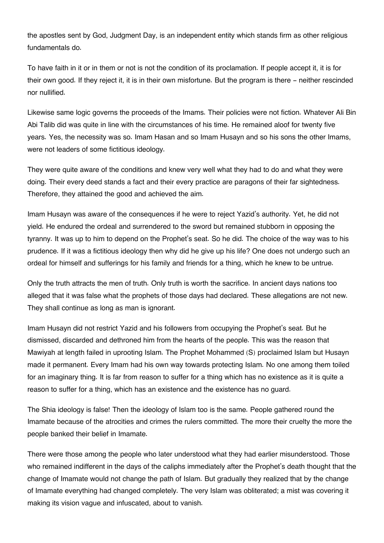the apostles sent by God, Judgment Day, is an independent entity which stands firm as other religious fundamentals do.

To have faith in it or in them or not is not the condition of its proclamation. If people accept it, it is for their own good. If they reject it, it is in their own misfortune. But the program is there - neither rescinded nor nullified.

Likewise same logic governs the proceeds of the Imams. Their policies were not fiction. Whatever Ali Bin Abi Talib did was quite in line with the circumstances of his time. He remained aloof for twenty five years. Yes, the necessity was so. Imam Hasan and so Imam Husayn and so his sons the other Imams, were not leaders of some fictitious ideology.

They were quite aware of the conditions and knew very well what they had to do and what they were doing. Their every deed stands a fact and their every practice are paragons of their far sightedness. Therefore, they attained the good and achieved the aim.

Imam Husayn was aware of the consequences if he were to reject Yazid's authority. Yet, he did not yield. He endured the ordeal and surrendered to the sword but remained stubborn in opposing the tyranny. It was up to him to depend on the Prophet's seat. So he did. The choice of the way was to his prudence. If it was a fictitious ideology then why did he give up his life? One does not undergo such an ordeal for himself and sufferings for his family and friends for a thing, which he knew to be untrue.

Only the truth attracts the men of truth. Only truth is worth the sacrifice. In ancient days nations too alleged that it was false what the prophets of those days had declared. These allegations are not new. They shall continue as long as man is ignorant.

Imam Husayn did not restrict Yazid and his followers from occupying the Prophet's seat. But he dismissed, discarded and dethroned him from the hearts of the people. This was the reason that Mawiyah at length failed in uprooting Islam. The Prophet Mohammed (S) proclaimed Islam but Husayn made it permanent. Every Imam had his own way towards protecting Islam. No one among them toiled for an imaginary thing. It is far from reason to suffer for a thing which has no existence as it is quite a reason to suffer for a thing, which has an existence and the existence has no guard.

The Shia ideology is false! Then the ideology of Islam too is the same. People gathered round the Imamate because of the atrocities and crimes the rulers committed. The more their cruelty the more the people banked their belief in Imamate.

There were those among the people who later understood what they had earlier misunderstood. Those who remained indifferent in the days of the caliphs immediately after the Prophet's death thought that the change of Imamate would not change the path of Islam. But gradually they realized that by the change of Imamate everything had changed completely. The very Islam was obliterated; a mist was covering it making its vision vague and infuscated, about to vanish.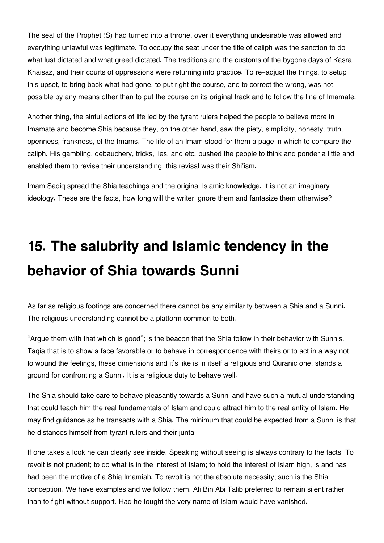The seal of the Prophet (S) had turned into a throne, over it everything undesirable was allowed and everything unlawful was legitimate. To occupy the seat under the title of caliph was the sanction to do what lust dictated and what greed dictated. The traditions and the customs of the bygone days of Kasra, Khaisaz, and their courts of oppressions were returning into practice. To re-adjust the things, to setup this upset, to bring back what had gone, to put right the course, and to correct the wrong, was not possible by any means other than to put the course on its original track and to follow the line of Imamate.

Another thing, the sinful actions of life led by the tyrant rulers helped the people to believe more in Imamate and become Shia because they, on the other hand, saw the piety, simplicity, honesty, truth, openness, frankness, of the Imams. The life of an Imam stood for them a page in which to compare the caliph. His gambling, debauchery, tricks, lies, and etc. pushed the people to think and ponder a little and enabled them to revise their understanding, this revisal was their Shi'ism.

Imam Sadiq spread the Shia teachings and the original Islamic knowledge. It is not an imaginary ideology. These are the facts, how long will the writer ignore them and fantasize them otherwise?

## **15. The salubrity and Islamic tendency in the behavior of Shia towards Sunni**

As far as religious footings are concerned there cannot be any similarity between a Shia and a Sunni. The religious understanding cannot be a platform common to both.

"Argue them with that which is good"; is the beacon that the Shia follow in their behavior with Sunnis. Taqia that is to show a face favorable or to behave in correspondence with theirs or to act in a way not to wound the feelings, these dimensions and it's like is in itself a religious and Quranic one, stands a ground for confronting a Sunni. It is a religious duty to behave well.

The Shia should take care to behave pleasantly towards a Sunni and have such a mutual understanding that could teach him the real fundamentals of Islam and could attract him to the real entity of Islam. He may find guidance as he transacts with a Shia. The minimum that could be expected from a Sunni is that he distances himself from tyrant rulers and their junta.

If one takes a look he can clearly see inside. Speaking without seeing is always contrary to the facts. To revolt is not prudent; to do what is in the interest of Islam; to hold the interest of Islam high, is and has had been the motive of a Shia Imamiah. To revolt is not the absolute necessity; such is the Shia conception. We have examples and we follow them. Ali Bin Abi Talib preferred to remain silent rather than to fight without support. Had he fought the very name of Islam would have vanished.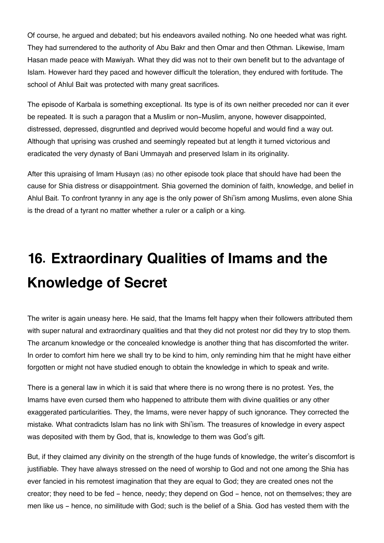Of course, he argued and debated; but his endeavors availed nothing. No one heeded what was right. They had surrendered to the authority of Abu Bakr and then Omar and then Othman. Likewise, Imam Hasan made peace with Mawiyah. What they did was not to their own benefit but to the advantage of Islam. However hard they paced and however difficult the toleration, they endured with fortitude. The school of Ahlul Bait was protected with many great sacrifices.

The episode of Karbala is something exceptional. Its type is of its own neither preceded nor can it ever be repeated. It is such a paragon that a Muslim or non-Muslim, anyone, however disappointed, distressed, depressed, disgruntled and deprived would become hopeful and would find a way out. Although that uprising was crushed and seemingly repeated but at length it turned victorious and eradicated the very dynasty of Bani Ummayah and preserved Islam in its originality.

After this upraising of Imam Husayn (as) no other episode took place that should have had been the cause for Shia distress or disappointment. Shia governed the dominion of faith, knowledge, and belief in Ahlul Bait. To confront tyranny in any age is the only power of Shi'ism among Muslims, even alone Shia is the dread of a tyrant no matter whether a ruler or a caliph or a king.

# **16. Extraordinary Qualities of Imams and the Knowledge of Secret**

The writer is again uneasy here. He said, that the Imams felt happy when their followers attributed them with super natural and extraordinary qualities and that they did not protest nor did they try to stop them. The arcanum knowledge or the concealed knowledge is another thing that has discomforted the writer. In order to comfort him here we shall try to be kind to him, only reminding him that he might have either forgotten or might not have studied enough to obtain the knowledge in which to speak and write.

There is a general law in which it is said that where there is no wrong there is no protest. Yes, the Imams have even cursed them who happened to attribute them with divine qualities or any other exaggerated particularities. They, the Imams, were never happy of such ignorance. They corrected the mistake. What contradicts Islam has no link with Shi'ism. The treasures of knowledge in every aspect was deposited with them by God, that is, knowledge to them was God's gift.

But, if they claimed any divinity on the strength of the huge funds of knowledge, the writer's discomfort is justifiable. They have always stressed on the need of worship to God and not one among the Shia has ever fancied in his remotest imagination that they are equal to God; they are created ones not the creator; they need to be fed - hence, needy; they depend on God - hence, not on themselves; they are men like us - hence, no similitude with God; such is the belief of a Shia. God has vested them with the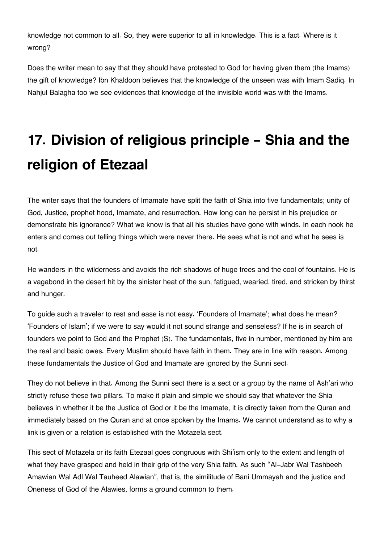knowledge not common to all. So, they were superior to all in knowledge. This is a fact. Where is it wrong?

Does the writer mean to say that they should have protested to God for having given them (the Imams) the gift of knowledge? Ibn Khaldoon believes that the knowledge of the unseen was with Imam Sadiq. In Nahjul Balagha too we see evidences that knowledge of the invisible world was with the Imams.

## **17. Division of religious principle - Shia and the religion of Etezaal**

The writer says that the founders of Imamate have split the faith of Shia into five fundamentals; unity of God, Justice, prophet hood, Imamate, and resurrection. How long can he persist in his prejudice or demonstrate his ignorance? What we know is that all his studies have gone with winds. In each nook he enters and comes out telling things which were never there. He sees what is not and what he sees is not.

He wanders in the wilderness and avoids the rich shadows of huge trees and the cool of fountains. He is a vagabond in the desert hit by the sinister heat of the sun, fatigued, wearied, tired, and stricken by thirst and hunger.

To guide such a traveler to rest and ease is not easy. 'Founders of Imamate'; what does he mean? 'Founders of Islam'; if we were to say would it not sound strange and senseless? If he is in search of founders we point to God and the Prophet (S). The fundamentals, five in number, mentioned by him are the real and basic owes. Every Muslim should have faith in them. They are in line with reason. Among these fundamentals the Justice of God and Imamate are ignored by the Sunni sect.

They do not believe in that. Among the Sunni sect there is a sect or a group by the name of Ash'ari who strictly refuse these two pillars. To make it plain and simple we should say that whatever the Shia believes in whether it be the Justice of God or it be the Imamate, it is directly taken from the Quran and immediately based on the Quran and at once spoken by the Imams. We cannot understand as to why a link is given or a relation is established with the Motazela sect.

This sect of Motazela or its faith Etezaal goes congruous with Shi'ism only to the extent and length of what they have grasped and held in their grip of the very Shia faith. As such "Al-Jabr Wal Tashbeeh Amawian Wal Adl Wal Tauheed Alawian", that is, the similitude of Bani Ummayah and the justice and Oneness of God of the Alawies, forms a ground common to them.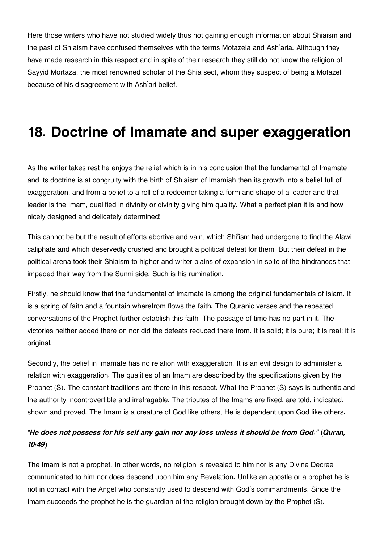Here those writers who have not studied widely thus not gaining enough information about Shiaism and the past of Shiaism have confused themselves with the terms Motazela and Ash'aria. Although they have made research in this respect and in spite of their research they still do not know the religion of Sayyid Mortaza, the most renowned scholar of the Shia sect, whom they suspect of being a Motazel because of his disagreement with Ash'ari belief.

### **18. Doctrine of Imamate and super exaggeration**

As the writer takes rest he enjoys the relief which is in his conclusion that the fundamental of Imamate and its doctrine is at congruity with the birth of Shiaism of Imamiah then its growth into a belief full of exaggeration, and from a belief to a roll of a redeemer taking a form and shape of a leader and that leader is the Imam, qualified in divinity or divinity giving him quality. What a perfect plan it is and how nicely designed and delicately determined!

This cannot be but the result of efforts abortive and vain, which Shi'ism had undergone to find the Alawi caliphate and which deservedly crushed and brought a political defeat for them. But their defeat in the political arena took their Shiaism to higher and writer plains of expansion in spite of the hindrances that impeded their way from the Sunni side. Such is his rumination.

Firstly, he should know that the fundamental of Imamate is among the original fundamentals of Islam. It is a spring of faith and a fountain wherefrom flows the faith. The Quranic verses and the repeated conversations of the Prophet further establish this faith. The passage of time has no part in it. The victories neither added there on nor did the defeats reduced there from. It is solid; it is pure; it is real; it is original.

Secondly, the belief in Imamate has no relation with exaggeration. It is an evil design to administer a relation with exaggeration. The qualities of an Imam are described by the specifications given by the Prophet (S). The constant traditions are there in this respect. What the Prophet (S) says is authentic and the authority incontrovertible and irrefragable. The tributes of the Imams are fixed, are told, indicated, shown and proved. The Imam is a creature of God like others, He is dependent upon God like others.

#### *"He does not possess for his self any gain nor any loss unless it should be from God." (Quran, 10:49)*

The Imam is not a prophet. In other words, no religion is revealed to him nor is any Divine Decree communicated to him nor does descend upon him any Revelation. Unlike an apostle or a prophet he is not in contact with the Angel who constantly used to descend with God's commandments. Since the Imam succeeds the prophet he is the guardian of the religion brought down by the Prophet (S).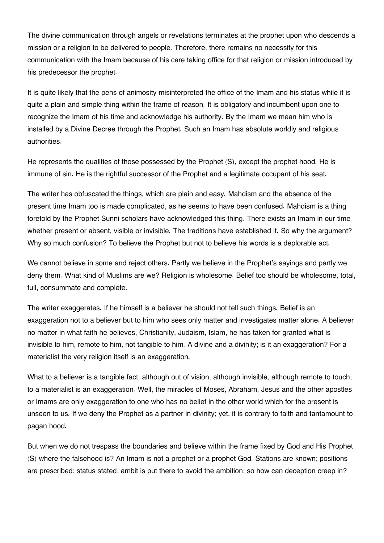The divine communication through angels or revelations terminates at the prophet upon who descends a mission or a religion to be delivered to people. Therefore, there remains no necessity for this communication with the Imam because of his care taking office for that religion or mission introduced by his predecessor the prophet.

It is quite likely that the pens of animosity misinterpreted the office of the Imam and his status while it is quite a plain and simple thing within the frame of reason. It is obligatory and incumbent upon one to recognize the Imam of his time and acknowledge his authority. By the Imam we mean him who is installed by a Divine Decree through the Prophet. Such an Imam has absolute worldly and religious authorities.

He represents the qualities of those possessed by the Prophet (S), except the prophet hood. He is immune of sin. He is the rightful successor of the Prophet and a legitimate occupant of his seat.

The writer has obfuscated the things, which are plain and easy. Mahdism and the absence of the present time Imam too is made complicated, as he seems to have been confused. Mahdism is a thing foretold by the Prophet Sunni scholars have acknowledged this thing. There exists an Imam in our time whether present or absent, visible or invisible. The traditions have established it. So why the argument? Why so much confusion? To believe the Prophet but not to believe his words is a deplorable act.

We cannot believe in some and reject others. Partly we believe in the Prophet's sayings and partly we deny them. What kind of Muslims are we? Religion is wholesome. Belief too should be wholesome, total, full, consummate and complete.

The writer exaggerates. If he himself is a believer he should not tell such things. Belief is an exaggeration not to a believer but to him who sees only matter and investigates matter alone. A believer no matter in what faith he believes, Christianity, Judaism, Islam, he has taken for granted what is invisible to him, remote to him, not tangible to him. A divine and a divinity; is it an exaggeration? For a materialist the very religion itself is an exaggeration.

What to a believer is a tangible fact, although out of vision, although invisible, although remote to touch; to a materialist is an exaggeration. Well, the miracles of Moses, Abraham, Jesus and the other apostles or Imams are only exaggeration to one who has no belief in the other world which for the present is unseen to us. If we deny the Prophet as a partner in divinity; yet, it is contrary to faith and tantamount to pagan hood.

But when we do not trespass the boundaries and believe within the frame fixed by God and His Prophet (S) where the falsehood is? An Imam is not a prophet or a prophet God. Stations are known; positions are prescribed; status stated; ambit is put there to avoid the ambition; so how can deception creep in?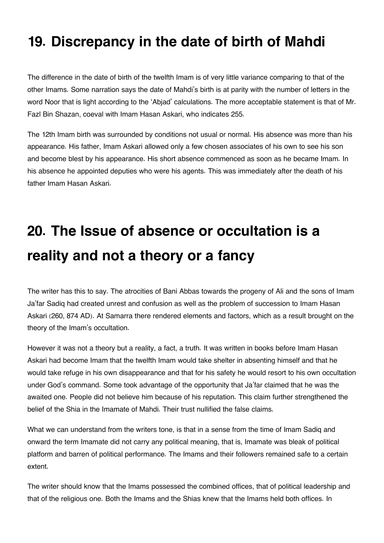### **19. Discrepancy in the date of birth of Mahdi**

The difference in the date of birth of the twelfth Imam is of very little variance comparing to that of the other Imams. Some narration says the date of Mahdi's birth is at parity with the number of letters in the word Noor that is light according to the 'Abjad' calculations. The more acceptable statement is that of Mr. Fazl Bin Shazan, coeval with Imam Hasan Askari, who indicates 255.

The 12th Imam birth was surrounded by conditions not usual or normal. His absence was more than his appearance. His father, Imam Askari allowed only a few chosen associates of his own to see his son and become blest by his appearance. His short absence commenced as soon as he became Imam. In his absence he appointed deputies who were his agents. This was immediately after the death of his father Imam Hasan Askari.

# **20. The Issue of absence or occultation is a reality and not a theory or a fancy**

The writer has this to say. The atrocities of Bani Abbas towards the progeny of Ali and the sons of Imam Ja'far Sadiq had created unrest and confusion as well as the problem of succession to Imam Hasan Askari (260, 874 AD). At Samarra there rendered elements and factors, which as a result brought on the theory of the Imam's occultation.

However it was not a theory but a reality, a fact, a truth. It was written in books before Imam Hasan Askari had become Imam that the twelfth Imam would take shelter in absenting himself and that he would take refuge in his own disappearance and that for his safety he would resort to his own occultation under God's command. Some took advantage of the opportunity that Ja'far claimed that he was the awaited one. People did not believe him because of his reputation. This claim further strengthened the belief of the Shia in the Imamate of Mahdi. Their trust nullified the false claims.

What we can understand from the writers tone, is that in a sense from the time of Imam Sadiq and onward the term Imamate did not carry any political meaning, that is, Imamate was bleak of political platform and barren of political performance. The Imams and their followers remained safe to a certain extent.

The writer should know that the Imams possessed the combined offices, that of political leadership and that of the religious one. Both the Imams and the Shias knew that the Imams held both offices. In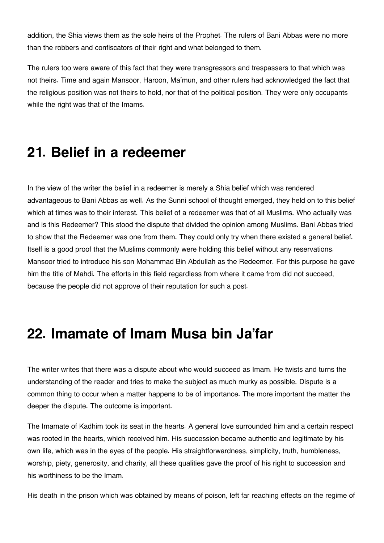addition, the Shia views them as the sole heirs of the Prophet. The rulers of Bani Abbas were no more than the robbers and confiscators of their right and what belonged to them.

The rulers too were aware of this fact that they were transgressors and trespassers to that which was not theirs. Time and again Mansoor, Haroon, Ma'mun, and other rulers had acknowledged the fact that the religious position was not theirs to hold, nor that of the political position. They were only occupants while the right was that of the Imams.

#### **21. Belief in a redeemer**

In the view of the writer the belief in a redeemer is merely a Shia belief which was rendered advantageous to Bani Abbas as well. As the Sunni school of thought emerged, they held on to this belief which at times was to their interest. This belief of a redeemer was that of all Muslims. Who actually was and is this Redeemer? This stood the dispute that divided the opinion among Muslims. Bani Abbas tried to show that the Redeemer was one from them. They could only try when there existed a general belief. Itself is a good proof that the Muslims commonly were holding this belief without any reservations. Mansoor tried to introduce his son Mohammad Bin Abdullah as the Redeemer. For this purpose he gave him the title of Mahdi. The efforts in this field regardless from where it came from did not succeed, because the people did not approve of their reputation for such a post.

#### **22. Imamate of Imam Musa bin Ja'far**

The writer writes that there was a dispute about who would succeed as Imam. He twists and turns the understanding of the reader and tries to make the subject as much murky as possible. Dispute is a common thing to occur when a matter happens to be of importance. The more important the matter the deeper the dispute. The outcome is important.

The Imamate of Kadhim took its seat in the hearts. A general love surrounded him and a certain respect was rooted in the hearts, which received him. His succession became authentic and legitimate by his own life, which was in the eyes of the people. His straightforwardness, simplicity, truth, humbleness, worship, piety, generosity, and charity, all these qualities gave the proof of his right to succession and his worthiness to be the Imam.

His death in the prison which was obtained by means of poison, left far reaching effects on the regime of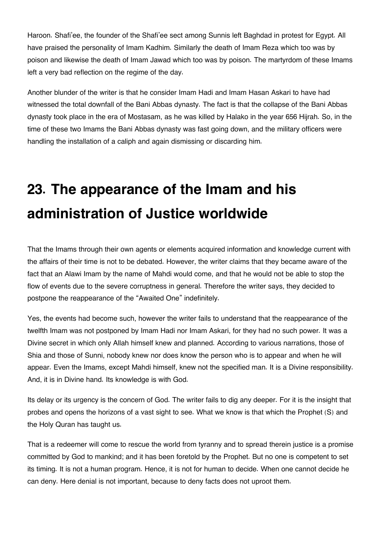Haroon. Shafi'ee, the founder of the Shafi'ee sect among Sunnis left Baghdad in protest for Egypt. All have praised the personality of Imam Kadhim. Similarly the death of Imam Reza which too was by poison and likewise the death of Imam Jawad which too was by poison. The martyrdom of these Imams left a very bad reflection on the regime of the day.

Another blunder of the writer is that he consider Imam Hadi and Imam Hasan Askari to have had witnessed the total downfall of the Bani Abbas dynasty. The fact is that the collapse of the Bani Abbas dynasty took place in the era of Mostasam, as he was killed by Halako in the year 656 Hijrah. So, in the time of these two Imams the Bani Abbas dynasty was fast going down, and the military officers were handling the installation of a caliph and again dismissing or discarding him.

## **23. The appearance of the Imam and his administration of Justice worldwide**

That the Imams through their own agents or elements acquired information and knowledge current with the affairs of their time is not to be debated. However, the writer claims that they became aware of the fact that an Alawi Imam by the name of Mahdi would come, and that he would not be able to stop the flow of events due to the severe corruptness in general. Therefore the writer says, they decided to postpone the reappearance of the "Awaited One" indefinitely.

Yes, the events had become such, however the writer fails to understand that the reappearance of the twelfth Imam was not postponed by Imam Hadi nor Imam Askari, for they had no such power. It was a Divine secret in which only Allah himself knew and planned. According to various narrations, those of Shia and those of Sunni, nobody knew nor does know the person who is to appear and when he will appear. Even the Imams, except Mahdi himself, knew not the specified man. It is a Divine responsibility. And, it is in Divine hand. Its knowledge is with God.

Its delay or its urgency is the concern of God. The writer fails to dig any deeper. For it is the insight that probes and opens the horizons of a vast sight to see. What we know is that which the Prophet (S) and the Holy Quran has taught us.

That is a redeemer will come to rescue the world from tyranny and to spread therein justice is a promise committed by God to mankind; and it has been foretold by the Prophet. But no one is competent to set its timing. It is not a human program. Hence, it is not for human to decide. When one cannot decide he can deny. Here denial is not important, because to deny facts does not uproot them.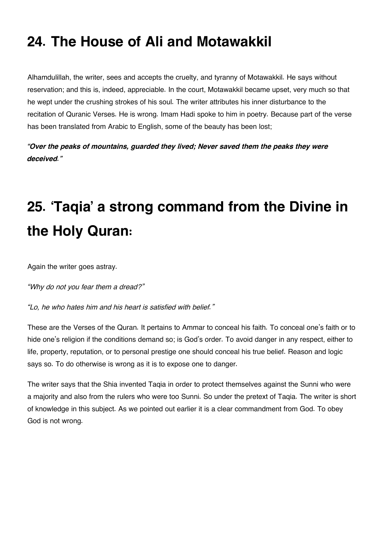## **24. The House of Ali and Motawakkil**

Alhamdulillah, the writer, sees and accepts the cruelty, and tyranny of Motawakkil. He says without reservation; and this is, indeed, appreciable. In the court, Motawakkil became upset, very much so that he wept under the crushing strokes of his soul. The writer attributes his inner disturbance to the recitation of Quranic Verses. He is wrong. Imam Hadi spoke to him in poetry. Because part of the verse has been translated from Arabic to English, some of the beauty has been lost;

*"Over the peaks of mountains, guarded they lived; Never saved them the peaks they were deceived."*

## **25. 'Taqia' a strong command from the Divine in the Holy Quran:**

Again the writer goes astray.

*"Why do not you fear them a dread?"*

*"Lo, he who hates him and his heart is satisfied with belief."*

These are the Verses of the Quran. It pertains to Ammar to conceal his faith. To conceal one's faith or to hide one's religion if the conditions demand so; is God's order. To avoid danger in any respect, either to life, property, reputation, or to personal prestige one should conceal his true belief. Reason and logic says so. To do otherwise is wrong as it is to expose one to danger.

The writer says that the Shia invented Taqia in order to protect themselves against the Sunni who were a majority and also from the rulers who were too Sunni. So under the pretext of Taqia. The writer is short of knowledge in this subject. As we pointed out earlier it is a clear commandment from God. To obey God is not wrong.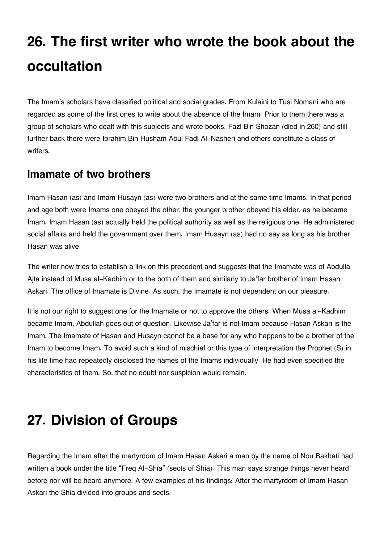## **26. The first writer who wrote the book about the occultation**

The Imam's scholars have classified political and social grades. From Kulaini to Tusi Nomani who are regarded as some of the first ones to write about the absence of the Imam. Prior to them there was a group of scholars who dealt with this subjects and wrote books. Fazl Bin Shozan (died in 260) and still further back there were Ibrahim Bin Husham Abul Fadl Al-Nasheri and others constitute a class of writers.

#### <span id="page-45-0"></span>**[Imamate of two brothers](#page-45-0)**

Imam Hasan (as) and Imam Husayn (as) were two brothers and at the same time Imams. In that period and age both were Imams one obeyed the other; the younger brother obeyed his elder, as he became Imam. Imam Hasan (as) actually held the political authority as well as the religious one. He administered social affairs and held the government over them. Imam Husayn (as) had no say as long as his brother Hasan was alive.

The writer now tries to establish a link on this precedent and suggests that the Imamate was of Abdulla Ajta instead of Musa al-Kadhim or to the both of them and similarly to Ja'far brother of Imam Hasan Askari. The office of Imamate is Divine. As such, the Imamate is not dependent on our pleasure.

It is not our right to suggest one for the Imamate or not to approve the others. When Musa al-Kadhim became Imam, Abdullah goes out of question. Likewise Ja'far is not Imam because Hasan Askari is the Imam. The Imamate of Hasan and Husayn cannot be a base for any who happens to be a brother of the Imam to become Imam. To avoid such a kind of mischief or this type of interpretation the Prophet (S) in his life time had repeatedly disclosed the names of the Imams individually. He had even specified the characteristics of them. So, that no doubt nor suspicion would remain.

## **27. Division of Groups**

Regarding the Imam after the martyrdom of Imam Hasan Askari a man by the name of Nou Bakhati had written a book under the title "Freq Al-Shia" (sects of Shia). This man says strange things never heard before nor will be heard anymore. A few examples of his findings: After the martyrdom of Imam Hasan Askari the Shia divided into groups and sects.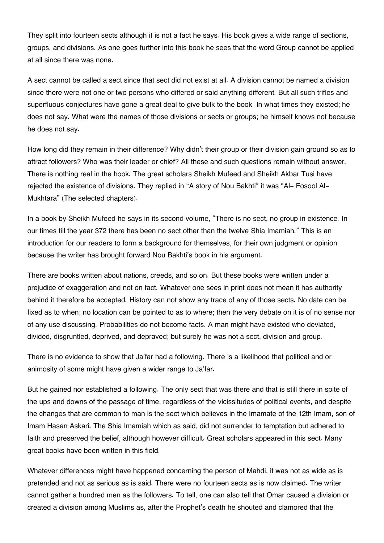They split into fourteen sects although it is not a fact he says. His book gives a wide range of sections, groups, and divisions. As one goes further into this book he sees that the word Group cannot be applied at all since there was none.

A sect cannot be called a sect since that sect did not exist at all. A division cannot be named a division since there were not one or two persons who differed or said anything different. But all such trifles and superfluous conjectures have gone a great deal to give bulk to the book. In what times they existed; he does not say. What were the names of those divisions or sects or groups; he himself knows not because he does not say.

How long did they remain in their difference? Why didn't their group or their division gain ground so as to attract followers? Who was their leader or chief? All these and such questions remain without answer. There is nothing real in the hook. The great scholars Sheikh Mufeed and Sheikh Akbar Tusi have rejected the existence of divisions. They replied in "A story of Nou Bakhti" it was "Al- Fosool Al-Mukhtara" (The selected chapters).

In a book by Sheikh Mufeed he says in its second volume, "There is no sect, no group in existence. In our times till the year 372 there has been no sect other than the twelve Shia Imamiah." This is an introduction for our readers to form a background for themselves, for their own judgment or opinion because the writer has brought forward Nou Bakhti's book in his argument.

There are books written about nations, creeds, and so on. But these books were written under a prejudice of exaggeration and not on fact. Whatever one sees in print does not mean it has authority behind it therefore be accepted. History can not show any trace of any of those sects. No date can be fixed as to when; no location can be pointed to as to where; then the very debate on it is of no sense nor of any use discussing. Probabilities do not become facts. A man might have existed who deviated, divided, disgruntled, deprived, and depraved; but surely he was not a sect, division and group.

There is no evidence to show that Ja'far had a following. There is a likelihood that political and or animosity of some might have given a wider range to Ja'far.

But he gained nor established a following. The only sect that was there and that is still there in spite of the ups and downs of the passage of time, regardless of the vicissitudes of political events, and despite the changes that are common to man is the sect which believes in the Imamate of the 12th Imam, son of Imam Hasan Askari. The Shia Imamiah which as said, did not surrender to temptation but adhered to faith and preserved the belief, although however difficult. Great scholars appeared in this sect. Many great books have been written in this field.

Whatever differences might have happened concerning the person of Mahdi, it was not as wide as is pretended and not as serious as is said. There were no fourteen sects as is now claimed. The writer cannot gather a hundred men as the followers. To tell, one can also tell that Omar caused a division or created a division among Muslims as, after the Prophet's death he shouted and clamored that the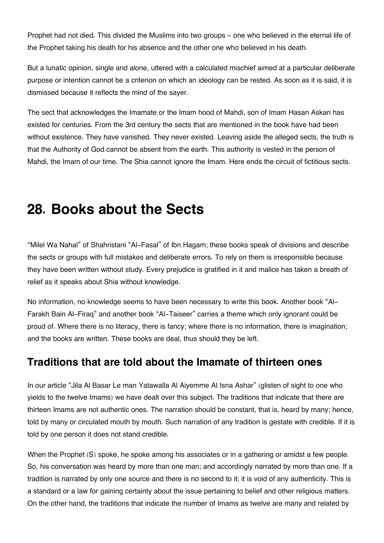Prophet had not died. This divided the Muslims into two groups - one who believed in the eternal life of the Prophet taking his death for his absence and the other one who believed in his death.

But a lunatic opinion, single and alone, uttered with a calculated mischief aimed at a particular deliberate purpose or intention cannot be a criterion on which an ideology can be rested. As soon as it is said, it is dismissed because it reflects the mind of the sayer.

The sect that acknowledges the Imamate or the lmam hood of Mahdi, son of Imam Hasan Askari has existed for centuries. From the 3rd century the sects that are mentioned in the book have had been without existence. They have vanished. They never existed. Leaving aside the alleged sects, the truth is that the Authority of God cannot be absent from the earth. This authority is vested in the person of Mahdi, the Imam of our time. The Shia cannot ignore the Imam. Here ends the circuit of fictitious sects.

#### **28. Books about the Sects**

"Milel Wa Nahal" of Shahristani "Al-Fasal" of Ibn Hagam; these books speak of divisions and describe the sects or groups with full mistakes and deliberate errors. To rely on them is irresponsible because they have been written without study. Every prejudice is gratified in it and malice has taken a breath of relief as it speaks about Shia without knowledge.

No information, no knowledge seems to have been necessary to write this book. Another book "Al-Farakh Bain Al-Firaq" and another book "Al-Taiseer" carries a theme which only ignorant could be proud of. Where there is no literacy, there is fancy; where there is no information, there is imagination; and the books are written. These books are deal, thus should they be left.

#### <span id="page-47-0"></span>**[Traditions that are told about the Imamate of thirteen ones](#page-47-0)**

In our article "Jila Al Basar Le man Yatawalla Al Aiyemme Al Isna Ashar" (glisten of sight to one who yields to the twelve Imams) we have dealt over this subject. The traditions that indicate that there are thirteen Imams are not authentic ones. The narration should be constant, that is, heard by many; hence, told by many or circulated mouth by mouth. Such narration of any tradition is gestate with credible. If it is told by one person it does not stand credible.

When the Prophet (S) spoke, he spoke among his associates or in a gathering or amidst a few people. So, his conversation was heard by more than one man; and accordingly narrated by more than one. If a tradition is narrated by only one source and there is no second to it; it is void of any authenticity. This is a standard or a law for gaining certainty about the issue pertaining to belief and other religious matters. On the other hand, the traditions that indicate the number of Imams as twelve are many and related by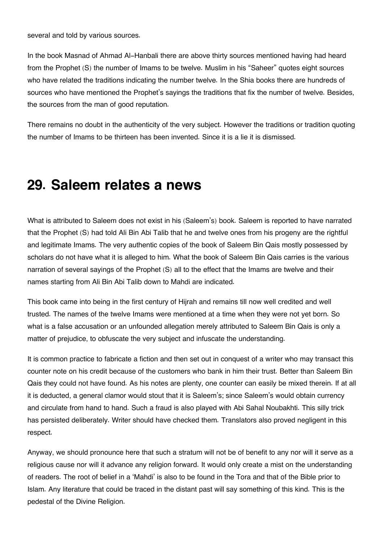several and told by various sources.

In the book Masnad of Ahmad Al-Hanbali there are above thirty sources mentioned having had heard from the Prophet (S) the number of Imams to be twelve. Muslim in his "Saheer" quotes eight sources who have related the traditions indicating the number twelve. In the Shia books there are hundreds of sources who have mentioned the Prophet's sayings the traditions that fix the number of twelve. Besides, the sources from the man of good reputation.

There remains no doubt in the authenticity of the very subject. However the traditions or tradition quoting the number of Imams to be thirteen has been invented. Since it is a lie it is dismissed.

#### **29. Saleem relates a news**

What is attributed to Saleem does not exist in his (Saleem's) book. Saleem is reported to have narrated that the Prophet (S) had told Ali Bin Abi Talib that he and twelve ones from his progeny are the rightful and legitimate Imams. The very authentic copies of the book of Saleem Bin Qais mostly possessed by scholars do not have what it is alleged to him. What the book of Saleem Bin Qais carries is the various narration of several sayings of the Prophet (S) all to the effect that the Imams are twelve and their names starting from Ali Bin Abi Talib down to Mahdi are indicated.

This book came into being in the first century of Hijrah and remains till now well credited and well trusted. The names of the twelve Imams were mentioned at a time when they were not yet born. So what is a false accusation or an unfounded allegation merely attributed to Saleem Bin Qais is only a matter of prejudice, to obfuscate the very subject and infuscate the understanding.

It is common practice to fabricate a fiction and then set out in conquest of a writer who may transact this counter note on his credit because of the customers who bank in him their trust. Better than Saleem Bin Qais they could not have found. As his notes are plenty, one counter can easily be mixed therein. If at all it is deducted, a general clamor would stout that it is Saleem's; since Saleem's would obtain currency and circulate from hand to hand. Such a fraud is also played with Abi Sahal Noubakhti. This silly trick has persisted deliberately. Writer should have checked them. Translators also proved negligent in this respect.

Anyway, we should pronounce here that such a stratum will not be of benefit to any nor will it serve as a religious cause nor will it advance any religion forward. It would only create a mist on the understanding of readers. The root of belief in a 'Mahdi' is also to be found in the Tora and that of the Bible prior to Islam. Any literature that could be traced in the distant past will say something of this kind. This is the pedestal of the Divine Religion.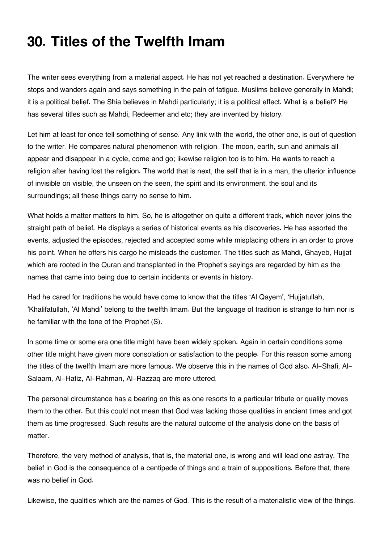### **30. Titles of the Twelfth Imam**

The writer sees everything from a material aspect. He has not yet reached a destination. Everywhere he stops and wanders again and says something in the pain of fatigue. Muslims believe generally in Mahdi; it is a political belief. The Shia believes in Mahdi particularly; it is a political effect. What is a belief? He has several titles such as Mahdi, Redeemer and etc; they are invented by history.

Let him at least for once tell something of sense. Any link with the world, the other one, is out of question to the writer. He compares natural phenomenon with religion. The moon, earth, sun and animals all appear and disappear in a cycle, come and go; likewise religion too is to him. He wants to reach a religion after having lost the religion. The world that is next, the self that is in a man, the ulterior influence of invisible on visible, the unseen on the seen, the spirit and its environment, the soul and its surroundings; all these things carry no sense to him.

What holds a matter matters to him. So, he is altogether on quite a different track, which never joins the straight path of belief. He displays a series of historical events as his discoveries. He has assorted the events, adjusted the episodes, rejected and accepted some while misplacing others in an order to prove his point. When he offers his cargo he misleads the customer. The titles such as Mahdi, Ghayeb, Hujjat which are rooted in the Quran and transplanted in the Prophet's sayings are regarded by him as the names that came into being due to certain incidents or events in history.

Had he cared for traditions he would have come to know that the titles 'Al Qayem', 'Hujjatullah, 'Khalifatullah, 'Al Mahdi' belong to the twelfth Imam. But the language of tradition is strange to him nor is he familiar with the tone of the Prophet (S).

In some time or some era one title might have been widely spoken. Again in certain conditions some other title might have given more consolation or satisfaction to the people. For this reason some among the titles of the twelfth Imam are more famous. We observe this in the names of God also. Al-Shafi, Al-Salaam, Al-Hafiz, Al-Rahman, Al-Razzaq are more uttered.

The personal circumstance has a bearing on this as one resorts to a particular tribute or quality moves them to the other. But this could not mean that God was lacking those qualities in ancient times and got them as time progressed. Such results are the natural outcome of the analysis done on the basis of matter.

Therefore, the very method of analysis, that is, the material one, is wrong and will lead one astray. The belief in God is the consequence of a centipede of things and a train of suppositions. Before that, there was no belief in God.

Likewise, the qualities which are the names of God. This is the result of a materialistic view of the things.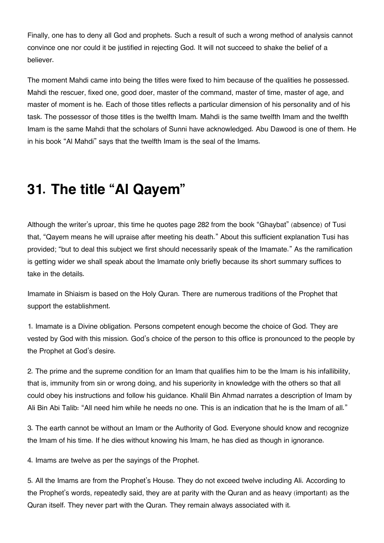Finally, one has to deny all God and prophets. Such a result of such a wrong method of analysis cannot convince one nor could it be justified in rejecting God. It will not succeed to shake the belief of a believer.

The moment Mahdi came into being the titles were fixed to him because of the qualities he possessed. Mahdi the rescuer, fixed one, good doer, master of the command, master of time, master of age, and master of moment is he. Each of those titles reflects a particular dimension of his personality and of his task. The possessor of those titles is the twelfth Imam. Mahdi is the same twelfth Imam and the twelfth Imam is the same Mahdi that the scholars of Sunni have acknowledged. Abu Dawood is one of them. He in his book "Al Mahdi" says that the twelfth Imam is the seal of the Imams.

### **31. The title "Al Qayem"**

Although the writer's uproar, this time he quotes page 282 from the book "Ghaybat" (absence) of Tusi that, "Qayem means he will upraise after meeting his death." About this sufficient explanation Tusi has provided; "but to deal this subject we first should necessarily speak of the Imamate." As the ramification is getting wider we shall speak about the Imamate only briefly because its short summary suffices to take in the details.

Imamate in Shiaism is based on the Holy Quran. There are numerous traditions of the Prophet that support the establishment.

1. Imamate is a Divine obligation. Persons competent enough become the choice of God. They are vested by God with this mission. God's choice of the person to this office is pronounced to the people by the Prophet at God's desire.

2. The prime and the supreme condition for an Imam that qualifies him to be the Imam is his infallibility, that is, immunity from sin or wrong doing, and his superiority in knowledge with the others so that all could obey his instructions and follow his guidance. Khalil Bin Ahmad narrates a description of Imam by Ali Bin Abi Talib: "All need him while he needs no one. This is an indication that he is the Imam of all."

3. The earth cannot be without an Imam or the Authority of God. Everyone should know and recognize the Imam of his time. If he dies without knowing his Imam, he has died as though in ignorance.

4. Imams are twelve as per the sayings of the Prophet.

5. All the Imams are from the Prophet's House. They do not exceed twelve including Ali. According to the Prophet's words, repeatedly said, they are at parity with the Quran and as heavy (important) as the Quran itself. They never part with the Quran. They remain always associated with it.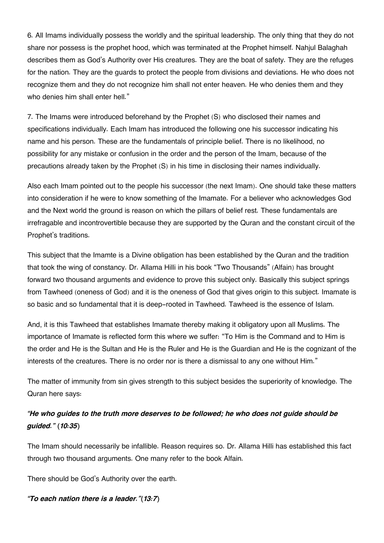6. All Imams individually possess the worldly and the spiritual leadership. The only thing that they do not share nor possess is the prophet hood, which was terminated at the Prophet himself. Nahjul Balaghah describes them as God's Authority over His creatures. They are the boat of safety. They are the refuges for the nation. They are the guards to protect the people from divisions and deviations. He who does not recognize them and they do not recognize him shall not enter heaven. He who denies them and they who denies him shall enter hell."

7. The Imams were introduced beforehand by the Prophet (S) who disclosed their names and specifications individually. Each Imam has introduced the following one his successor indicating his name and his person. These are the fundamentals of principle belief. There is no likelihood, no possibility for any mistake or confusion in the order and the person of the Imam, because of the precautions already taken by the Prophet (S) in his time in disclosing their names individually.

Also each Imam pointed out to the people his successor (the next Imam). One should take these matters into consideration if he were to know something of the Imamate. For a believer who acknowledges God and the Next world the ground is reason on which the pillars of belief rest. These fundamentals are irrefragable and incontrovertible because they are supported by the Quran and the constant circuit of the Prophet's traditions.

This subject that the Imamte is a Divine obligation has been established by the Quran and the tradition that took the wing of constancy. Dr. Allama Hilli in his book "Two Thousands" (Alfain) has brought forward two thousand arguments and evidence to prove this subject only. Basically this subject springs from Tawheed (oneness of God) and it is the oneness of God that gives origin to this subject. Imamate is so basic and so fundamental that it is deep-rooted in Tawheed. Tawheed is the essence of Islam.

And, it is this Tawheed that establishes Imamate thereby making it obligatory upon all Muslims. The importance of Imamate is reflected form this where we suffer: "To Him is the Command and to Him is the order and He is the Sultan and He is the Ruler and He is the Guardian and He is the cognizant of the interests of the creatures. There is no order nor is there a dismissal to any one without Him."

The matter of immunity from sin gives strength to this subject besides the superiority of knowledge. The Quran here says:

#### *"He who guides to the truth more deserves to be followed; he who does not guide should be guided." (10:35)*

The Imam should necessarily be infallible. Reason requires so. Dr. Allama Hilli has established this fact through two thousand arguments. One many refer to the book Alfain.

There should be God's Authority over the earth.

*"To each nation there is a leader."(13:7)*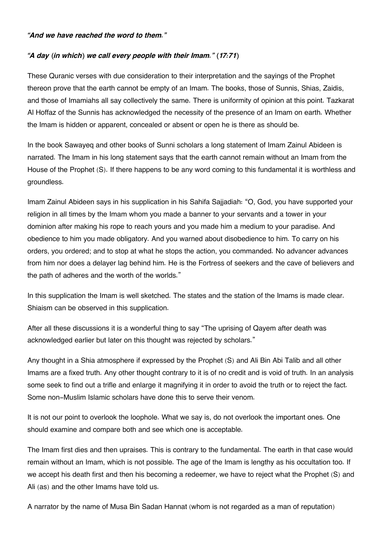#### *"And we have reached the word to them."*

#### *"A day (in which) we call every people with their Imam." (17:71)*

These Quranic verses with due consideration to their interpretation and the sayings of the Prophet thereon prove that the earth cannot be empty of an Imam. The books, those of Sunnis, Shias, Zaidis, and those of Imamiahs all say collectively the same. There is uniformity of opinion at this point. Tazkarat Al Hoffaz of the Sunnis has acknowledged the necessity of the presence of an Imam on earth. Whether the Imam is hidden or apparent, concealed or absent or open he is there as should be.

In the book Sawayeq and other books of Sunni scholars a long statement of Imam Zainul Abideen is narrated. The Imam in his long statement says that the earth cannot remain without an Imam from the House of the Prophet (S). If there happens to be any word coming to this fundamental it is worthless and groundless.

Imam Zainul Abideen says in his supplication in his Sahifa Sajjadiah: "O, God, you have supported your religion in all times by the Imam whom you made a banner to your servants and a tower in your dominion after making his rope to reach yours and you made him a medium to your paradise. And obedience to him you made obligatory. And you warned about disobedience to him. To carry on his orders, you ordered; and to stop at what he stops the action, you commanded. No advancer advances from him nor does a delayer lag behind him. He is the Fortress of seekers and the cave of believers and the path of adheres and the worth of the worlds."

In this supplication the Imam is well sketched. The states and the station of the Imams is made clear. Shiaism can be observed in this supplication.

After all these discussions it is a wonderful thing to say "The uprising of Qayem after death was acknowledged earlier but later on this thought was rejected by scholars."

Any thought in a Shia atmosphere if expressed by the Prophet (S) and Ali Bin Abi Talib and all other Imams are a fixed truth. Any other thought contrary to it is of no credit and is void of truth. In an analysis some seek to find out a trifle and enlarge it magnifying it in order to avoid the truth or to reject the fact. Some non-Muslim Islamic scholars have done this to serve their venom.

It is not our point to overlook the loophole. What we say is, do not overlook the important ones. One should examine and compare both and see which one is acceptable.

The Imam first dies and then upraises. This is contrary to the fundamental. The earth in that case would remain without an Imam, which is not possible. The age of the Imam is lengthy as his occultation too. If we accept his death first and then his becoming a redeemer, we have to reject what the Prophet (S) and Ali (as) and the other Imams have told us.

A narrator by the name of Musa Bin Sadan Hannat (whom is not regarded as a man of reputation)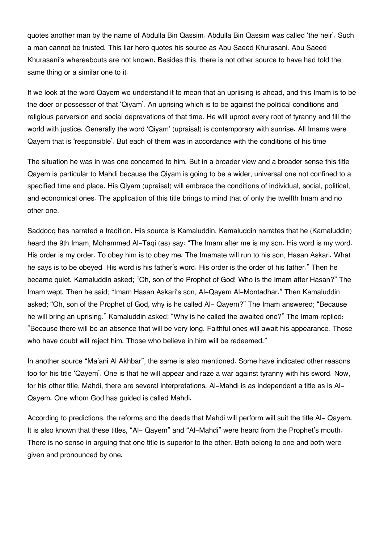quotes another man by the name of Abdulla Bin Qassim. Abdulla Bin Qassim was called 'the heir'. Such a man cannot be trusted. This liar hero quotes his source as Abu Saeed Khurasani. Abu Saeed Khurasani's whereabouts are not known. Besides this, there is not other source to have had told the same thing or a similar one to it.

If we look at the word Qayem we understand it to mean that an upriising is ahead, and this Imam is to be the doer or possessor of that 'Qiyam'. An uprising which is to be against the political conditions and religious perversion and social depravations of that time. He will uproot every root of tyranny and fill the world with justice. Generally the word 'Qiyam' (upraisal) is contemporary with sunrise. All Imams were Qayem that is 'responsible'. But each of them was in accordance with the conditions of his time.

The situation he was in was one concerned to him. But in a broader view and a broader sense this title Qayem is particular to Mahdi because the Qiyam is going to be a wider, universal one not confined to a specified time and place. His Qiyam (upraisal) will embrace the conditions of individual, social, political, and economical ones. The application of this title brings to mind that of only the twelfth Imam and no other one.

Saddooq has narrated a tradition. His source is Kamaluddin, Kamaluddin narrates that he (Kamaluddin) heard the 9th Imam, Mohammed Al-Taqi (as) say: "The Imam after me is my son. His word is my word. His order is my order. To obey him is to obey me. The Imamate will run to his son, Hasan Askari. What he says is to be obeyed. His word is his father's word. His order is the order of his father." Then he became quiet. Kamaluddin asked; "Oh, son of the Prophet of God! Who is the Imam after Hasan?" The Imam wept. Then he said; "Imam Hasan Askari's son, Al-Qayem Al-Montadhar." Then Kamaluddin asked; "Oh, son of the Prophet of God, why is he called Al- Qayem?" The Imam answered; "Because he will bring an uprising." Kamaluddin asked; "Why is he called the awaited one?" The Imam replied: "Because there will be an absence that will be very long. Faithful ones will await his appearance. Those who have doubt will reject him. Those who believe in him will be redeemed."

In another source "Ma'ani Al Akhbar", the same is also mentioned. Some have indicated other reasons too for his title 'Qayem'. One is that he will appear and raze a war against tyranny with his sword. Now, for his other title, Mahdi, there are several interpretations. Al-Mahdi is as independent a title as is Al-Qayem. One whom God has guided is called Mahdi.

According to predictions, the reforms and the deeds that Mahdi will perform will suit the title Al- Qayem. It is also known that these titles, "Al- Qayem" and "Al-Mahdi" were heard from the Prophet's mouth. There is no sense in arguing that one title is superior to the other. Both belong to one and both were given and pronounced by one.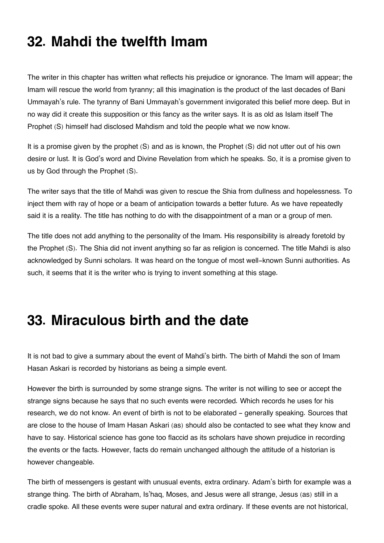## **32. Mahdi the twelfth Imam**

The writer in this chapter has written what reflects his prejudice or ignorance. The Imam will appear; the Imam will rescue the world from tyranny; all this imagination is the product of the last decades of Bani Ummayah's rule. The tyranny of Bani Ummayah's government invigorated this belief more deep. But in no way did it create this supposition or this fancy as the writer says. It is as old as Islam itself The Prophet (S) himself had disclosed Mahdism and told the people what we now know.

It is a promise given by the prophet (S) and as is known, the Prophet (S) did not utter out of his own desire or lust. It is God's word and Divine Revelation from which he speaks. So, it is a promise given to us by God through the Prophet (S).

The writer says that the title of Mahdi was given to rescue the Shia from dullness and hopelessness. To inject them with ray of hope or a beam of anticipation towards a better future. As we have repeatedly said it is a reality. The title has nothing to do with the disappointment of a man or a group of men.

The title does not add anything to the personality of the Imam. His responsibility is already foretold by the Prophet (S). The Shia did not invent anything so far as religion is concerned. The title Mahdi is also acknowledged by Sunni scholars. It was heard on the tongue of most well-known Sunni authorities. As such, it seems that it is the writer who is trying to invent something at this stage.

### **33. Miraculous birth and the date**

It is not bad to give a summary about the event of Mahdi's birth. The birth of Mahdi the son of Imam Hasan Askari is recorded by historians as being a simple event.

However the birth is surrounded by some strange signs. The writer is not willing to see or accept the strange signs because he says that no such events were recorded. Which records he uses for his research, we do not know. An event of birth is not to be elaborated – generally speaking. Sources that are close to the house of Imam Hasan Askari (as) should also be contacted to see what they know and have to say. Historical science has gone too flaccid as its scholars have shown prejudice in recording the events or the facts. However, facts do remain unchanged although the attitude of a historian is however changeable.

The birth of messengers is gestant with unusual events, extra ordinary. Adam's birth for example was a strange thing. The birth of Abraham, Is'haq, Moses, and Jesus were all strange, Jesus (as) still in a cradle spoke. All these events were super natural and extra ordinary. If these events are not historical,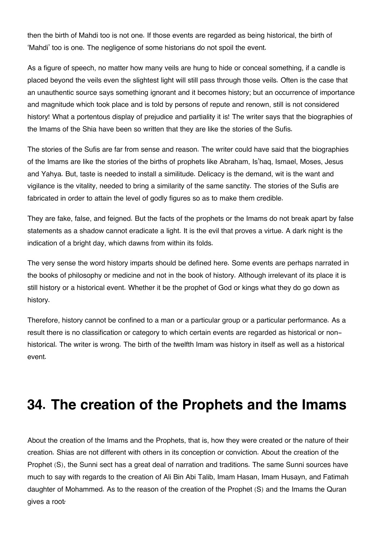then the birth of Mahdi too is not one. If those events are regarded as being historical, the birth of 'Mahdi' too is one. The negligence of some historians do not spoil the event.

As a figure of speech, no matter how many veils are hung to hide or conceal something, if a candle is placed beyond the veils even the slightest light will still pass through those veils. Often is the case that an unauthentic source says something ignorant and it becomes history; but an occurrence of importance and magnitude which took place and is told by persons of repute and renown, still is not considered history! What a portentous display of prejudice and partiality it is! The writer says that the biographies of the Imams of the Shia have been so written that they are like the stories of the Sufis.

The stories of the Sufis are far from sense and reason. The writer could have said that the biographies of the Imams are like the stories of the births of prophets like Abraham, Is'haq, Ismael, Moses, Jesus and Yahya. But, taste is needed to install a similitude. Delicacy is the demand, wit is the want and vigilance is the vitality, needed to bring a similarity of the same sanctity. The stories of the Sufis are fabricated in order to attain the level of godly figures so as to make them credible.

They are fake, false, and feigned. But the facts of the prophets or the Imams do not break apart by false statements as a shadow cannot eradicate a light. It is the evil that proves a virtue. A dark night is the indication of a bright day, which dawns from within its folds.

The very sense the word history imparts should be defined here. Some events are perhaps narrated in the books of philosophy or medicine and not in the book of history. Although irrelevant of its place it is still history or a historical event. Whether it be the prophet of God or kings what they do go down as history.

Therefore, history cannot be confined to a man or a particular group or a particular performance. As a result there is no classification or category to which certain events are regarded as historical or nonhistorical. The writer is wrong. The birth of the twelfth Imam was history in itself as well as a historical event.

### **34. The creation of the Prophets and the Imams**

About the creation of the Imams and the Prophets, that is, how they were created or the nature of their creation. Shias are not different with others in its conception or conviction. About the creation of the Prophet (S), the Sunni sect has a great deal of narration and traditions. The same Sunni sources have much to say with regards to the creation of Ali Bin Abi Talib, Imam Hasan, Imam Husayn, and Fatimah daughter of Mohammed. As to the reason of the creation of the Prophet (S) and the Imams the Quran gives a root*:*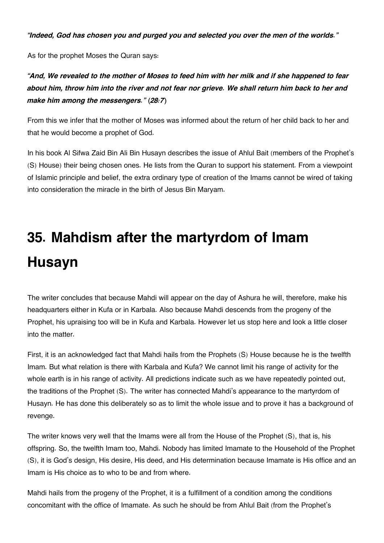*"Indeed, God has chosen you and purged you and selected you over the men of the worlds."*

As for the prophet Moses the Quran says:

#### *"And, We revealed to the mother of Moses to feed him with her milk and if she happened to fear about him, throw him into the river and not fear nor grieve. We shall return him back to her and make him among the messengers." (28:7)*

From this we infer that the mother of Moses was informed about the return of her child back to her and that he would become a prophet of God.

In his book Al Sifwa Zaid Bin Ali Bin Husayn describes the issue of Ahlul Bait (members of the Prophet's (S) House) their being chosen ones. He lists from the Quran to support his statement. From a viewpoint of Islamic principle and belief, the extra ordinary type of creation of the Imams cannot be wired of taking into consideration the miracle in the birth of Jesus Bin Maryam.

# **35. Mahdism after the martyrdom of Imam Husayn**

The writer concludes that because Mahdi will appear on the day of Ashura he will, therefore, make his headquarters either in Kufa or in Karbala. Also because Mahdi descends from the progeny of the Prophet, his upraising too will be in Kufa and Karbala. However let us stop here and look a little closer into the matter.

First, it is an acknowledged fact that Mahdi hails from the Prophets (S) House because he is the twelfth Imam. But what relation is there with Karbala and Kufa? We cannot limit his range of activity for the whole earth is in his range of activity. All predictions indicate such as we have repeatedly pointed out, the traditions of the Prophet (S). The writer has connected Mahdi's appearance to the martyrdom of Husayn. He has done this deliberately so as to limit the whole issue and to prove it has a background of revenge.

The writer knows very well that the Imams were all from the House of the Prophet (S), that is, his offspring. So, the twelfth Imam too, Mahdi. Nobody has limited Imamate to the Household of the Prophet (S), it is God's design, His desire, His deed, and His determination because Imamate is His office and an Imam is His choice as to who to be and from where.

Mahdi hails from the progeny of the Prophet, it is a fulfillment of a condition among the conditions concomitant with the office of Imamate. As such he should be from Ahlul Bait (from the Prophet's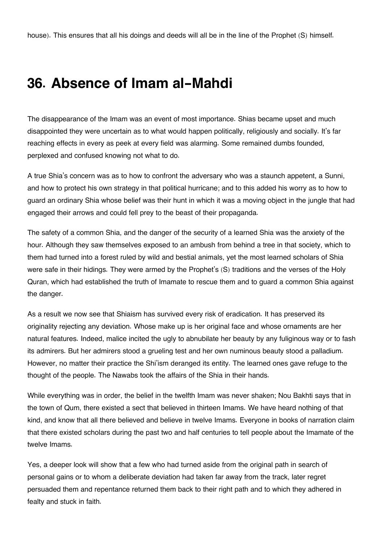#### **36. Absence of Imam al-Mahdi**

The disappearance of the Imam was an event of most importance. Shias became upset and much disappointed they were uncertain as to what would happen politically, religiously and socially. It's far reaching effects in every as peek at every field was alarming. Some remained dumbs founded, perplexed and confused knowing not what to do.

A true Shia's concern was as to how to confront the adversary who was a staunch appetent, a Sunni, and how to protect his own strategy in that political hurricane; and to this added his worry as to how to guard an ordinary Shia whose belief was their hunt in which it was a moving object in the jungle that had engaged their arrows and could fell prey to the beast of their propaganda.

The safety of a common Shia, and the danger of the security of a learned Shia was the anxiety of the hour. Although they saw themselves exposed to an ambush from behind a tree in that society, which to them had turned into a forest ruled by wild and bestial animals, yet the most learned scholars of Shia were safe in their hidings. They were armed by the Prophet's (S) traditions and the verses of the Holy Quran, which had established the truth of Imamate to rescue them and to guard a common Shia against the danger.

As a result we now see that Shiaism has survived every risk of eradication. It has preserved its originality rejecting any deviation. Whose make up is her original face and whose ornaments are her natural features. Indeed, malice incited the ugly to abnubilate her beauty by any fuliginous way or to fash its admirers. But her admirers stood a grueling test and her own numinous beauty stood a palladium. However, no matter their practice the Shi'ism deranged its entity. The learned ones gave refuge to the thought of the people. The Nawabs took the affairs of the Shia in their hands.

While everything was in order, the belief in the twelfth Imam was never shaken; Nou Bakhti says that in the town of Qum, there existed a sect that believed in thirteen Imams. We have heard nothing of that kind, and know that all there believed and believe in twelve Imams. Everyone in books of narration claim that there existed scholars during the past two and half centuries to tell people about the Imamate of the twelve Imams.

Yes, a deeper look will show that a few who had turned aside from the original path in search of personal gains or to whom a deliberate deviation had taken far away from the track, later regret persuaded them and repentance returned them back to their right path and to which they adhered in fealty and stuck in faith.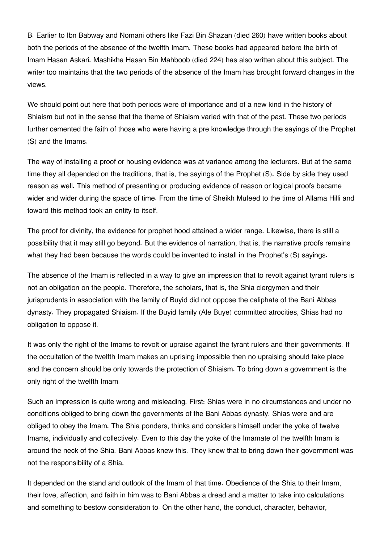B. Earlier to Ibn Babway and Nomani others like Fazi Bin Shazan (died 260) have written books about both the periods of the absence of the twelfth Imam. These books had appeared before the birth of Imam Hasan Askari. Mashikha Hasan Bin Mahboob (died 224) has also written about this subject. The writer too maintains that the two periods of the absence of the Imam has brought forward changes in the views.

We should point out here that both periods were of importance and of a new kind in the history of Shiaism but not in the sense that the theme of Shiaism varied with that of the past. These two periods further cemented the faith of those who were having a pre knowledge through the sayings of the Prophet (S) and the Imams.

The way of installing a proof or housing evidence was at variance among the lecturers. But at the same time they all depended on the traditions, that is, the sayings of the Prophet (S). Side by side they used reason as well. This method of presenting or producing evidence of reason or logical proofs became wider and wider during the space of time. From the time of Sheikh Mufeed to the time of Allama Hilli and toward this method took an entity to itself.

The proof for divinity, the evidence for prophet hood attained a wider range. Likewise, there is still a possibility that it may still go beyond. But the evidence of narration, that is, the narrative proofs remains what they had been because the words could be invented to install in the Prophet's (S) sayings.

The absence of the Imam is reflected in a way to give an impression that to revolt against tyrant rulers is not an obligation on the people. Therefore, the scholars, that is, the Shia clergymen and their jurisprudents in association with the family of Buyid did not oppose the caliphate of the Bani Abbas dynasty. They propagated Shiaism. If the Buyid family (Ale Buye) committed atrocities, Shias had no obligation to oppose it.

It was only the right of the Imams to revolt or upraise against the tyrant rulers and their governments. If the occultation of the twelfth Imam makes an uprising impossible then no upraising should take place and the concern should be only towards the protection of Shiaism. To bring down a government is the only right of the twelfth Imam.

Such an impression is quite wrong and misleading. First: Shias were in no circumstances and under no conditions obliged to bring down the governments of the Bani Abbas dynasty. Shias were and are obliged to obey the Imam. The Shia ponders, thinks and considers himself under the yoke of twelve Imams, individually and collectively. Even to this day the yoke of the Imamate of the twelfth Imam is around the neck of the Shia. Bani Abbas knew this. They knew that to bring down their government was not the responsibility of a Shia.

It depended on the stand and outlook of the Imam of that time. Obedience of the Shia to their Imam, their love, affection, and faith in him was to Bani Abbas a dread and a matter to take into calculations and something to bestow consideration to. On the other hand, the conduct, character, behavior,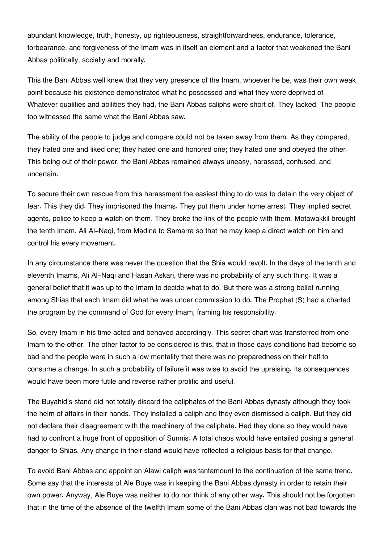abundant knowledge, truth, honesty, up righteousness, straightforwardness, endurance, tolerance, forbearance, and forgiveness of the Imam was in itself an element and a factor that weakened the Bani Abbas politically, socially and morally.

This the Bani Abbas well knew that they very presence of the Imam, whoever he be, was their own weak point because his existence demonstrated what he possessed and what they were deprived of. Whatever qualities and abilities they had, the Bani Abbas caliphs were short of. They lacked. The people too witnessed the same what the Bani Abbas saw.

The ability of the people to judge and compare could not be taken away from them. As they compared, they hated one and liked one; they hated one and honored one; they hated one and obeyed the other. This being out of their power, the Bani Abbas remained always uneasy, harassed, confused, and uncertain.

To secure their own rescue from this harassment the easiest thing to do was to detain the very object of fear. This they did. They imprisoned the Imams. They put them under home arrest. They implied secret agents, police to keep a watch on them. They broke the link of the people with them. Motawakkil brought the tenth Imam, Ali Al-Naqi, from Madina to Samarra so that he may keep a direct watch on him and control his every movement.

In any circumstance there was never the question that the Shia would revolt. In the days of the tenth and eleventh Imams, Ali Al-Naqi and Hasan Askari, there was no probability of any such thing. It was a general belief that it was up to the Imam to decide what to do. But there was a strong belief running among Shias that each Imam did what he was under commission to do. The Prophet (S) had a charted the program by the command of God for every Imam, framing his responsibility.

So, every Imam in his time acted and behaved accordingly. This secret chart was transferred from one Imam to the other. The other factor to be considered is this, that in those days conditions had become so bad and the people were in such a low mentality that there was no preparedness on their half to consume a change. In such a probability of failure it was wise to avoid the upraising. Its consequences would have been more futile and reverse rather prolific and useful.

The Buyahid's stand did not totally discard the caliphates of the Bani Abbas dynasty although they took the helm of affairs in their hands. They installed a caliph and they even dismissed a caliph. But they did not declare their disagreement with the machinery of the caliphate. Had they done so they would have had to confront a huge front of opposition of Sunnis. A total chaos would have entailed posing a general danger to Shias. Any change in their stand would have reflected a religious basis for that change.

To avoid Bani Abbas and appoint an Alawi caliph was tantamount to the continuation of the same trend. Some say that the interests of Ale Buye was in keeping the Bani Abbas dynasty in order to retain their own power. Anyway, Ale Buye was neither to do nor think of any other way. This should not be forgotten that in the time of the absence of the twelfth Imam some of the Bani Abbas clan was not bad towards the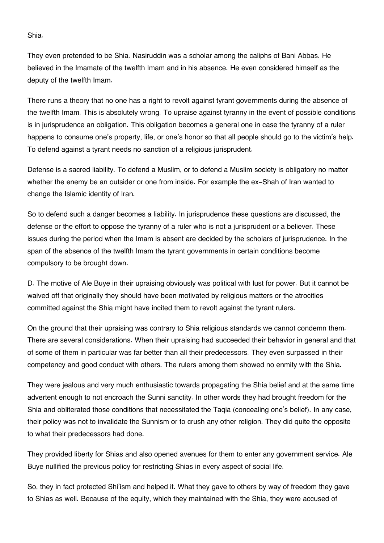Shia.

They even pretended to be Shia. Nasiruddin was a scholar among the caliphs of Bani Abbas. He believed in the Imamate of the twelfth Imam and in his absence. He even considered himself as the deputy of the twelfth Imam.

There runs a theory that no one has a right to revolt against tyrant governments during the absence of the twelfth Imam. This is absolutely wrong. To upraise against tyranny in the event of possible conditions is in jurisprudence an obligation. This obligation becomes a general one in case the tyranny of a ruler happens to consume one's property, life, or one's honor so that all people should go to the victim's help. To defend against a tyrant needs no sanction of a religious jurisprudent.

Defense is a sacred liability. To defend a Muslim, or to defend a Muslim society is obligatory no matter whether the enemy be an outsider or one from inside. For example the ex-Shah of Iran wanted to change the Islamic identity of Iran.

So to defend such a danger becomes a liability. In jurisprudence these questions are discussed, the defense or the effort to oppose the tyranny of a ruler who is not a jurisprudent or a believer. These issues during the period when the Imam is absent are decided by the scholars of jurisprudence. In the span of the absence of the twelfth Imam the tyrant governments in certain conditions become compulsory to be brought down.

D. The motive of Ale Buye in their upraising obviously was political with lust for power. But it cannot be waived off that originally they should have been motivated by religious matters or the atrocities committed against the Shia might have incited them to revolt against the tyrant rulers.

On the ground that their upraising was contrary to Shia religious standards we cannot condemn them. There are several considerations. When their upraising had succeeded their behavior in general and that of some of them in particular was far better than all their predecessors. They even surpassed in their competency and good conduct with others. The rulers among them showed no enmity with the Shia.

They were jealous and very much enthusiastic towards propagating the Shia belief and at the same time advertent enough to not encroach the Sunni sanctity. In other words they had brought freedom for the Shia and obliterated those conditions that necessitated the Taqia (concealing one's belief). In any case, their policy was not to invalidate the Sunnism or to crush any other religion. They did quite the opposite to what their predecessors had done.

They provided liberty for Shias and also opened avenues for them to enter any government service. Ale Buye nullified the previous policy for restricting Shias in every aspect of social life.

So, they in fact protected Shi'ism and helped it. What they gave to others by way of freedom they gave to Shias as well. Because of the equity, which they maintained with the Shia, they were accused of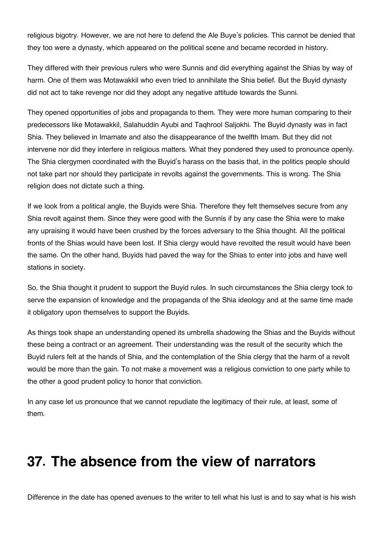religious bigotry. However, we are not here to defend the Ale Buye's policies. This cannot be denied that they too were a dynasty, which appeared on the political scene and became recorded in history.

They differed with their previous rulers who were Sunnis and did everything against the Shias by way of harm. One of them was Motawakkil who even tried to annihilate the Shia belief. But the Buyid dynasty did not act to take revenge nor did they adopt any negative attitude towards the Sunni.

They opened opportunities of jobs and propaganda to them. They were more human comparing to their predecessors like Motawakkil, Salahuddin Ayubi and Taqhrool Saljokhi. The Buyid dynasty was in fact Shia. They believed in Imamate and also the disappearance of the twelfth Imam. But they did not intervene nor did they interfere in religious matters. What they pondered they used to pronounce openly. The Shia clergymen coordinated with the Buyid's harass on the basis that, in the politics people should not take part nor should they participate in revolts against the governments. This is wrong. The Shia religion does not dictate such a thing.

If we look from a political angle, the Buyids were Shia. Therefore they felt themselves secure from any Shia revolt against them. Since they were good with the Sunnis if by any case the Shia were to make any upraising it would have been crushed by the forces adversary to the Shia thought. All the political fronts of the Shias would have been lost. If Shia clergy would have revolted the result would have been the same. On the other hand, Buyids had paved the way for the Shias to enter into jobs and have well stations in society.

So, the Shia thought it prudent to support the Buyid rules. In such circumstances the Shia clergy took to serve the expansion of knowledge and the propaganda of the Shia ideology and at the same time made it obligatory upon themselves to support the Buyids.

As things took shape an understanding opened its umbrella shadowing the Shias and the Buyids without these being a contract or an agreement. Their understanding was the result of the security which the Buyid rulers felt at the hands of Shia, and the contemplation of the Shia clergy that the harm of a revolt would be more than the gain. To not make a movement was a religious conviction to one party while to the other a good prudent policy to honor that conviction.

In any case let us pronounce that we cannot repudiate the legitimacy of their rule, at least, some of them.

### **37. The absence from the view of narrators**

Difference in the date has opened avenues to the writer to tell what his lust is and to say what is his wish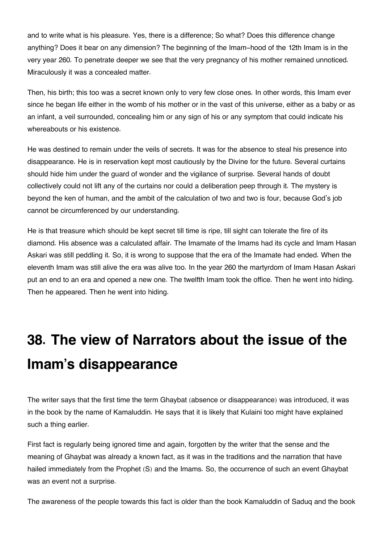and to write what is his pleasure. Yes, there is a difference; So what? Does this difference change anything? Does it bear on any dimension? The beginning of the Imam-hood of the 12th Imam is in the very year 260. To penetrate deeper we see that the very pregnancy of his mother remained unnoticed. Miraculously it was a concealed matter.

Then, his birth; this too was a secret known only to very few close ones. In other words, this Imam ever since he began life either in the womb of his mother or in the vast of this universe, either as a baby or as an infant, a veil surrounded, concealing him or any sign of his or any symptom that could indicate his whereabouts or his existence.

He was destined to remain under the veils of secrets. It was for the absence to steal his presence into disappearance. He is in reservation kept most cautiously by the Divine for the future. Several curtains should hide him under the guard of wonder and the vigilance of surprise. Several hands of doubt collectively could not lift any of the curtains nor could a deliberation peep through it. The mystery is beyond the ken of human, and the ambit of the calculation of two and two is four, because God's job cannot be circumferenced by our understanding.

He is that treasure which should be kept secret till time is ripe, till sight can tolerate the fire of its diamond. His absence was a calculated affair. The Imamate of the Imams had its cycle and Imam Hasan Askari was still peddling it. So, it is wrong to suppose that the era of the Imamate had ended. When the eleventh Imam was still alive the era was alive too. In the year 260 the martyrdom of Imam Hasan Askari put an end to an era and opened a new one. The twelfth Imam took the office. Then he went into hiding. Then he appeared. Then he went into hiding.

# **38. The view of Narrators about the issue of the Imam's disappearance**

The writer says that the first time the term Ghaybat (absence or disappearance) was introduced, it was in the book by the name of Kamaluddin. He says that it is likely that Kulaini too might have explained such a thing earlier.

First fact is regularly being ignored time and again, forgotten by the writer that the sense and the meaning of Ghaybat was already a known fact, as it was in the traditions and the narration that have hailed immediately from the Prophet (S) and the Imams. So, the occurrence of such an event Ghaybat was an event not a surprise.

The awareness of the people towards this fact is older than the book Kamaluddin of Saduq and the book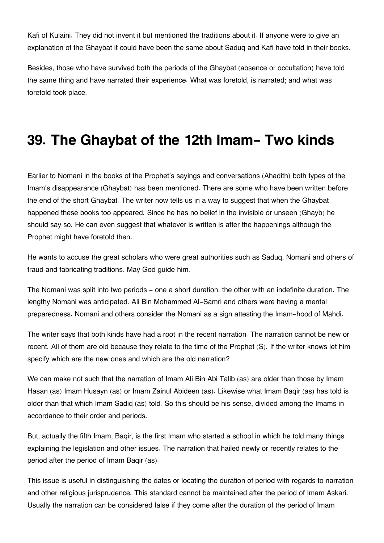Kafi of Kulaini. They did not invent it but mentioned the traditions about it. If anyone were to give an explanation of the Ghaybat it could have been the same about Saduq and Kafi have told in their books.

Besides, those who have survived both the periods of the Ghaybat (absence or occultation) have told the same thing and have narrated their experience. What was foretold, is narrated; and what was foretold took place.

#### **39. The Ghaybat of the 12th Imam- Two kinds**

Earlier to Nomani in the books of the Prophet's sayings and conversations (Ahadith) both types of the Imam's disappearance (Ghaybat) has been mentioned. There are some who have been written before the end of the short Ghaybat. The writer now tells us in a way to suggest that when the Ghaybat happened these books too appeared. Since he has no belief in the invisible or unseen (Ghayb) he should say so. He can even suggest that whatever is written is after the happenings although the Prophet might have foretold then.

He wants to accuse the great scholars who were great authorities such as Saduq, Nomani and others of fraud and fabricating traditions. May God guide him.

The Nomani was split into two periods - one a short duration, the other with an indefinite duration. The lengthy Nomani was anticipated. Ali Bin Mohammed Al-Samri and others were having a mental preparedness. Nomani and others consider the Nomani as a sign attesting the Imam-hood of Mahdi.

The writer says that both kinds have had a root in the recent narration. The narration cannot be new or recent. All of them are old because they relate to the time of the Prophet (S). If the writer knows let him specify which are the new ones and which are the old narration?

We can make not such that the narration of Imam Ali Bin Abi Talib (as) are older than those by Imam Hasan (as) Imam Husayn (as) or Imam Zainul Abideen (as). Likewise what Imam Baqir (as) has told is older than that which Imam Sadiq (as) told. So this should be his sense, divided among the Imams in accordance to their order and periods.

But, actually the fifth Imam, Baqir, is the first Imam who started a school in which he told many things explaining the legislation and other issues. The narration that hailed newly or recently relates to the period after the period of Imam Baqir (as).

This issue is useful in distinguishing the dates or locating the duration of period with regards to narration and other religious jurisprudence. This standard cannot be maintained after the period of Imam Askari. Usually the narration can be considered false if they come after the duration of the period of Imam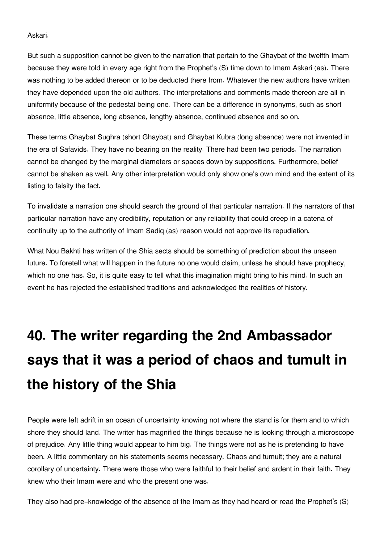Askari.

But such a supposition cannot be given to the narration that pertain to the Ghaybat of the twelfth Imam because they were told in every age right from the Prophet's (S) time down to Imam Askari (as). There was nothing to be added thereon or to be deducted there from. Whatever the new authors have written they have depended upon the old authors. The interpretations and comments made thereon are all in uniformity because of the pedestal being one. There can be a difference in synonyms, such as short absence, little absence, long absence, lengthy absence, continued absence and so on.

These terms Ghaybat Sughra (short Ghaybat) and Ghaybat Kubra (long absence) were not invented in the era of Safavids. They have no bearing on the reality. There had been two periods. The narration cannot be changed by the marginal diameters or spaces down by suppositions. Furthermore, belief cannot be shaken as well. Any other interpretation would only show one's own mind and the extent of its listing to falsity the fact.

To invalidate a narration one should search the ground of that particular narration. If the narrators of that particular narration have any credibility, reputation or any reliability that could creep in a catena of continuity up to the authority of Imam Sadiq (as) reason would not approve its repudiation.

What Nou Bakhti has written of the Shia sects should be something of prediction about the unseen future. To foretell what will happen in the future no one would claim, unless he should have prophecy, which no one has. So, it is quite easy to tell what this imagination might bring to his mind. In such an event he has rejected the established traditions and acknowledged the realities of history.

# **40. The writer regarding the 2nd Ambassador says that it was a period of chaos and tumult in the history of the Shia**

People were left adrift in an ocean of uncertainty knowing not where the stand is for them and to which shore they should land. The writer has magnified the things because he is looking through a microscope of prejudice. Any little thing would appear to him big. The things were not as he is pretending to have been. A little commentary on his statements seems necessary. Chaos and tumult; they are a natural corollary of uncertainty. There were those who were faithful to their belief and ardent in their faith. They knew who their Imam were and who the present one was.

They also had pre-knowledge of the absence of the Imam as they had heard or read the Prophet's (S)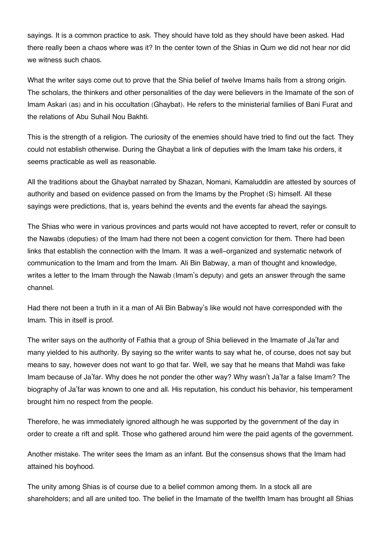sayings. It is a common practice to ask. They should have told as they should have been asked. Had there really been a chaos where was it? In the center town of the Shias in Qum we did not hear nor did we witness such chaos.

What the writer says come out to prove that the Shia belief of twelve Imams hails from a strong origin. The scholars, the thinkers and other personalities of the day were believers in the Imamate of the son of Imam Askari (as) and in his occultation (Ghaybat). He refers to the ministerial families of Bani Furat and the relations of Abu Suhail Nou Bakhti.

This is the strength of a religion. The curiosity of the enemies should have tried to find out the fact. They could not establish otherwise. During the Ghaybat a link of deputies with the Imam take his orders, it seems practicable as well as reasonable.

All the traditions about the Ghaybat narrated by Shazan, Nomani, Kamaluddin are attested by sources of authority and based on evidence passed on from the Imams by the Prophet (S) himself. All these sayings were predictions, that is, years behind the events and the events far ahead the sayings.

The Shias who were in various provinces and parts would not have accepted to revert, refer or consult to the Nawabs (deputies) of the Imam had there not been a cogent conviction for them. There had been links that establish the connection with the Imam. It was a well-organized and systematic network of communication to the Imam and from the Imam. Ali Bin Babway, a man of thought and knowledge, writes a letter to the Imam through the Nawab (Imam's deputy) and gets an answer through the same channel.

Had there not been a truth in it a man of Ali Bin Babway's like would not have corresponded with the Imam. This in itself is proof.

The writer says on the authority of Fathia that a group of Shia believed in the Imamate of Ja'far and many yielded to his authority. By saying so the writer wants to say what he, of course, does not say but means to say, however does not want to go that far. Well, we say that he means that Mahdi was fake Imam because of Ja'far. Why does he not ponder the other way? Why wasn't Ja'far a false Imam? The biography of Ja'far was known to one and all. His reputation, his conduct his behavior, his temperament brought him no respect from the people.

Therefore, he was immediately ignored although he was supported by the government of the day in order to create a rift and split. Those who gathered around him were the paid agents of the government.

Another mistake. The writer sees the Imam as an infant. But the consensus shows that the Imam had attained his boyhood.

The unity among Shias is of course due to a belief common among them. In a stock all are shareholders; and all are united too. The belief in the Imamate of the twelfth Imam has brought all Shias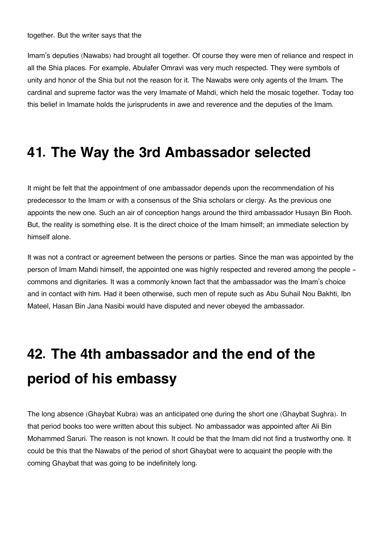Imam's deputies (Nawabs) had brought all together. Of course they were men of reliance and respect in all the Shia places. For example, Abulafer Omravi was very much respected. They were symbols of unity and honor of the Shia but not the reason for it. The Nawabs were only agents of the Imam. The cardinal and supreme factor was the very Imamate of Mahdi, which held the mosaic together. Today too this belief in Imamate holds the jurisprudents in awe and reverence and the deputies of the Imam.

#### **41. The Way the 3rd Ambassador selected**

It might be felt that the appointment of one ambassador depends upon the recommendation of his predecessor to the Imam or with a consensus of the Shia scholars or clergy. As the previous one appoints the new one. Such an air of conception hangs around the third ambassador Husayn Bin Rooh. But, the reality is something else. It is the direct choice of the Imam himself; an immediate selection by himself alone.

It was not a contract or agreement between the persons or parties. Since the man was appointed by the person of Imam Mahdi himself, the appointed one was highly respected and revered among the people commons and dignitaries. It was a commonly known fact that the ambassador was the Imam's choice and in contact with him. Had it been otherwise, such men of repute such as Abu Suhail Nou Bakhti, Ibn Mateel, Hasan Bin Jana Nasibi would have disputed and never obeyed the ambassador.

## **42. The 4th ambassador and the end of the period of his embassy**

The long absence (Ghaybat Kubra) was an anticipated one during the short one (Ghaybat Sughra). In that period books too were written about this subject. No ambassador was appointed after Ali Bin Mohammed Saruri. The reason is not known. It could be that the Imam did not find a trustworthy one. It could be this that the Nawabs of the period of short Ghaybat were to acquaint the people with the coming Ghaybat that was going to be indefinitely long.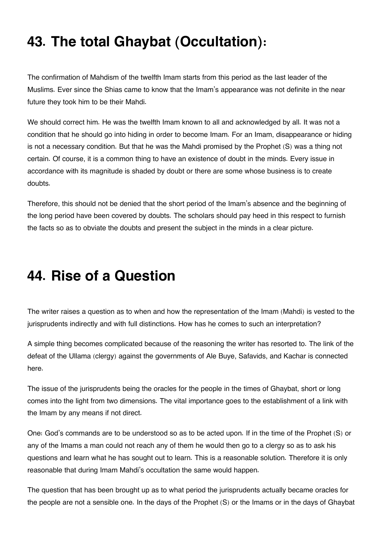## **43. The total Ghaybat (Occultation):**

The confirmation of Mahdism of the twelfth Imam starts from this period as the last leader of the Muslims. Ever since the Shias came to know that the Imam's appearance was not definite in the near future they took him to be their Mahdi.

We should correct him. He was the twelfth Imam known to all and acknowledged by all. It was not a condition that he should go into hiding in order to become Imam. For an Imam, disappearance or hiding is not a necessary condition. But that he was the Mahdi promised by the Prophet (S) was a thing not certain. Of course, it is a common thing to have an existence of doubt in the minds. Every issue in accordance with its magnitude is shaded by doubt or there are some whose business is to create doubts.

Therefore, this should not be denied that the short period of the Imam's absence and the beginning of the long period have been covered by doubts. The scholars should pay heed in this respect to furnish the facts so as to obviate the doubts and present the subject in the minds in a clear picture.

### **44. Rise of a Question**

The writer raises a question as to when and how the representation of the Imam (Mahdi) is vested to the jurisprudents indirectly and with full distinctions. How has he comes to such an interpretation?

A simple thing becomes complicated because of the reasoning the writer has resorted to. The link of the defeat of the Ullama (clergy) against the governments of Ale Buye, Safavids, and Kachar is connected here.

The issue of the jurisprudents being the oracles for the people in the times of Ghaybat, short or long comes into the light from two dimensions. The vital importance goes to the establishment of a link with the Imam by any means if not direct.

One: God's commands are to be understood so as to be acted upon. If in the time of the Prophet (S) or any of the Imams a man could not reach any of them he would then go to a clergy so as to ask his questions and learn what he has sought out to learn. This is a reasonable solution. Therefore it is only reasonable that during Imam Mahdi's occultation the same would happen.

The question that has been brought up as to what period the jurisprudents actually became oracles for the people are not a sensible one. In the days of the Prophet (S) or the Imams or in the days of Ghaybat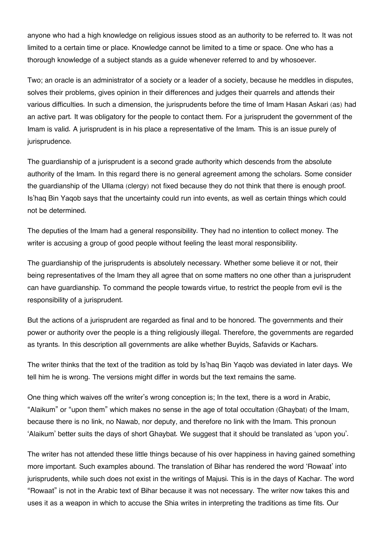anyone who had a high knowledge on religious issues stood as an authority to be referred to. It was not limited to a certain time or place. Knowledge cannot be limited to a time or space. One who has a thorough knowledge of a subject stands as a guide whenever referred to and by whosoever.

Two; an oracle is an administrator of a society or a leader of a society, because he meddles in disputes, solves their problems, gives opinion in their differences and judges their quarrels and attends their various difficulties. In such a dimension, the jurisprudents before the time of Imam Hasan Askari (as) had an active part. It was obligatory for the people to contact them. For a jurisprudent the government of the Imam is valid. A jurisprudent is in his place a representative of the Imam. This is an issue purely of jurisprudence.

The guardianship of a jurisprudent is a second grade authority which descends from the absolute authority of the Imam. In this regard there is no general agreement among the scholars. Some consider the guardianship of the Ullama (clergy) not fixed because they do not think that there is enough proof. Is'haq Bin Yaqob says that the uncertainty could run into events, as well as certain things which could not be determined.

The deputies of the Imam had a general responsibility. They had no intention to collect money. The writer is accusing a group of good people without feeling the least moral responsibility.

The guardianship of the jurisprudents is absolutely necessary. Whether some believe it or not, their being representatives of the Imam they all agree that on some matters no one other than a jurisprudent can have guardianship. To command the people towards virtue, to restrict the people from evil is the responsibility of a jurisprudent.

But the actions of a jurisprudent are regarded as final and to be honored. The governments and their power or authority over the people is a thing religiously illegal. Therefore, the governments are regarded as tyrants. In this description all governments are alike whether Buyids, Safavids or Kachars.

The writer thinks that the text of the tradition as told by Is'haq Bin Yaqob was deviated in later days. We tell him he is wrong. The versions might differ in words but the text remains the same.

One thing which waives off the writer's wrong conception is; In the text, there is a word in Arabic, "Alaikum" or "upon them" which makes no sense in the age of total occultation (Ghaybat) of the Imam, because there is no link, no Nawab, nor deputy, and therefore no link with the Imam. This pronoun 'Alaikum' better suits the days of short Ghaybat. We suggest that it should be translated as 'upon you'.

The writer has not attended these little things because of his over happiness in having gained something more important. Such examples abound. The translation of Bihar has rendered the word 'Rowaat' into jurisprudents, while such does not exist in the writings of Majusi. This is in the days of Kachar. The word "Rowaat" is not in the Arabic text of Bihar because it was not necessary. The writer now takes this and uses it as a weapon in which to accuse the Shia writes in interpreting the traditions as time fits. Our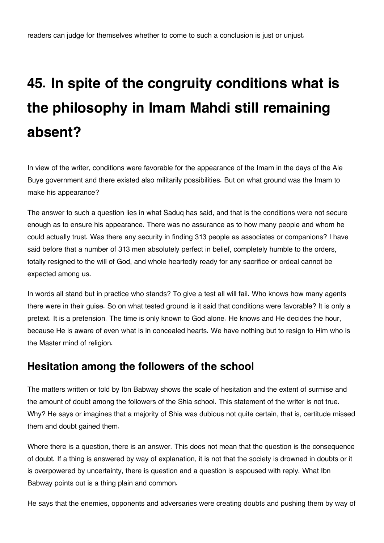# **45. In spite of the congruity conditions what is the philosophy in Imam Mahdi still remaining absent?**

In view of the writer, conditions were favorable for the appearance of the Imam in the days of the Ale Buye government and there existed also militarily possibilities. But on what ground was the Imam to make his appearance?

The answer to such a question lies in what Saduq has said, and that is the conditions were not secure enough as to ensure his appearance. There was no assurance as to how many people and whom he could actually trust. Was there any security in finding 313 people as associates or companions? I have said before that a number of 313 men absolutely perfect in belief, completely humble to the orders, totally resigned to the will of God, and whole heartedly ready for any sacrifice or ordeal cannot be expected among us.

In words all stand but in practice who stands? To give a test all will fail. Who knows how many agents there were in their guise. So on what tested ground is it said that conditions were favorable? It is only a pretext. It is a pretension. The time is only known to God alone. He knows and He decides the hour, because He is aware of even what is in concealed hearts. We have nothing but to resign to Him who is the Master mind of religion.

#### <span id="page-69-0"></span>**[Hesitation among the followers of the school](#page-69-0)**

The matters written or told by Ibn Babway shows the scale of hesitation and the extent of surmise and the amount of doubt among the followers of the Shia school. This statement of the writer is not true. Why? He says or imagines that a majority of Shia was dubious not quite certain, that is, certitude missed them and doubt gained them.

Where there is a question, there is an answer. This does not mean that the question is the consequence of doubt. If a thing is answered by way of explanation, it is not that the society is drowned in doubts or it is overpowered by uncertainty, there is question and a question is espoused with reply. What Ibn Babway points out is a thing plain and common.

He says that the enemies, opponents and adversaries were creating doubts and pushing them by way of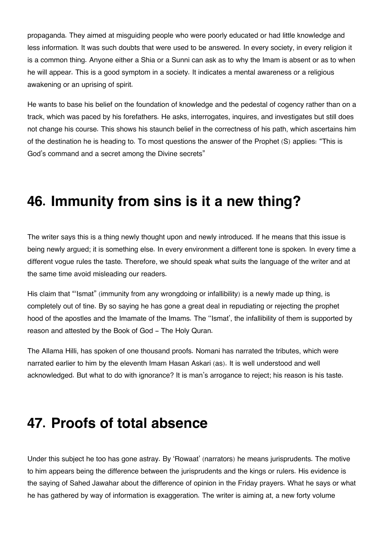propaganda. They aimed at misguiding people who were poorly educated or had little knowledge and less information. It was such doubts that were used to be answered. In every society, in every religion it is a common thing. Anyone either a Shia or a Sunni can ask as to why the Imam is absent or as to when he will appear. This is a good symptom in a society. It indicates a mental awareness or a religious awakening or an uprising of spirit.

He wants to base his belief on the foundation of knowledge and the pedestal of cogency rather than on a track, which was paced by his forefathers. He asks, interrogates, inquires, and investigates but still does not change his course. This shows his staunch belief in the correctness of his path, which ascertains him of the destination he is heading to. To most questions the answer of the Prophet (S) applies: "This is God's command and a secret among the Divine secrets"

#### **46. Immunity from sins is it a new thing?**

The writer says this is a thing newly thought upon and newly introduced. If he means that this issue is being newly argued; it is something else. In every environment a different tone is spoken. In every time a different vogue rules the taste. Therefore, we should speak what suits the language of the writer and at the same time avoid misleading our readers.

His claim that "'Ismat" (immunity from any wrongdoing or infallibility) is a newly made up thing, is completely out of tine. By so saying he has gone a great deal in repudiating or rejecting the prophet hood of the apostles and the Imamate of the Imams. The ''Ismat', the infallibility of them is supported by reason and attested by the Book of God - The Holy Quran.

The Allama Hilli, has spoken of one thousand proofs. Nomani has narrated the tributes, which were narrated earlier to him by the eleventh Imam Hasan Askari (as). It is well understood and well acknowledged. But what to do with ignorance? It is man's arrogance to reject; his reason is his taste.

#### **47. Proofs of total absence**

Under this subject he too has gone astray. By 'Rowaat' (narrators) he means jurisprudents. The motive to him appears being the difference between the jurisprudents and the kings or rulers. His evidence is the saying of Sahed Jawahar about the difference of opinion in the Friday prayers. What he says or what he has gathered by way of information is exaggeration. The writer is aiming at, a new forty volume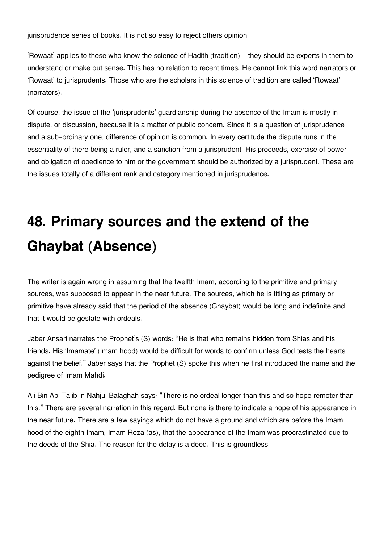jurisprudence series of books. It is not so easy to reject others opinion.

'Rowaat' applies to those who know the science of Hadith (tradition) - they should be experts in them to understand or make out sense. This has no relation to recent times. He cannot link this word narrators or 'Rowaat' to jurisprudents. Those who are the scholars in this science of tradition are called 'Rowaat' (narrators).

Of course, the issue of the 'jurisprudents' guardianship during the absence of the Imam is mostly in dispute, or discussion, because it is a matter of public concern. Since it is a question of jurisprudence and a sub-ordinary one, difference of opinion is common. In every certitude the dispute runs in the essentiality of there being a ruler, and a sanction from a jurisprudent. His proceeds, exercise of power and obligation of obedience to him or the government should be authorized by a jurisprudent. These are the issues totally of a different rank and category mentioned in jurisprudence.

## **48. Primary sources and the extend of the Ghaybat (Absence)**

The writer is again wrong in assuming that the twelfth Imam, according to the primitive and primary sources, was supposed to appear in the near future. The sources, which he is titling as primary or primitive have already said that the period of the absence (Ghaybat) would be long and indefinite and that it would be gestate with ordeals.

Jaber Ansari narrates the Prophet's (S) words: "He is that who remains hidden from Shias and his friends. His 'Imamate' (Imam hood) would be difficult for words to confirm unless God tests the hearts against the belief." Jaber says that the Prophet (S) spoke this when he first introduced the name and the pedigree of Imam Mahdi.

Ali Bin Abi Talib in Nahjul Balaghah says: "There is no ordeal longer than this and so hope remoter than this." There are several narration in this regard. But none is there to indicate a hope of his appearance in the near future. There are a few sayings which do not have a ground and which are before the Imam hood of the eighth Imam, Imam Reza (as), that the appearance of the Imam was procrastinated due to the deeds of the Shia. The reason for the delay is a deed. This is groundless.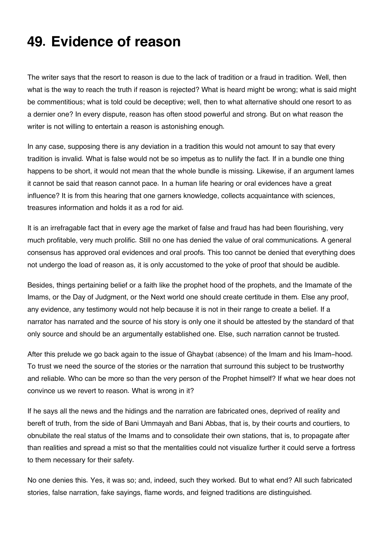## **49. Evidence of reason**

The writer says that the resort to reason is due to the lack of tradition or a fraud in tradition. Well, then what is the way to reach the truth if reason is rejected? What is heard might be wrong; what is said might be commentitious; what is told could be deceptive; well, then to what alternative should one resort to as a dernier one? In every dispute, reason has often stood powerful and strong. But on what reason the writer is not willing to entertain a reason is astonishing enough.

In any case, supposing there is any deviation in a tradition this would not amount to say that every tradition is invalid. What is false would not be so impetus as to nullify the fact. If in a bundle one thing happens to be short, it would not mean that the whole bundle is missing. Likewise, if an argument lames it cannot be said that reason cannot pace. In a human life hearing or oral evidences have a great influence? It is from this hearing that one garners knowledge, collects acquaintance with sciences, treasures information and holds it as a rod for aid.

It is an irrefragable fact that in every age the market of false and fraud has had been flourishing, very much profitable, very much prolific. Still no one has denied the value of oral communications. A general consensus has approved oral evidences and oral proofs. This too cannot be denied that everything does not undergo the load of reason as, it is only accustomed to the yoke of proof that should be audible.

Besides, things pertaining belief or a faith like the prophet hood of the prophets, and the Imamate of the Imams, or the Day of Judgment, or the Next world one should create certitude in them. Else any proof, any evidence, any testimony would not help because it is not in their range to create a belief. If a narrator has narrated and the source of his story is only one it should be attested by the standard of that only source and should be an argumentally established one. Else, such narration cannot be trusted.

After this prelude we go back again to the issue of Ghaybat (absence) of the Imam and his Imam-hood. To trust we need the source of the stories or the narration that surround this subject to be trustworthy and reliable. Who can be more so than the very person of the Prophet himself? If what we hear does not convince us we revert to reason. What is wrong in it?

If he says all the news and the hidings and the narration are fabricated ones, deprived of reality and bereft of truth, from the side of Bani Ummayah and Bani Abbas, that is, by their courts and courtiers, to obnubilate the real status of the Imams and to consolidate their own stations, that is, to propagate after than realities and spread a mist so that the mentalities could not visualize further it could serve a fortress to them necessary for their safety.

No one denies this. Yes, it was so; and, indeed, such they worked. But to what end? All such fabricated stories, false narration, fake sayings, flame words, and feigned traditions are distinguished.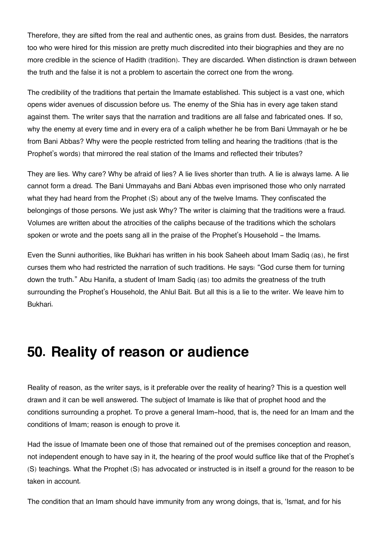Therefore, they are sifted from the real and authentic ones, as grains from dust. Besides, the narrators too who were hired for this mission are pretty much discredited into their biographies and they are no more credible in the science of Hadith (tradition). They are discarded. When distinction is drawn between the truth and the false it is not a problem to ascertain the correct one from the wrong.

The credibility of the traditions that pertain the Imamate established. This subject is a vast one, which opens wider avenues of discussion before us. The enemy of the Shia has in every age taken stand against them. The writer says that the narration and traditions are all false and fabricated ones. If so, why the enemy at every time and in every era of a caliph whether he be from Bani Ummayah or he be from Bani Abbas? Why were the people restricted from telling and hearing the traditions (that is the Prophet's words) that mirrored the real station of the Imams and reflected their tributes?

They are lies. Why care? Why be afraid of lies? A lie lives shorter than truth. A lie is always lame. A lie cannot form a dread. The Bani Ummayahs and Bani Abbas even imprisoned those who only narrated what they had heard from the Prophet (S) about any of the twelve Imams. They confiscated the belongings of those persons. We just ask Why? The writer is claiming that the traditions were a fraud. Volumes are written about the atrocities of the caliphs because of the traditions which the scholars spoken or wrote and the poets sang all in the praise of the Prophet's Household – the Imams.

Even the Sunni authorities, like Bukhari has written in his book Saheeh about Imam Sadiq (as), he first curses them who had restricted the narration of such traditions. He says: "God curse them for turning down the truth." Abu Hanifa, a student of Imam Sadiq (as) too admits the greatness of the truth surrounding the Prophet's Household, the Ahlul Bait. But all this is a lie to the writer. We leave him to Bukhari.

### **50. Reality of reason or audience**

Reality of reason, as the writer says, is it preferable over the reality of hearing? This is a question well drawn and it can be well answered. The subject of Imamate is like that of prophet hood and the conditions surrounding a prophet. To prove a general Imam-hood, that is, the need for an Imam and the conditions of Imam; reason is enough to prove it.

Had the issue of Imamate been one of those that remained out of the premises conception and reason, not independent enough to have say in it, the hearing of the proof would suffice like that of the Prophet's (S) teachings. What the Prophet (S) has advocated or instructed is in itself a ground for the reason to be taken in account.

The condition that an Imam should have immunity from any wrong doings, that is, 'Ismat, and for his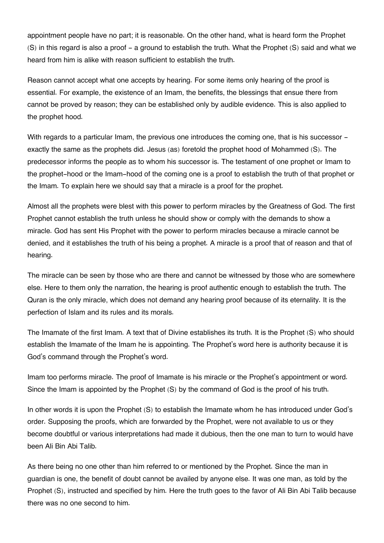appointment people have no part; it is reasonable. On the other hand, what is heard form the Prophet (S) in this regard is also a proof - a ground to establish the truth. What the Prophet (S) said and what we heard from him is alike with reason sufficient to establish the truth.

Reason cannot accept what one accepts by hearing. For some items only hearing of the proof is essential. For example, the existence of an Imam, the benefits, the blessings that ensue there from cannot be proved by reason; they can be established only by audible evidence. This is also applied to the prophet hood.

With regards to a particular Imam, the previous one introduces the coming one, that is his successor exactly the same as the prophets did. Jesus (as) foretold the prophet hood of Mohammed (S). The predecessor informs the people as to whom his successor is. The testament of one prophet or Imam to the prophet-hood or the Imam-hood of the coming one is a proof to establish the truth of that prophet or the Imam. To explain here we should say that a miracle is a proof for the prophet.

Almost all the prophets were blest with this power to perform miracles by the Greatness of God. The first Prophet cannot establish the truth unless he should show or comply with the demands to show a miracle. God has sent His Prophet with the power to perform miracles because a miracle cannot be denied, and it establishes the truth of his being a prophet. A miracle is a proof that of reason and that of hearing.

The miracle can be seen by those who are there and cannot be witnessed by those who are somewhere else. Here to them only the narration, the hearing is proof authentic enough to establish the truth. The Quran is the only miracle, which does not demand any hearing proof because of its eternality. It is the perfection of Islam and its rules and its morals.

The Imamate of the first Imam. A text that of Divine establishes its truth. It is the Prophet (S) who should establish the Imamate of the Imam he is appointing. The Prophet's word here is authority because it is God's command through the Prophet's word.

Imam too performs miracle. The proof of Imamate is his miracle or the Prophet's appointment or word. Since the Imam is appointed by the Prophet (S) by the command of God is the proof of his truth.

In other words it is upon the Prophet (S) to establish the Imamate whom he has introduced under God's order. Supposing the proofs, which are forwarded by the Prophet, were not available to us or they become doubtful or various interpretations had made it dubious, then the one man to turn to would have been Ali Bin Abi Talib.

As there being no one other than him referred to or mentioned by the Prophet. Since the man in guardian is one, the benefit of doubt cannot be availed by anyone else. It was one man, as told by the Prophet (S), instructed and specified by him. Here the truth goes to the favor of Ali Bin Abi Talib because there was no one second to him.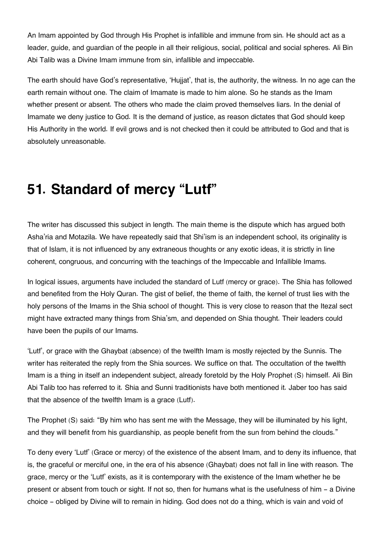An Imam appointed by God through His Prophet is infallible and immune from sin. He should act as a leader, guide, and guardian of the people in all their religious, social, political and social spheres. Ali Bin Abi Talib was a Divine Imam immune from sin, infallible and impeccable.

The earth should have God's representative, 'Hujjat', that is, the authority, the witness. In no age can the earth remain without one. The claim of Imamate is made to him alone. So he stands as the Imam whether present or absent. The others who made the claim proved themselves liars. In the denial of Imamate we deny justice to God. It is the demand of justice, as reason dictates that God should keep His Authority in the world. If evil grows and is not checked then it could be attributed to God and that is absolutely unreasonable.

## **51. Standard of mercy "Lutf"**

The writer has discussed this subject in length. The main theme is the dispute which has argued both Asha'ria and Motazila. We have repeatedly said that Shi'ism is an independent school, its originality is that of Islam, it is not influenced by any extraneous thoughts or any exotic ideas, it is strictly in line coherent, congruous, and concurring with the teachings of the Impeccable and Infallible Imams.

In logical issues, arguments have included the standard of Lutf (mercy or grace). The Shia has followed and benefited from the Holy Quran. The gist of belief, the theme of faith, the kernel of trust lies with the holy persons of the Imams in the Shia school of thought. This is very close to reason that the Itezal sect might have extracted many things from Shia'sm, and depended on Shia thought. Their leaders could have been the pupils of our Imams.

'Lutf', or grace with the Ghaybat (absence) of the twelfth Imam is mostly rejected by the Sunnis. The writer has reiterated the reply from the Shia sources. We suffice on that. The occultation of the twelfth Imam is a thing in itself an independent subject, already foretold by the Holy Prophet (S) himself. Ali Bin Abi Talib too has referred to it. Shia and Sunni traditionists have both mentioned it. Jaber too has said that the absence of the twelfth Imam is a grace (Lutf).

The Prophet (S) said: "By him who has sent me with the Message, they will be illuminated by his light, and they will benefit from his guardianship, as people benefit from the sun from behind the clouds."

To deny every 'Lutf' (Grace or mercy) of the existence of the absent Imam, and to deny its influence, that is, the graceful or merciful one, in the era of his absence (Ghaybat) does not fall in line with reason. The grace, mercy or the 'Lutf' exists, as it is contemporary with the existence of the Imam whether he be present or absent from touch or sight. If not so, then for humans what is the usefulness of him - a Divine choice - obliged by Divine will to remain in hiding. God does not do a thing, which is vain and void of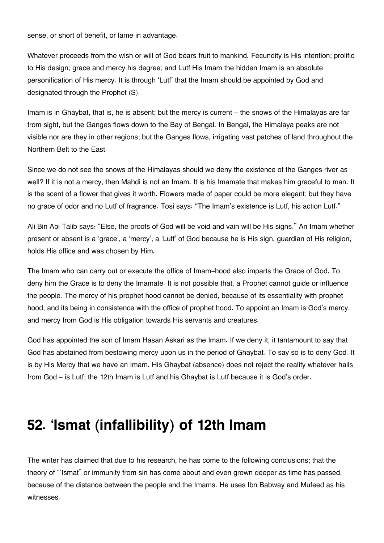sense, or short of benefit, or lame in advantage.

Whatever proceeds from the wish or will of God bears fruit to mankind. Fecundity is His intention; prolific to His design; grace and mercy his degree; and Lutf His Imam the hidden Imam is an absolute personification of His mercy. It is through 'Lutf' that the Imam should be appointed by God and designated through the Prophet (S).

Imam is in Ghaybat, that is, he is absent; but the mercy is current – the snows of the Himalayas are far from sight, but the Ganges flows down to the Bay of Bengal. In Bengal, the Himalaya peaks are not visible nor are they in other regions; but the Ganges flows, irrigating vast patches of land throughout the Northern Belt to the East.

Since we do not see the snows of the Himalayas should we deny the existence of the Ganges river as well? If it is not a mercy, then Mahdi is not an Imam. It is his Imamate that makes him graceful to man. It is the scent of a flower that gives it worth. Flowers made of paper could be more elegant; but they have no grace of odor and no Lutf of fragrance. Tosi says: "The Imam's existence is Lutf, his action Lutf."

Ali Bin Abi Talib says: "Else, the proofs of God will be void and vain will be His signs." An Imam whether present or absent is a 'grace', a 'mercy', a 'Lutf' of God because he is His sign, guardian of His religion, holds His office and was chosen by Him.

The Imam who can carry out or execute the office of Imam-hood also imparts the Grace of God. To deny him the Grace is to deny the Imamate. It is not possible that, a Prophet cannot guide or influence the people. The mercy of his prophet hood cannot be denied, because of its essentiality with prophet hood, and its being in consistence with the office of prophet hood. To appoint an Imam is God's mercy, and mercy from God is His obligation towards His servants and creatures.

God has appointed the son of Imam Hasan Askari as the Imam. If we deny it, it tantamount to say that God has abstained from bestowing mercy upon us in the period of Ghaybat. To say so is to deny God. It is by His Mercy that we have an Imam. His Ghaybat (absence) does not reject the reality whatever hails from God - is Lutf; the 12th Imam is Lutf and his Ghaybat is Lutf because it is God's order.

## **52. 'Ismat (infallibility) of 12th Imam**

The writer has claimed that due to his research, he has come to the following conclusions; that the theory of "'Ismat" or immunity from sin has come about and even grown deeper as time has passed, because of the distance between the people and the Imams. He uses Ibn Babway and Mufeed as his witnesses.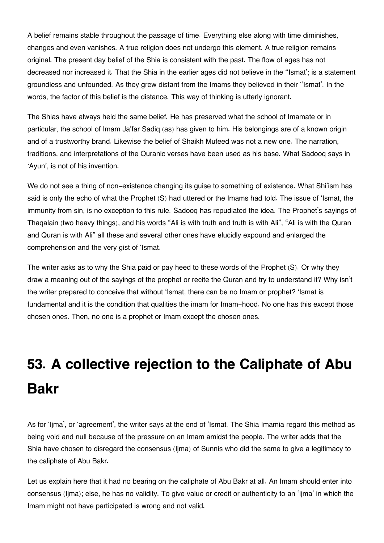A belief remains stable throughout the passage of time. Everything else along with time diminishes, changes and even vanishes. A true religion does not undergo this element. A true religion remains original. The present day belief of the Shia is consistent with the past. The flow of ages has not decreased nor increased it. That the Shia in the earlier ages did not believe in the ''Ismat'; is a statement groundless and unfounded. As they grew distant from the Imams they believed in their ''Ismat'. In the words, the factor of this belief is the distance. This way of thinking is utterly ignorant.

The Shias have always held the same belief. He has preserved what the school of Imamate or in particular, the school of Imam Ja'far Sadiq (as) has given to him. His belongings are of a known origin and of a trustworthy brand. Likewise the belief of Shaikh Mufeed was not a new one. The narration, traditions, and interpretations of the Quranic verses have been used as his base. What Sadooq says in 'Ayun', is not of his invention.

We do not see a thing of non-existence changing its guise to something of existence. What Shi'ism has said is only the echo of what the Prophet (S) had uttered or the Imams had told. The issue of 'Ismat, the immunity from sin, is no exception to this rule. Sadooq has repudiated the idea. The Prophet's sayings of Thaqalain (two heavy things), and his words "Ali is with truth and truth is with Ali", "Ali is with the Quran and Quran is with Ali" all these and several other ones have elucidly expound and enlarged the comprehension and the very gist of 'Ismat.

The writer asks as to why the Shia paid or pay heed to these words of the Prophet (S). Or why they draw a meaning out of the sayings of the prophet or recite the Quran and try to understand it? Why isn't the writer prepared to conceive that without 'Ismat, there can be no Imam or prophet? 'Ismat is fundamental and it is the condition that qualities the imam for Imam-hood. No one has this except those chosen ones. Then, no one is a prophet or Imam except the chosen ones.

# **53. A collective rejection to the Caliphate of Abu Bakr**

As for 'Ijma', or 'agreement', the writer says at the end of 'Ismat. The Shia Imamia regard this method as being void and null because of the pressure on an Imam amidst the people. The writer adds that the Shia have chosen to disregard the consensus (Ijma) of Sunnis who did the same to give a legitimacy to the caliphate of Abu Bakr.

Let us explain here that it had no bearing on the caliphate of Abu Bakr at all. An Imam should enter into consensus (Ijma); else, he has no validity. To give value or credit or authenticity to an 'Ijma' in which the Imam might not have participated is wrong and not valid.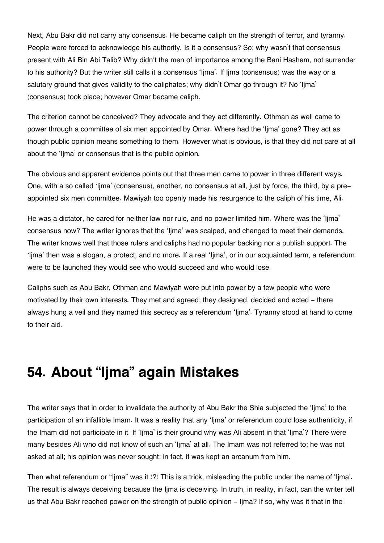Next, Abu Bakr did not carry any consensus. He became caliph on the strength of terror, and tyranny. People were forced to acknowledge his authority. Is it a consensus? So; why wasn't that consensus present with Ali Bin Abi Talib? Why didn't the men of importance among the Bani Hashem, not surrender to his authority? But the writer still calls it a consensus 'Ijma'. If Ijma (consensus) was the way or a salutary ground that gives validity to the caliphates; why didn't Omar go through it? No 'Ijma' (consensus) took place; however Omar became caliph.

The criterion cannot be conceived? They advocate and they act differently. Othman as well came to power through a committee of six men appointed by Omar. Where had the 'Ijma' gone? They act as though public opinion means something to them. However what is obvious, is that they did not care at all about the 'Ijma' or consensus that is the public opinion.

The obvious and apparent evidence points out that three men came to power in three different ways. One, with a so called 'Ijma' (consensus), another, no consensus at all, just by force, the third, by a preappointed six men committee. Mawiyah too openly made his resurgence to the caliph of his time, Ali.

He was a dictator, he cared for neither law nor rule, and no power limited him. Where was the 'Ijma' consensus now? The writer ignores that the 'Ijma' was scalped, and changed to meet their demands. The writer knows well that those rulers and caliphs had no popular backing nor a publish support. The 'Ijma' then was a slogan, a protect, and no more. If a real 'Ijma', or in our acquainted term, a referendum were to be launched they would see who would succeed and who would lose.

Caliphs such as Abu Bakr, Othman and Mawiyah were put into power by a few people who were motivated by their own interests. They met and agreed; they designed, decided and acted - there always hung a veil and they named this secrecy as a referendum 'Ijma'. Tyranny stood at hand to come to their aid.

## **54. About "Ijma" again Mistakes**

The writer says that in order to invalidate the authority of Abu Bakr the Shia subjected the 'Ijma' to the participation of an infallible Imam. It was a reality that any 'Ijma' or referendum could lose authenticity, if the Imam did not participate in it. If 'Ijma' is their ground why was Ali absent in that 'Ijma'? There were many besides Ali who did not know of such an 'Ijma' at all. The Imam was not referred to; he was not asked at all; his opinion was never sought; in fact, it was kept an arcanum from him.

Then what referendum or "Ijma" was it !?! This is a trick, misleading the public under the name of 'Ijma'. The result is always deceiving because the Ijma is deceiving. In truth, in reality, in fact, can the writer tell us that Abu Bakr reached power on the strength of public opinion - Ijma? If so, why was it that in the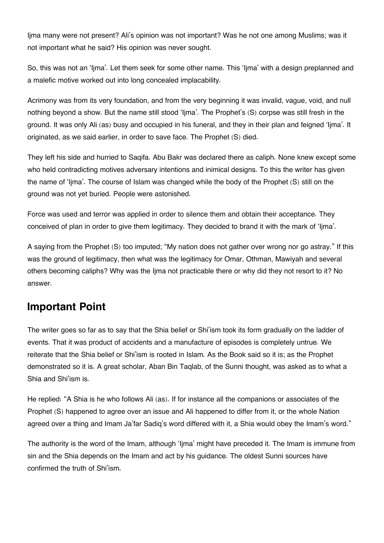Ijma many were not present? Ali's opinion was not important? Was he not one among Muslims; was it not important what he said? His opinion was never sought.

So, this was not an 'Ijma'. Let them seek for some other name. This 'Ijma' with a design preplanned and a malefic motive worked out into long concealed implacability.

Acrimony was from its very foundation, and from the very beginning it was invalid, vague, void, and null nothing beyond a show. But the name still stood 'Ijma'. The Prophet's (S) corpse was still fresh in the ground. It was only Ali (as) busy and occupied in his funeral, and they in their plan and feigned 'Ijma'. It originated, as we said earlier, in order to save face. The Prophet (S) died.

They left his side and hurried to Saqifa. Abu Bakr was declared there as caliph. None knew except some who held contradicting motives adversary intentions and inimical designs. To this the writer has given the name of 'Ijma'. The course of Islam was changed while the body of the Prophet (S) still on the ground was not yet buried. People were astonished.

Force was used and terror was applied in order to silence them and obtain their acceptance. They conceived of plan in order to give them legitimacy. They decided to brand it with the mark of 'Ijma'.

A saying from the Prophet (S) too imputed; "My nation does not gather over wrong nor go astray." If this was the ground of legitimacy, then what was the legitimacy for Omar, Othman, Mawiyah and several others becoming caliphs? Why was the Ijma not practicable there or why did they not resort to it? No answer.

### <span id="page-79-0"></span>**[Important Point](#page-79-0)**

The writer goes so far as to say that the Shia belief or Shi'ism took its form gradually on the ladder of events. That it was product of accidents and a manufacture of episodes is completely untrue. We reiterate that the Shia belief or Shi'ism is rooted in Islam. As the Book said so it is; as the Prophet demonstrated so it is. A great scholar, Aban Bin Taqlab, of the Sunni thought, was asked as to what a Shia and Shi'ism is.

He replied: "A Shia is he who follows Ali (as). If for instance all the companions or associates of the Prophet (S) happened to agree over an issue and Ali happened to differ from it, or the whole Nation agreed over a thing and Imam Ja'far Sadiq's word differed with it, a Shia would obey the Imam's word."

The authority is the word of the Imam, although 'Ijma' might have preceded it. The Imam is immune from sin and the Shia depends on the Imam and act by his guidance. The oldest Sunni sources have confirmed the truth of Shi'ism.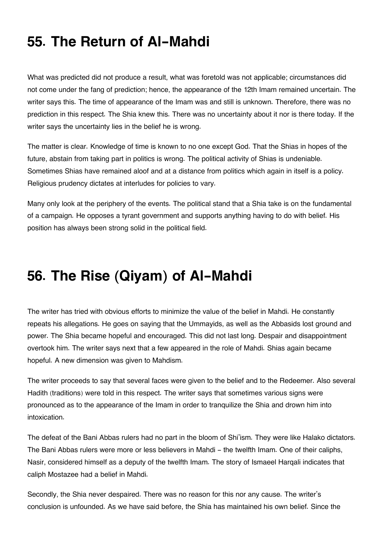## **55. The Return of Al-Mahdi**

What was predicted did not produce a result, what was foretold was not applicable; circumstances did not come under the fang of prediction; hence, the appearance of the 12th Imam remained uncertain. The writer says this. The time of appearance of the Imam was and still is unknown. Therefore, there was no prediction in this respect. The Shia knew this. There was no uncertainty about it nor is there today. If the writer says the uncertainty lies in the belief he is wrong.

The matter is clear. Knowledge of time is known to no one except God. That the Shias in hopes of the future, abstain from taking part in politics is wrong. The political activity of Shias is undeniable. Sometimes Shias have remained aloof and at a distance from politics which again in itself is a policy. Religious prudency dictates at interludes for policies to vary.

Many only look at the periphery of the events. The political stand that a Shia take is on the fundamental of a campaign. He opposes a tyrant government and supports anything having to do with belief. His position has always been strong solid in the political field.

## **56. The Rise (Qiyam) of Al-Mahdi**

The writer has tried with obvious efforts to minimize the value of the belief in Mahdi. He constantly repeats his allegations. He goes on saying that the Ummayids, as well as the Abbasids lost ground and power. The Shia became hopeful and encouraged. This did not last long. Despair and disappointment overtook him. The writer says next that a few appeared in the role of Mahdi. Shias again became hopeful. A new dimension was given to Mahdism.

The writer proceeds to say that several faces were given to the belief and to the Redeemer. Also several Hadith (traditions) were told in this respect. The writer says that sometimes various signs were pronounced as to the appearance of the Imam in order to tranquilize the Shia and drown him into intoxication.

The defeat of the Bani Abbas rulers had no part in the bloom of Shi'ism. They were like Halako dictators. The Bani Abbas rulers were more or less believers in Mahdi - the twelfth Imam. One of their caliphs, Nasir, considered himself as a deputy of the twelfth Imam. The story of Ismaeel Harqali indicates that caliph Mostazee had a belief in Mahdi.

Secondly, the Shia never despaired. There was no reason for this nor any cause. The writer's conclusion is unfounded. As we have said before, the Shia has maintained his own belief. Since the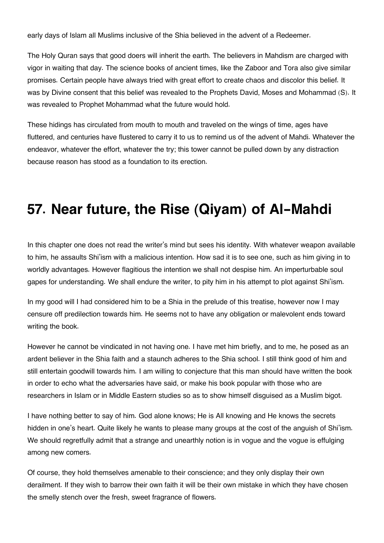early days of Islam all Muslims inclusive of the Shia believed in the advent of a Redeemer.

The Holy Quran says that good doers will inherit the earth. The believers in Mahdism are charged with vigor in waiting that day. The science books of ancient times, like the Zaboor and Tora also give similar promises. Certain people have always tried with great effort to create chaos and discolor this belief. It was by Divine consent that this belief was revealed to the Prophets David, Moses and Mohammad (S). It was revealed to Prophet Mohammad what the future would hold.

These hidings has circulated from mouth to mouth and traveled on the wings of time, ages have fluttered, and centuries have flustered to carry it to us to remind us of the advent of Mahdi. Whatever the endeavor, whatever the effort, whatever the try; this tower cannot be pulled down by any distraction because reason has stood as a foundation to its erection.

## **57. Near future, the Rise (Qiyam) of Al-Mahdi**

In this chapter one does not read the writer's mind but sees his identity. With whatever weapon available to him, he assaults Shi'ism with a malicious intention. How sad it is to see one, such as him giving in to worldly advantages. However flagitious the intention we shall not despise him. An imperturbable soul gapes for understanding. We shall endure the writer, to pity him in his attempt to plot against Shi'ism.

In my good will I had considered him to be a Shia in the prelude of this treatise, however now I may censure off predilection towards him. He seems not to have any obligation or malevolent ends toward writing the book.

However he cannot be vindicated in not having one. I have met him briefly, and to me, he posed as an ardent believer in the Shia faith and a staunch adheres to the Shia school. I still think good of him and still entertain goodwill towards him. I am willing to conjecture that this man should have written the book in order to echo what the adversaries have said, or make his book popular with those who are researchers in Islam or in Middle Eastern studies so as to show himself disguised as a Muslim bigot.

I have nothing better to say of him. God alone knows; He is All knowing and He knows the secrets hidden in one's heart. Quite likely he wants to please many groups at the cost of the anguish of Shi'ism. We should regretfully admit that a strange and unearthly notion is in vogue and the vogue is effulging among new comers.

Of course, they hold themselves amenable to their conscience; and they only display their own derailment. If they wish to barrow their own faith it will be their own mistake in which they have chosen the smelly stench over the fresh, sweet fragrance of flowers.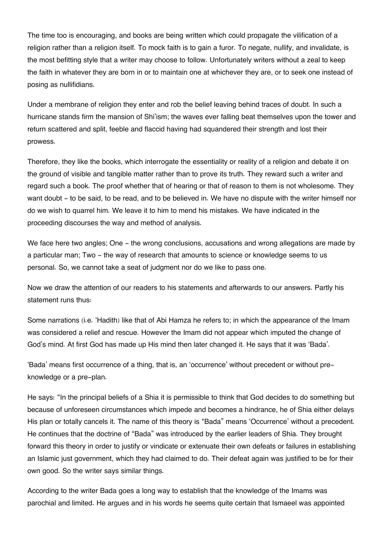The time too is encouraging, and books are being written which could propagate the vilification of a religion rather than a religion itself. To mock faith is to gain a furor. To negate, nullify, and invalidate, is the most befitting style that a writer may choose to follow. Unfortunately writers without a zeal to keep the faith in whatever they are born in or to maintain one at whichever they are, or to seek one instead of posing as nullifidians.

Under a membrane of religion they enter and rob the belief leaving behind traces of doubt. In such a hurricane stands firm the mansion of Shi'ism; the waves ever falling beat themselves upon the tower and return scattered and split, feeble and flaccid having had squandered their strength and lost their prowess.

Therefore, they like the books, which interrogate the essentiality or reality of a religion and debate it on the ground of visible and tangible matter rather than to prove its truth. They reward such a writer and regard such a book. The proof whether that of hearing or that of reason to them is not wholesome. They want doubt - to be said, to be read, and to be believed in. We have no dispute with the writer himself nor do we wish to quarrel him. We leave it to him to mend his mistakes. We have indicated in the proceeding discourses the way and method of analysis.

We face here two angles; One - the wrong conclusions, accusations and wrong allegations are made by a particular man; Two - the way of research that amounts to science or knowledge seems to us personal. So, we cannot take a seat of judgment nor do we like to pass one.

Now we draw the attention of our readers to his statements and afterwards to our answers. Partly his statement runs thus:

Some narrations (i.e. 'Hadith) like that of Abi Hamza he refers to; in which the appearance of the Imam was considered a relief and rescue. However the Imam did not appear which imputed the change of God's mind. At first God has made up His mind then later changed it. He says that it was 'Bada'.

'Bada' means first occurrence of a thing, that is, an 'occurrence' without precedent or without preknowledge or a pre-plan.

He says: "In the principal beliefs of a Shia it is permissible to think that God decides to do something but because of unforeseen circumstances which impede and becomes a hindrance, he of Shia either delays His plan or totally cancels it. The name of this theory is "Bada" means 'Occurrence' without a precedent. He continues that the doctrine of "Bada" was introduced by the earlier leaders of Shia. They brought forward this theory in order to justify or vindicate or extenuate their own defeats or failures in establishing an Islamic just government, which they had claimed to do. Their defeat again was justified to be for their own good. So the writer says similar things.

According to the writer Bada goes a long way to establish that the knowledge of the Imams was parochial and limited. He argues and in his words he seems quite certain that Ismaeel was appointed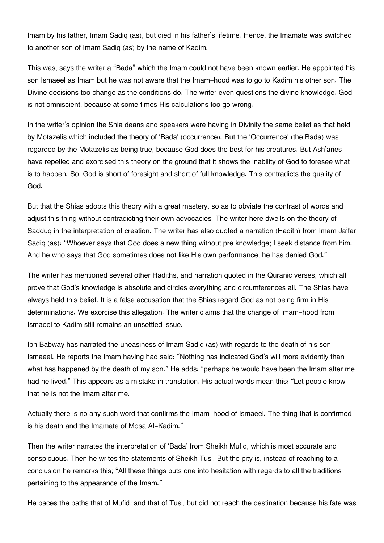Imam by his father, Imam Sadiq (as), but died in his father's lifetime. Hence, the Imamate was switched to another son of Imam Sadiq (as) by the name of Kadim.

This was, says the writer a "Bada" which the Imam could not have been known earlier. He appointed his son Ismaeel as Imam but he was not aware that the Imam-hood was to go to Kadim his other son. The Divine decisions too change as the conditions do. The writer even questions the divine knowledge. God is not omniscient, because at some times His calculations too go wrong.

In the writer's opinion the Shia deans and speakers were having in Divinity the same belief as that held by Motazelis which included the theory of 'Bada' (occurrence). But the 'Occurrence' (the Bada) was regarded by the Motazelis as being true, because God does the best for his creatures. But Ash'aries have repelled and exorcised this theory on the ground that it shows the inability of God to foresee what is to happen. So, God is short of foresight and short of full knowledge. This contradicts the quality of God.

But that the Shias adopts this theory with a great mastery, so as to obviate the contrast of words and adjust this thing without contradicting their own advocacies. The writer here dwells on the theory of Sadduq in the interpretation of creation. The writer has also quoted a narration (Hadith) from Imam Ja'far Sadiq (as): "Whoever says that God does a new thing without pre knowledge; I seek distance from him. And he who says that God sometimes does not like His own performance; he has denied God."

The writer has mentioned several other Hadiths, and narration quoted in the Quranic verses, which all prove that God's knowledge is absolute and circles everything and circumferences all. The Shias have always held this belief. It is a false accusation that the Shias regard God as not being firm in His determinations. We exorcise this allegation. The writer claims that the change of Imam-hood from Ismaeel to Kadim still remains an unsettled issue.

Ibn Babway has narrated the uneasiness of Imam Sadiq (as) with regards to the death of his son Ismaeel. He reports the Imam having had said: "Nothing has indicated God's will more evidently than what has happened by the death of my son." He adds: "perhaps he would have been the Imam after me had he lived." This appears as a mistake in translation. His actual words mean this: "Let people know that he is not the Imam after me.

Actually there is no any such word that confirms the Imam-hood of Ismaeel. The thing that is confirmed is his death and the Imamate of Mosa Al-Kadim."

Then the writer narrates the interpretation of 'Bada' from Sheikh Mufid, which is most accurate and conspicuous. Then he writes the statements of Sheikh Tusi. But the pity is, instead of reaching to a conclusion he remarks this; "All these things puts one into hesitation with regards to all the traditions pertaining to the appearance of the Imam."

He paces the paths that of Mufid, and that of Tusi, but did not reach the destination because his fate was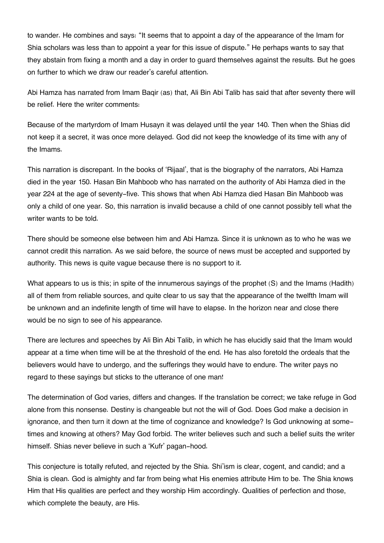to wander. He combines and says: "It seems that to appoint a day of the appearance of the Imam for Shia scholars was less than to appoint a year for this issue of dispute." He perhaps wants to say that they abstain from fixing a month and a day in order to guard themselves against the results. But he goes on further to which we draw our reader's careful attention.

Abi Hamza has narrated from Imam Baqir (as) that, Ali Bin Abi Talib has said that after seventy there will be relief. Here the writer comments:

Because of the martyrdom of Imam Husayn it was delayed until the year 140. Then when the Shias did not keep it a secret, it was once more delayed. God did not keep the knowledge of its time with any of the Imams.

This narration is discrepant. In the books of 'Rijaal', that is the biography of the narrators, Abi Hamza died in the year 150. Hasan Bin Mahboob who has narrated on the authority of Abi Hamza died in the year 224 at the age of seventy-five. This shows that when Abi Hamza died Hasan Bin Mahboob was only a child of one year. So, this narration is invalid because a child of one cannot possibly tell what the writer wants to be told.

There should be someone else between him and Abi Hamza. Since it is unknown as to who he was we cannot credit this narration. As we said before, the source of news must be accepted and supported by authority. This news is quite vague because there is no support to it.

What appears to us is this; in spite of the innumerous sayings of the prophet (S) and the Imams (Hadith) all of them from reliable sources, and quite clear to us say that the appearance of the twelfth Imam will be unknown and an indefinite length of time will have to elapse. In the horizon near and close there would be no sign to see of his appearance.

There are lectures and speeches by Ali Bin Abi Talib, in which he has elucidly said that the Imam would appear at a time when time will be at the threshold of the end. He has also foretold the ordeals that the believers would have to undergo, and the sufferings they would have to endure. The writer pays no regard to these sayings but sticks to the utterance of one man!

The determination of God varies, differs and changes. If the translation be correct; we take refuge in God alone from this nonsense. Destiny is changeable but not the will of God. Does God make a decision in ignorance, and then turn it down at the time of cognizance and knowledge? Is God unknowing at sometimes and knowing at others? May God forbid. The writer believes such and such a belief suits the writer himself. Shias never believe in such a 'Kufr' pagan-hood.

This conjecture is totally refuted, and rejected by the Shia. Shi'ism is clear, cogent, and candid; and a Shia is clean. God is almighty and far from being what His enemies attribute Him to be. The Shia knows Him that His qualities are perfect and they worship Him accordingly. Qualities of perfection and those, which complete the beauty, are His.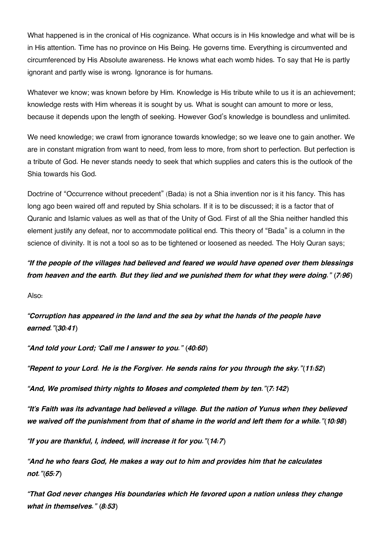What happened is in the cronical of His cognizance. What occurs is in His knowledge and what will be is in His attention. Time has no province on His Being. He governs time. Everything is circumvented and circumferenced by His Absolute awareness. He knows what each womb hides. To say that He is partly ignorant and partly wise is wrong. Ignorance is for humans.

Whatever we know; was known before by Him. Knowledge is His tribute while to us it is an achievement; knowledge rests with Him whereas it is sought by us. What is sought can amount to more or less, because it depends upon the length of seeking. However God's knowledge is boundless and unlimited.

We need knowledge; we crawl from ignorance towards knowledge; so we leave one to gain another. We are in constant migration from want to need, from less to more, from short to perfection. But perfection is a tribute of God. He never stands needy to seek that which supplies and caters this is the outlook of the Shia towards his God.

Doctrine of "Occurrence without precedent" (Bada) is not a Shia invention nor is it his fancy. This has long ago been waired off and reputed by Shia scholars. If it is to be discussed; it is a factor that of Quranic and Islamic values as well as that of the Unity of God. First of all the Shia neither handled this element justify any defeat, nor to accommodate political end. This theory of "Bada" is a column in the science of divinity. It is not a tool so as to be tightened or loosened as needed. The Holy Quran says;

*"If the people of the villages had believed and feared we would have opened over them blessings from heaven and the earth. But they lied and we punished them for what they were doing." (7:96)*

Also:

*"Corruption has appeared in the land and the sea by what the hands of the people have earned."(30:41)*

*"And told your Lord; 'Call me I answer to you." (40:60)*

*"Repent to your Lord. He is the Forgiver. He sends rains for you through the sky."(11:52)*

*"And, We promised thirty nights to Moses and completed them by ten."(7:142)*

*"It's Faith was its advantage had believed a village. But the nation of Yunus when they believed we waived off the punishment from that of shame in the world and left them for a while."(10:98)*

*"If you are thankful, I, indeed, will increase it for you."(14:7)*

*"And he who fears God, He makes a way out to him and provides him that he calculates not."(65:7)*

*"That God never changes His boundaries which He favored upon a nation unless they change what in themselves." (8:53)*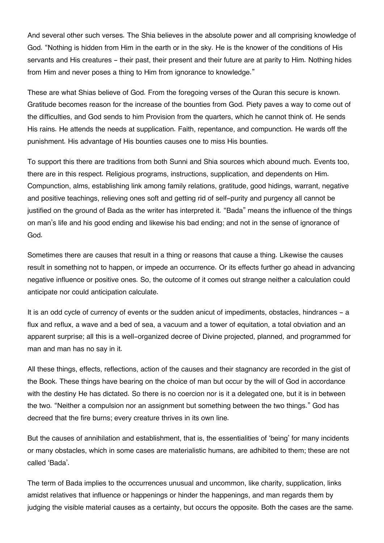And several other such verses. The Shia believes in the absolute power and all comprising knowledge of God. "Nothing is hidden from Him in the earth or in the sky. He is the knower of the conditions of His servants and His creatures - their past, their present and their future are at parity to Him. Nothing hides from Him and never poses a thing to Him from ignorance to knowledge."

These are what Shias believe of God. From the foregoing verses of the Quran this secure is known. Gratitude becomes reason for the increase of the bounties from God. Piety paves a way to come out of the difficulties, and God sends to him Provision from the quarters, which he cannot think of. He sends His rains. He attends the needs at supplication. Faith, repentance, and compunction. He wards off the punishment. His advantage of His bounties causes one to miss His bounties.

To support this there are traditions from both Sunni and Shia sources which abound much. Events too, there are in this respect. Religious programs, instructions, supplication, and dependents on Him. Compunction, alms, establishing link among family relations, gratitude, good hidings, warrant, negative and positive teachings, relieving ones soft and getting rid of self-purity and purgency all cannot be justified on the ground of Bada as the writer has interpreted it. "Bada" means the influence of the things on man's life and his good ending and likewise his bad ending; and not in the sense of ignorance of God.

Sometimes there are causes that result in a thing or reasons that cause a thing. Likewise the causes result in something not to happen, or impede an occurrence. Or its effects further go ahead in advancing negative influence or positive ones. So, the outcome of it comes out strange neither a calculation could anticipate nor could anticipation calculate.

It is an odd cycle of currency of events or the sudden anicut of impediments, obstacles, hindrances - a flux and reflux, a wave and a bed of sea, a vacuum and a tower of equitation, a total obviation and an apparent surprise; all this is a well-organized decree of Divine projected, planned, and programmed for man and man has no say in it.

All these things, effects, reflections, action of the causes and their stagnancy are recorded in the gist of the Book. These things have bearing on the choice of man but occur by the will of God in accordance with the destiny He has dictated. So there is no coercion nor is it a delegated one, but it is in between the two. "Neither a compulsion nor an assignment but something between the two things." God has decreed that the fire burns; every creature thrives in its own line.

But the causes of annihilation and establishment, that is, the essentialities of 'being' for many incidents or many obstacles, which in some cases are materialistic humans, are adhibited to them; these are not called 'Bada'.

The term of Bada implies to the occurrences unusual and uncommon, like charity, supplication, links amidst relatives that influence or happenings or hinder the happenings, and man regards them by judging the visible material causes as a certainty, but occurs the opposite. Both the cases are the same.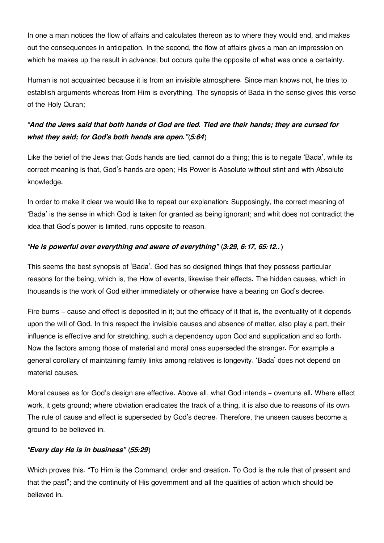In one a man notices the flow of affairs and calculates thereon as to where they would end, and makes out the consequences in anticipation. In the second, the flow of affairs gives a man an impression on which he makes up the result in advance; but occurs quite the opposite of what was once a certainty.

Human is not acquainted because it is from an invisible atmosphere. Since man knows not, he tries to establish arguments whereas from Him is everything. The synopsis of Bada in the sense gives this verse of the Holy Quran;

### *"And the Jews said that both hands of God are tied. Tied are their hands; they are cursed for what they said; for God's both hands are open."(5:64)*

Like the belief of the Jews that Gods hands are tied, cannot do a thing; this is to negate 'Bada', while its correct meaning is that, God's hands are open; His Power is Absolute without stint and with Absolute knowledge.

In order to make it clear we would like to repeat our explanation: Supposingly, the correct meaning of 'Bada' is the sense in which God is taken for granted as being ignorant; and whit does not contradict the idea that God's power is limited, runs opposite to reason.

### *"He is powerful over everything and aware of everything" (3:29, 6:17, 65:12..)*

This seems the best synopsis of 'Bada'. God has so designed things that they possess particular reasons for the being, which is, the How of events, likewise their effects. The hidden causes, which in thousands is the work of God either immediately or otherwise have a bearing on God's decree.

Fire burns - cause and effect is deposited in it; but the efficacy of it that is, the eventuality of it depends upon the will of God. In this respect the invisible causes and absence of matter, also play a part, their influence is effective and for stretching, such a dependency upon God and supplication and so forth. Now the factors among those of material and moral ones superseded the stranger. For example a general corollary of maintaining family links among relatives is longevity. 'Bada' does not depend on material causes.

Moral causes as for God's design are effective. Above all, what God intends - overruns all. Where effect work, it gets ground; where obviation eradicates the track of a thing, it is also due to reasons of its own. The rule of cause and effect is superseded by God's decree. Therefore, the unseen causes become a ground to be believed in.

#### *"Every day He is in business" (55:29)*

Which proves this. "To Him is the Command, order and creation. To God is the rule that of present and that the past"; and the continuity of His government and all the qualities of action which should be believed in.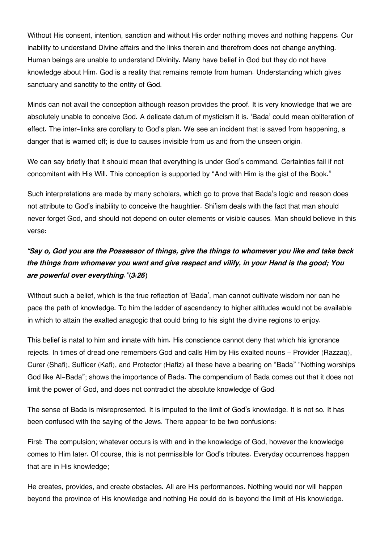Without His consent, intention, sanction and without His order nothing moves and nothing happens. Our inability to understand Divine affairs and the links therein and therefrom does not change anything. Human beings are unable to understand Divinity. Many have belief in God but they do not have knowledge about Him. God is a reality that remains remote from human. Understanding which gives sanctuary and sanctity to the entity of God.

Minds can not avail the conception although reason provides the proof. It is very knowledge that we are absolutely unable to conceive God. A delicate datum of mysticism it is. 'Bada' could mean obliteration of effect. The inter-links are corollary to God's plan. We see an incident that is saved from happening, a danger that is warned off; is due to causes invisible from us and from the unseen origin.

We can say briefly that it should mean that everything is under God's command. Certainties fail if not concomitant with His Will. This conception is supported by "And with Him is the gist of the Book."

Such interpretations are made by many scholars, which go to prove that Bada's logic and reason does not attribute to God's inability to conceive the haughtier. Shi'ism deals with the fact that man should never forget God, and should not depend on outer elements or visible causes. Man should believe in this verse:

### *"Say o, God you are the Possessor of things, give the things to whomever you like and take back the things from whomever you want and give respect and vilify, in your Hand is the good; You are powerful over everything."(3:26)*

Without such a belief, which is the true reflection of 'Bada', man cannot cultivate wisdom nor can he pace the path of knowledge. To him the ladder of ascendancy to higher altitudes would not be available in which to attain the exalted anagogic that could bring to his sight the divine regions to enjoy.

This belief is natal to him and innate with him. His conscience cannot deny that which his ignorance rejects. In times of dread one remembers God and calls Him by His exalted nouns - Provider (Razzaq), Curer (Shafi), Sufficer (Kafi), and Protector (Hafiz) all these have a bearing on "Bada" "Nothing worships God like Al-Bada"; shows the importance of Bada. The compendium of Bada comes out that it does not limit the power of God, and does not contradict the absolute knowledge of God.

The sense of Bada is misrepresented. It is imputed to the limit of God's knowledge. It is not so. It has been confused with the saying of the Jews. There appear to be two confusions:

First: The compulsion; whatever occurs is with and in the knowledge of God, however the knowledge comes to Him later. Of course, this is not permissible for God's tributes. Everyday occurrences happen that are in His knowledge;

He creates, provides, and create obstacles. All are His performances. Nothing would nor will happen beyond the province of His knowledge and nothing He could do is beyond the limit of His knowledge.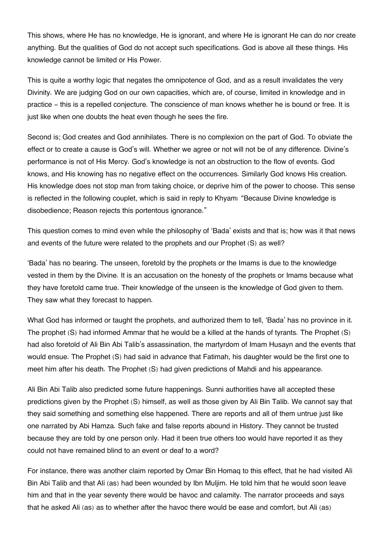This shows, where He has no knowledge, He is ignorant, and where He is ignorant He can do nor create anything. But the qualities of God do not accept such specifications. God is above all these things. His knowledge cannot be limited or His Power.

This is quite a worthy logic that negates the omnipotence of God, and as a result invalidates the very Divinity. We are judging God on our own capacities, which are, of course, limited in knowledge and in practice - this is a repelled conjecture. The conscience of man knows whether he is bound or free. It is just like when one doubts the heat even though he sees the fire.

Second is; God creates and God annihilates. There is no complexion on the part of God. To obviate the effect or to create a cause is God's will. Whether we agree or not will not be of any difference. Divine's performance is not of His Mercy. God's knowledge is not an obstruction to the flow of events. God knows, and His knowing has no negative effect on the occurrences. Similarly God knows His creation. His knowledge does not stop man from taking choice, or deprive him of the power to choose. This sense is reflected in the following couplet, which is said in reply to Khyam: "Because Divine knowledge is disobedience; Reason rejects this portentous ignorance."

This question comes to mind even while the philosophy of 'Bada' exists and that is; how was it that news and events of the future were related to the prophets and our Prophet (S) as well?

'Bada' has no bearing. The unseen, foretold by the prophets or the Imams is due to the knowledge vested in them by the Divine. It is an accusation on the honesty of the prophets or Imams because what they have foretold came true. Their knowledge of the unseen is the knowledge of God given to them. They saw what they forecast to happen.

What God has informed or taught the prophets, and authorized them to tell, 'Bada' has no province in it. The prophet (S) had informed Ammar that he would be a killed at the hands of tyrants. The Prophet (S) had also foretold of Ali Bin Abi Talib's assassination, the martyrdom of Imam Husayn and the events that would ensue. The Prophet (S) had said in advance that Fatimah, his daughter would be the first one to meet him after his death. The Prophet (S) had given predictions of Mahdi and his appearance.

Ali Bin Abi Talib also predicted some future happenings. Sunni authorities have all accepted these predictions given by the Prophet (S) himself, as well as those given by Ali Bin Talib. We cannot say that they said something and something else happened. There are reports and all of them untrue just like one narrated by Abi Hamza. Such fake and false reports abound in History. They cannot be trusted because they are told by one person only. Had it been true others too would have reported it as they could not have remained blind to an event or deaf to a word?

For instance, there was another claim reported by Omar Bin Homaq to this effect, that he had visited Ali Bin Abi Talib and that Ali (as) had been wounded by Ibn Muljim. He told him that he would soon leave him and that in the year seventy there would be havoc and calamity. The narrator proceeds and says that he asked Ali (as) as to whether after the havoc there would be ease and comfort, but Ali (as)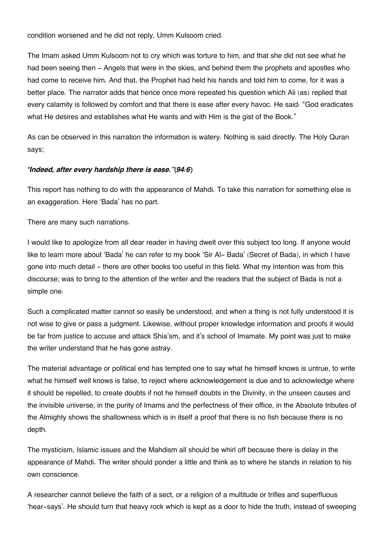condition worsened and he did not reply, Umm Kulsoom cried.

The Imam asked Umm Kulsoom not to cry which was torture to him, and that she did not see what he had been seeing then - Angels that were in the skies, and behind them the prophets and apostles who had come to receive him. And that, the Prophet had held his hands and told him to come, for it was a better place. The narrator adds that hence once more repeated his question which Ali (as) replied that every calamity is followed by comfort and that there is ease after every havoc. He said: "God eradicates what He desires and establishes what He wants and with Him is the gist of the Book."

As can be observed in this narration the information is watery. Nothing is said directly. The Holy Quran says;

#### *"Indeed, after every hardship there is ease."(94:6)*

This report has nothing to do with the appearance of Mahdi. To take this narration for something else is an exaggeration. Here 'Bada' has no part.

There are many such narrations.

I would like to apologize from all dear reader in having dwelt over this subject too long. If anyone would like to learn more about 'Bada' he can refer to my book 'Sir Al- Bada' (Secret of Bada), in which I have gone into much detail - there are other books too useful in this field. What my intention was from this discourse; was to bring to the attention of the writer and the readers that the subject of Bada is not a simple one.

Such a complicated matter cannot so easily be understood, and when a thing is not fully understood it is not wise to give or pass a judgment. Likewise, without proper knowledge information and proofs it would be far from justice to accuse and attack Shia'sm, and it's school of Imamate. My point was just to make the writer understand that he has gone astray.

The material advantage or political end has tempted one to say what he himself knows is untrue, to write what he himself well knows is false, to reject where acknowledgement is due and to acknowledge where it should be repelled, to create doubts if not he himself doubts in the Divinity, in the unseen causes and the invisible universe, in the purity of Imams and the perfectness of their office, in the Absolute tributes of the Almighty shows the shallowness which is in itself a proof that there is no fish because there is no depth.

The mysticism, Islamic issues and the Mahdism all should be whirl off because there is delay in the appearance of Mahdi. The writer should ponder a little and think as to where he stands in relation to his own conscience.

A researcher cannot believe the faith of a sect, or a religion of a multitude or trifles and superfluous 'hear-says'. He should turn that heavy rock which is kept as a door to hide the truth, instead of sweeping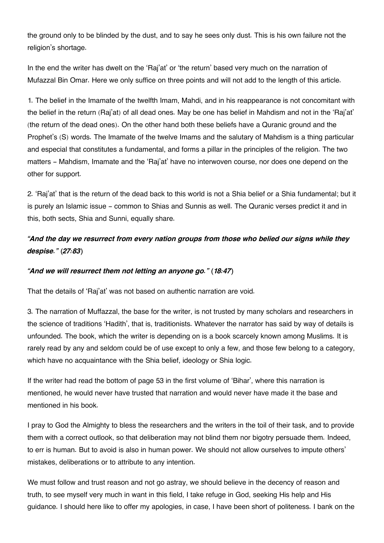the ground only to be blinded by the dust, and to say he sees only dust. This is his own failure not the religion's shortage.

In the end the writer has dwelt on the 'Raj'at' or 'the return' based very much on the narration of Mufazzal Bin Omar. Here we only suffice on three points and will not add to the length of this article.

1. The belief in the Imamate of the twelfth Imam, Mahdi, and in his reappearance is not concomitant with the belief in the return (Raj'at) of all dead ones. May be one has belief in Mahdism and not in the 'Raj'at' (the return of the dead ones). On the other hand both these beliefs have a Quranic ground and the Prophet's (S) words. The Imamate of the twelve Imams and the salutary of Mahdism is a thing particular and especial that constitutes a fundamental, and forms a pillar in the principles of the religion. The two matters - Mahdism, Imamate and the 'Raj'at' have no interwoven course, nor does one depend on the other for support.

2. 'Raj'at' that is the return of the dead back to this world is not a Shia belief or a Shia fundamental; but it is purely an Islamic issue - common to Shias and Sunnis as well. The Quranic verses predict it and in this, both sects, Shia and Sunni, equally share.

### *"And the day we resurrect from every nation groups from those who belied our signs while they despise." (27:83)*

### *"And we will resurrect them not letting an anyone go." (18:47)*

That the details of 'Raj'at' was not based on authentic narration are void.

3. The narration of Muffazzal, the base for the writer, is not trusted by many scholars and researchers in the science of traditions 'Hadith', that is, traditionists. Whatever the narrator has said by way of details is unfounded. The book, which the writer is depending on is a book scarcely known among Muslims. It is rarely read by any and seldom could be of use except to only a few, and those few belong to a category, which have no acquaintance with the Shia belief, ideology or Shia logic.

If the writer had read the bottom of page 53 in the first volume of 'Bihar', where this narration is mentioned, he would never have trusted that narration and would never have made it the base and mentioned in his book.

I pray to God the Almighty to bless the researchers and the writers in the toil of their task, and to provide them with a correct outlook, so that deliberation may not blind them nor bigotry persuade them. Indeed, to err is human. But to avoid is also in human power. We should not allow ourselves to impute others' mistakes, deliberations or to attribute to any intention.

We must follow and trust reason and not go astray, we should believe in the decency of reason and truth, to see myself very much in want in this field, I take refuge in God, seeking His help and His guidance. I should here like to offer my apologies, in case, I have been short of politeness. I bank on the